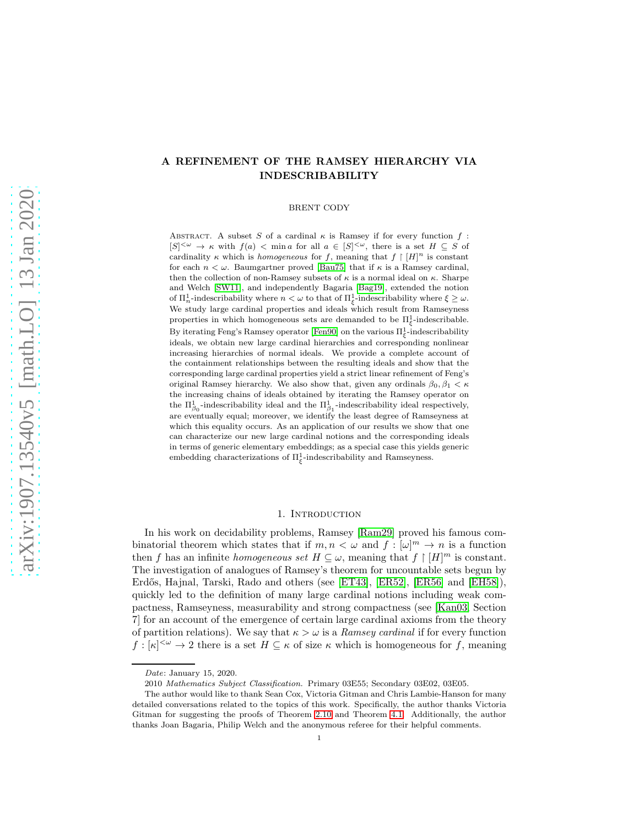## A REFINEMENT OF THE RAMSEY HIERARCHY VIA INDESCRIBABILITY

BRENT CODY

ABSTRACT. A subset S of a cardinal  $\kappa$  is Ramsey if for every function f:  $[S]^{<\omega} \to \kappa$  with  $f(a) < \min a$  for all  $a \in [S]^{<\omega}$ , there is a set  $H \subseteq S$  of cardinality  $\kappa$  which is *homogeneous* for f, meaning that  $f \restriction [H]^n$  is constant for each  $n < \omega$ . Baumgartner proved [\[Bau75\]](#page-31-0) that if  $\kappa$  is a Ramsey cardinal, then the collection of non-Ramsey subsets of  $\kappa$  is a normal ideal on  $\kappa$ . Sharpe and Welch [\[SW11\]](#page-32-0), and independently Bagaria [\[Bag19\]](#page-31-1), extended the notion of  $\Pi_n^1$ -indescribability where  $n < \omega$  to that of  $\Pi_\xi^1$ -indescribability where  $\xi \geq \omega$ . We study large cardinal properties and ideals which result from Ramseyness properties in which homogeneous sets are demanded to be  $\Pi_{\xi}^1$ -indescribable. By iterating Feng's Ramsey operator [\[Fen90\]](#page-32-1) on the various  $\Pi_{\xi}^{1}$ -indescribability ideals, we obtain new large cardinal hierarchies and corresponding nonlinear increasing hierarchies of normal ideals. We provide a complete account of the containment relationships between the resulting ideals and show that the corresponding large cardinal properties yield a strict linear refinement of Feng's original Ramsey hierarchy. We also show that, given any ordinals  $\beta_0, \beta_1 < \kappa$ the increasing chains of ideals obtained by iterating the Ramsey operator on the  $\Pi_{\beta_0}^1$  -indescribability ideal respectively, are eventually equal; moreover, we identify the least degree of Ramseyness at which this equality occurs. As an application of our results we show that one can characterize our new large cardinal notions and the corresponding ideals in terms of generic elementary embeddings; as a special case this yields generic embedding characterizations of  $\Pi_{\xi}^{1}$ -indescribability and Ramseyness.

#### 1. INTRODUCTION

<span id="page-0-0"></span>In his work on decidability problems, Ramsey [\[Ram29\]](#page-32-2) proved his famous combinatorial theorem which states that if  $m, n < \omega$  and  $f : [\omega]^m \to n$  is a function then f has an infinite homogeneous set  $H \subseteq \omega$ , meaning that  $f \restriction [H]^m$  is constant. The investigation of analogues of Ramsey's theorem for uncountable sets begun by Erdős, Hajnal, Tarski, Rado and others (see [\[ET43\]](#page-31-2), [\[ER52\]](#page-31-3), [\[ER56\]](#page-31-4) and [\[EH58\]](#page-31-5)), quickly led to the definition of many large cardinal notions including weak compactness, Ramseyness, measurability and strong compactness (see [\[Kan03,](#page-32-3) Section 7] for an account of the emergence of certain large cardinal axioms from the theory of partition relations). We say that  $\kappa > \omega$  is a Ramsey cardinal if for every function  $f : [\kappa]^{<\omega} \to 2$  there is a set  $H \subseteq \kappa$  of size  $\kappa$  which is homogeneous for f, meaning

Date: January 15, 2020.

<sup>2010</sup> Mathematics Subject Classification. Primary 03E55; Secondary 03E02, 03E05.

The author would like to thank Sean Cox, Victoria Gitman and Chris Lambie-Hanson for many detailed conversations related to the topics of this work. Specifically, the author thanks Victoria Gitman for suggesting the proofs of Theorem [2.10](#page-9-0) and Theorem [4.1.](#page-14-0) Additionally, the author thanks Joan Bagaria, Philip Welch and the anonymous referee for their helpful comments.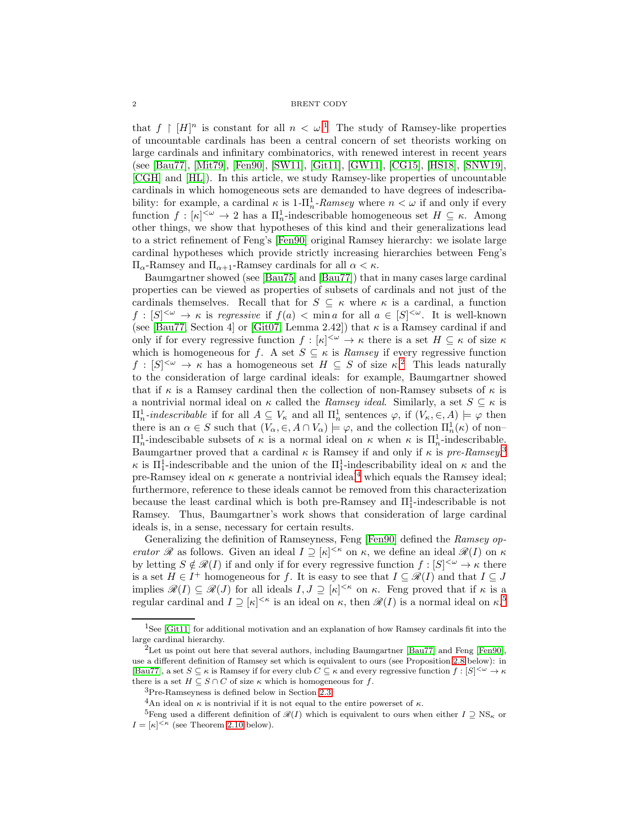that  $f \restriction [H]^n$  is constant for all  $n < \omega$ .<sup>[1](#page-1-0)</sup> The study of Ramsey-like properties of uncountable cardinals has been a central concern of set theorists working on large cardinals and infinitary combinatorics, with renewed interest in recent years (see [\[Bau77\]](#page-31-6), [\[Mit79\]](#page-32-4), [\[Fen90\]](#page-32-1), [\[SW11\]](#page-32-0), [\[Git11\]](#page-32-5), [\[GW11\]](#page-32-6), [\[CG15\]](#page-31-7), [\[HS18\]](#page-32-7), [\[SNW19\]](#page-32-8), [\[CGH\]](#page-31-8) and [\[HL\]](#page-32-9)). In this article, we study Ramsey-like properties of uncountable cardinals in which homogeneous sets are demanded to have degrees of indescribability: for example, a cardinal  $\kappa$  is  $1-\prod_{n=1}^{1}$ -Ramsey where  $n < \omega$  if and only if every function  $f : [\kappa]^{<\omega} \to 2$  has a  $\Pi_n^1$ -indescribable homogeneous set  $H \subseteq \kappa$ . Among other things, we show that hypotheses of this kind and their generalizations lead to a strict refinement of Feng's [\[Fen90\]](#page-32-1) original Ramsey hierarchy: we isolate large cardinal hypotheses which provide strictly increasing hierarchies between Feng's  $\Pi_{\alpha}$ -Ramsey and  $\Pi_{\alpha+1}$ -Ramsey cardinals for all  $\alpha < \kappa$ .

Baumgartner showed (see [\[Bau75\]](#page-31-0) and [\[Bau77\]](#page-31-6)) that in many cases large cardinal properties can be viewed as properties of subsets of cardinals and not just of the cardinals themselves. Recall that for  $S \subseteq \kappa$  where  $\kappa$  is a cardinal, a function  $f : [S]^{<\omega} \to \kappa$  is regressive if  $f(a) < \min a$  for all  $a \in [S]^{<\omega}$ . It is well-known (see [\[Bau77,](#page-31-6) Section 4] or [\[Git07,](#page-32-10) Lemma 2.42]) that  $\kappa$  is a Ramsey cardinal if and only if for every regressive function  $f : [\kappa]^{<\omega} \to \kappa$  there is a set  $H \subseteq \kappa$  of size  $\kappa$ which is homogeneous for f. A set  $S \subseteq \kappa$  is Ramsey if every regressive function  $f: [S]^{<\omega} \to \kappa$  has a homogeneous set  $H \subseteq S$  of size  $\kappa$ <sup>[2](#page-1-1)</sup>. This leads naturally to the consideration of large cardinal ideals: for example, Baumgartner showed that if  $\kappa$  is a Ramsey cardinal then the collection of non-Ramsey subsets of  $\kappa$  is a nontrivial normal ideal on  $\kappa$  called the *Ramsey ideal*. Similarly, a set  $S \subseteq \kappa$  is  $\Pi_n^1$ -indescribable if for all  $A \subseteq V_\kappa$  and all  $\Pi_n^1$  sentences  $\varphi$ , if  $(V_\kappa, \in, A) \models \varphi$  then there is an  $\alpha \in S$  such that  $(V_{\alpha}, \in, A \cap V_{\alpha}) \models \varphi$ , and the collection  $\Pi_n^1(\kappa)$  of non- $\Pi_n^1$ -indescibable subsets of κ is a normal ideal on κ when κ is  $\Pi_n^1$ -indescribable. Baumgartner proved that a cardinal  $\kappa$  is Ramsey if and only if  $\kappa$  is pre-Ramsey,<sup>[3](#page-1-2)</sup>  $\kappa$  is  $\Pi_1^1$ -indescribable and the union of the  $\Pi_1^1$ -indescribability ideal on  $\kappa$  and the pre-Ramsey ideal on  $\kappa$  generate a nontrivial ideal<sup>[4](#page-1-3)</sup> which equals the Ramsey ideal; furthermore, reference to these ideals cannot be removed from this characterization because the least cardinal which is both pre-Ramsey and  $\Pi_1^1$ -indescribable is not Ramsey. Thus, Baumgartner's work shows that consideration of large cardinal ideals is, in a sense, necessary for certain results.

Generalizing the definition of Ramseyness, Feng [\[Fen90\]](#page-32-1) defined the Ramsey operator R as follows. Given an ideal  $I \supseteq [\kappa]^{<\kappa}$  on  $\kappa$ , we define an ideal  $\mathcal{R}(I)$  on  $\kappa$ by letting  $S \notin \mathscr{R}(I)$  if and only if for every regressive function  $f : [S]^{<\omega} \to \kappa$  there is a set  $H \in I^+$  homogeneous for f. It is easy to see that  $I \subseteq \mathscr{R}(I)$  and that  $I \subseteq J$ implies  $\mathscr{R}(I) \subseteq \mathscr{R}(J)$  for all ideals  $I, J \supseteq [\kappa]^{<\kappa}$  on  $\kappa$ . Feng proved that if  $\kappa$  is a regular cardinal and  $I \supseteq [\kappa]^{<\kappa}$  is an ideal on  $\kappa$ , then  $\mathscr{R}(I)$  is a normal ideal on  $\kappa$ .<sup>[5](#page-1-4)</sup>

<span id="page-1-0"></span><sup>&</sup>lt;sup>1</sup>See [\[Git11\]](#page-32-5) for additional motivation and an explanation of how Ramsey cardinals fit into the large cardinal hierarchy.

<span id="page-1-1"></span><sup>&</sup>lt;sup>2</sup>Let us point out here that several authors, including Baumgartner [\[Bau77\]](#page-31-6) and Feng [\[Fen90\]](#page-32-1), use a different definition of Ramsey set which is equivalent to ours (see Proposition [2.8](#page-8-0) below): in [\[Bau77\]](#page-31-6), a set  $S \subseteq \kappa$  is Ramsey if for every club  $C \subseteq \kappa$  and every regressive function  $f : [S]^{<\omega} \to \kappa$ there is a set  $H \subseteq S \cap C$  of size  $\kappa$  which is homogeneous for f.

<sup>3</sup>Pre-Ramseyness is defined below in Section [2.3.](#page-7-0)

<span id="page-1-3"></span><span id="page-1-2"></span><sup>&</sup>lt;sup>4</sup>An ideal on  $\kappa$  is nontrivial if it is not equal to the entire powerset of  $\kappa$ .

<span id="page-1-4"></span><sup>&</sup>lt;sup>5</sup>Feng used a different definition of  $\mathcal{R}(I)$  which is equivalent to ours when either  $I \supseteq \text{NS}_{\kappa}$  or  $I = [\kappa]^{<\kappa}$  (see Theorem [2.10](#page-9-0) below).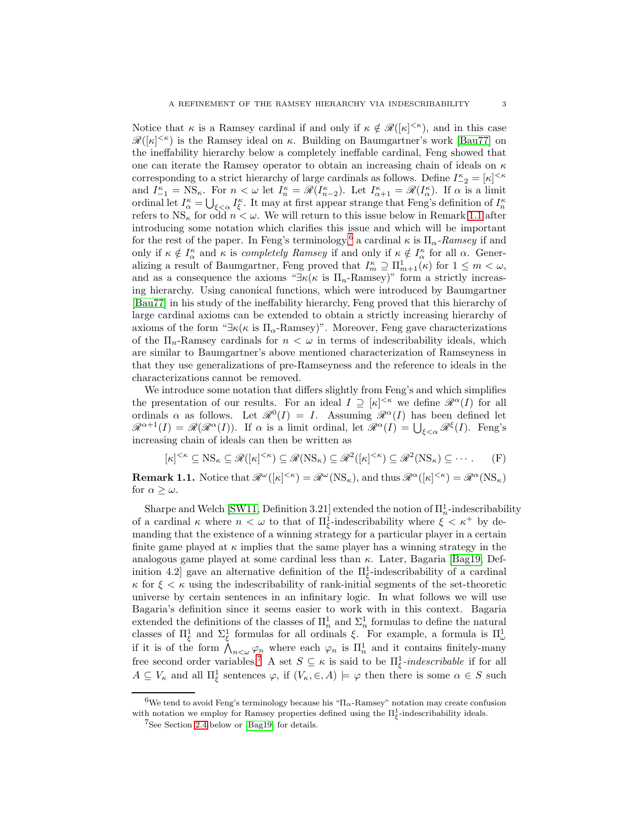Notice that  $\kappa$  is a Ramsey cardinal if and only if  $\kappa \notin \mathcal{R}([\kappa]^{<\kappa})$ , and in this case  $\mathscr{R}([\kappa]^{<\kappa})$  is the Ramsey ideal on  $\kappa$ . Building on Baumgartner's work [\[Bau77\]](#page-31-6) on the ineffability hierarchy below a completely ineffable cardinal, Feng showed that one can iterate the Ramsey operator to obtain an increasing chain of ideals on  $\kappa$ corresponding to a strict hierarchy of large cardinals as follows. Define  $I_{-2}^{\kappa}=[\kappa]^{<\kappa}$ and  $I_{-1}^{\kappa} = \text{NS}_{\kappa}$ . For  $n < \omega$  let  $I_n^{\kappa} = \mathscr{R}(I_{n-2}^{\kappa})$ . Let  $I_{\alpha+1}^{\kappa} = \mathscr{R}(I_{\alpha}^{\kappa})$ . If  $\alpha$  is a limit ordinal let  $I_{\alpha}^{\kappa} = \bigcup_{\xi < \alpha} I_{\xi}^{\kappa}$ . It may at first appear strange that Feng's definition of  $I_{n}^{\kappa}$ refers to  $NS_{\kappa}$  for odd  $n < \omega$ . We will return to this issue below in Remark [1.1](#page-2-0) after introducing some notation which clarifies this issue and which will be important for the rest of the paper. In Feng's terminology,<sup>[6](#page-2-1)</sup> a cardinal  $\kappa$  is  $\Pi_{\alpha}$ -Ramsey if and only if  $\kappa \notin I_{\alpha}^{\kappa}$  and  $\kappa$  is *completely Ramsey* if and only if  $\kappa \notin I_{\alpha}^{\kappa}$  for all  $\alpha$ . Generalizing a result of Baumgartner, Feng proved that  $I_m^{\kappa} \supseteq \prod_{m=1}^1(\kappa)$  for  $1 \leq m < \omega$ , and as a consequence the axioms " $\exists \kappa(\kappa \text{ is } \Pi_n\text{-Ramsey})$ " form a strictly increasing hierarchy. Using canonical functions, which were introduced by Baumgartner [\[Bau77\]](#page-31-6) in his study of the ineffability hierarchy, Feng proved that this hierarchy of large cardinal axioms can be extended to obtain a strictly increasing hierarchy of axioms of the form " $\exists \kappa(\kappa \text{ is } \Pi_{\alpha}$ -Ramsey)". Moreover, Feng gave characterizations of the  $\Pi_n$ -Ramsey cardinals for  $n < \omega$  in terms of indescribability ideals, which are similar to Baumgartner's above mentioned characterization of Ramseyness in that they use generalizations of pre-Ramseyness and the reference to ideals in the characterizations cannot be removed.

We introduce some notation that differs slightly from Feng's and which simplifies the presentation of our results. For an ideal  $I \supseteq [\kappa]^{<\kappa}$  we define  $\mathscr{R}^{\alpha}(I)$  for all ordinals  $\alpha$  as follows. Let  $\mathscr{R}^0(I) = I$ . Assuming  $\mathscr{R}^{\alpha}(I)$  has been defined let  $\mathscr{R}^{\alpha+1}(I) = \mathscr{R}(\mathscr{R}^{\alpha}(I))$ . If  $\alpha$  is a limit ordinal, let  $\mathscr{R}^{\alpha}(I) = \bigcup_{\xi < \alpha} \mathscr{R}^{\xi}(I)$ . Feng's increasing chain of ideals can then be written as

<span id="page-2-3"></span>
$$
[\kappa]^{<\kappa} \subseteq \text{NS}_{\kappa} \subseteq \mathscr{R}([\kappa]^{<\kappa}) \subseteq \mathscr{R}(\text{NS}_{\kappa}) \subseteq \mathscr{R}^{2}([\kappa]^{<\kappa}) \subseteq \mathscr{R}^{2}(\text{NS}_{\kappa}) \subseteq \cdots
$$
 (F)

<span id="page-2-0"></span>**Remark 1.1.** Notice that  $\mathscr{R}^{\omega}([\kappa]^{<\kappa}) = \mathscr{R}^{\omega}(NS_{\kappa})$ , and thus  $\mathscr{R}^{\alpha}([\kappa]^{<\kappa}) = \mathscr{R}^{\alpha}(NS_{\kappa})$ for  $\alpha \geq \omega$ .

Sharpe and Welch [\[SW11,](#page-32-0) Definition 3.21] extended the notion of  $\Pi_n^1$ -indescribability of a cardinal  $\kappa$  where  $n < \omega$  to that of  $\Pi_{\xi}^1$ -indescribability where  $\xi < \kappa^+$  by demanding that the existence of a winning strategy for a particular player in a certain finite game played at  $\kappa$  implies that the same player has a winning strategy in the analogous game played at some cardinal less than  $\kappa$ . Later, Bagaria [\[Bag19,](#page-31-1) Definition 4.2] gave an alternative definition of the  $\Pi_{\xi}^1$ -indescribability of a cardinal  $\kappa$  for  $\xi < \kappa$  using the indescribability of rank-initial segments of the set-theoretic universe by certain sentences in an infinitary logic. In what follows we will use Bagaria's definition since it seems easier to work with in this context. Bagaria extended the definitions of the classes of  $\prod_n^1$  and  $\Sigma_n^1$  formulas to define the natural classes of  $\Pi_{\xi}^{1}$  and  $\Sigma_{\xi}^{1}$  formulas for all ordinals  $\xi$ . For example, a formula is  $\Pi_{\omega}^{1}$ if it is of the form  $\bigwedge_{n<\omega}\varphi_n$  where each  $\varphi_n$  is  $\Pi_n^1$  and it contains finitely-many free second order variables.<sup>[7](#page-2-2)</sup> A set  $S \subseteq \kappa$  is said to be  $\Pi_{\xi}^1$ -*indescribable* if for all  $A \subseteq V_{\kappa}$  and all  $\Pi_{\xi}^{1}$  sentences  $\varphi$ , if  $(V_{\kappa}, \in, A) \models \varphi$  then there is some  $\alpha \in S$  such

<sup>&</sup>lt;sup>6</sup>We tend to avoid Feng's terminology because his " $\Pi_{\alpha}$ -Ramsey" notation may create confusion with notation we employ for Ramsey properties defined using the  $\Pi_{\xi}^{1}$ -indescribability ideals.

<span id="page-2-2"></span><span id="page-2-1"></span><sup>7</sup>See Section [2.4](#page-11-0) below or [\[Bag19\]](#page-31-1) for details.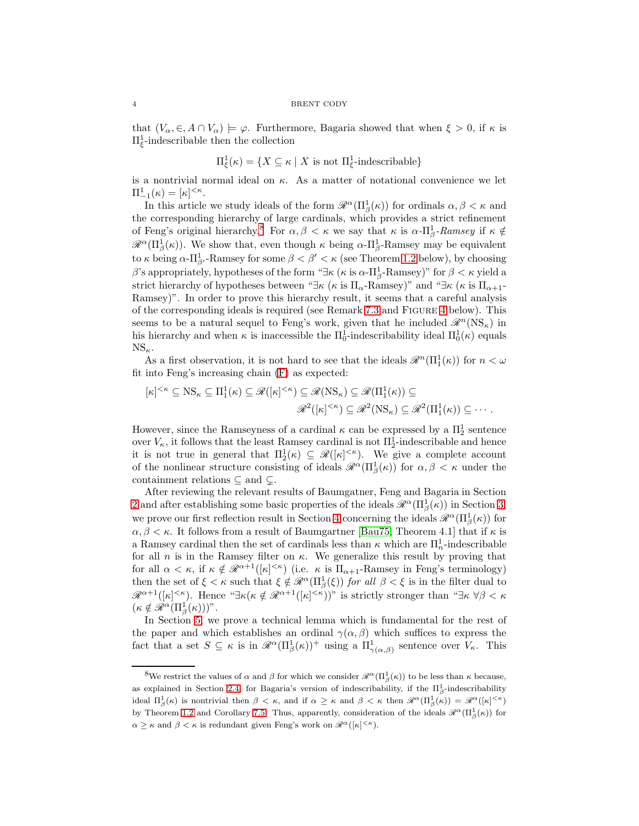#### 4 BRENT CODY

that  $(V_\alpha, \in, A \cap V_\alpha) \models \varphi$ . Furthermore, Bagaria showed that when  $\xi > 0$ , if  $\kappa$  is  $\Pi_{\xi}^1$ -indescribable then the collection

$$
\Pi_{\xi}^{1}(\kappa) = \{ X \subseteq \kappa \mid X \text{ is not } \Pi_{\xi}^{1} \text{-indescribeable} \}
$$

is a nontrivial normal ideal on  $\kappa$ . As a matter of notational convenience we let  $\Pi^1_{-1}(\kappa) = [\kappa]^{<\kappa}.$ 

In this article we study ideals of the form  $\mathcal{R}^{\alpha}(\Pi_{\beta}^{1}(\kappa))$  for ordinals  $\alpha, \beta < \kappa$  and the corresponding hierarchy of large cardinals, which provides a strict refinement of Feng's original hierarchy.<sup>[8](#page-3-0)</sup> For  $\alpha, \beta < \kappa$  we say that  $\kappa$  is  $\alpha$ - $\Pi^1_\beta$ -Ramsey if  $\kappa \notin$  $\mathscr{R}^{\alpha}(\Pi_{\beta}^{1}(\kappa)).$  We show that, even though  $\kappa$  being  $\alpha$ - $\Pi_{\beta}^{1}$ -Ramsey may be equivalent to  $\kappa$  being  $\alpha$ - $\Pi^1_{\beta'}$ -Ramsey for some  $\beta < \beta' < \kappa$  (see Theorem [1.2](#page-4-0) below), by choosing β's appropriately, hypotheses of the form " $\exists \kappa (\kappa \text{ is } \alpha \text{-}\Pi^1_\beta\text{-Ramsey})$ " for  $\beta < \kappa$  yield a strict hierarchy of hypotheses between " $\exists \kappa$  ( $\kappa$  is  $\Pi_{\alpha}$ -Ramsey)" and " $\exists \kappa$  ( $\kappa$  is  $\Pi_{\alpha+1}$ -Ramsey)". In order to prove this hierarchy result, it seems that a careful analysis of the corresponding ideals is required (see Remark [7.3](#page-24-0) and Figure [4](#page-26-0) below). This seems to be a natural sequel to Feng's work, given that he included  $\mathscr{R}^n(\text{NS}_{\kappa})$  in his hierarchy and when  $\kappa$  is inaccessible the  $\Pi_0^1$ -indescribability ideal  $\Pi_0^1(\kappa)$  equals  $NS_{\kappa}$ .

As a first observation, it is not hard to see that the ideals  $\mathscr{R}^n(\Pi_1^1(\kappa))$  for  $n < \omega$ fit into Feng's increasing chain [\(F\)](#page-2-3) as expected:

$$
[\kappa]^{<\kappa} \subseteq \text{NS}_{\kappa} \subseteq \Pi_1^1(\kappa) \subseteq \mathscr{R}([\kappa]^{<\kappa}) \subseteq \mathscr{R}(\text{NS}_{\kappa}) \subseteq \mathscr{R}(\Pi_1^1(\kappa)) \subseteq
$$
  

$$
\mathscr{R}^2([\kappa]^{<\kappa}) \subseteq \mathscr{R}^2(\text{NS}_{\kappa}) \subseteq \mathscr{R}^2(\Pi_1^1(\kappa)) \subseteq \cdots
$$

However, since the Ramseyness of a cardinal  $\kappa$  can be expressed by a  $\Pi^1_2$  sentence over  $V_{\kappa}$ , it follows that the least Ramsey cardinal is not  $\Pi_2^1$ -indescribable and hence it is not true in general that  $\Pi_2^1(\kappa) \subseteq \mathcal{R}([\kappa]^{<\kappa})$ . We give a complete account of the nonlinear structure consisting of ideals  $\mathscr{R}^{\alpha}(\Pi_{\beta}^{1}(\kappa))$  for  $\alpha, \beta < \kappa$  under the containment relations  $\subseteq$  and  $\subseteq$ .

After reviewing the relevant results of Baumgatner, Feng and Bagaria in Section [2](#page-4-1) and after establishing some basic properties of the ideals  $\mathscr{R}^{\alpha}(\Pi_{\beta}^{1}(\kappa))$  in Section [3,](#page-13-0) we prove our first reflection result in Section [4](#page-14-1) concerning the ideals  $\mathscr{R}^{\alpha}(\Pi_{\beta}^{1}(\kappa))$  for  $\alpha, \beta < \kappa$ . It follows from a result of Baumgartner [\[Bau75,](#page-31-0) Theorem 4.1] that if  $\kappa$  is a Ramsey cardinal then the set of cardinals less than  $\kappa$  which are  $\Pi_n^1$ -indescribable for all  $n$  is in the Ramsey filter on  $\kappa$ . We generalize this result by proving that for all  $\alpha < \kappa$ , if  $\kappa \notin \mathscr{R}^{\alpha+1}([\kappa]^{<\kappa})$  (i.e.  $\kappa$  is  $\Pi_{\alpha+1}$ -Ramsey in Feng's terminology) then the set of  $\xi < \kappa$  such that  $\xi \notin \mathcal{R}^{\alpha}(\Pi_{\beta}^{1}(\xi))$  for all  $\beta < \xi$  is in the filter dual to  $\mathscr{R}^{\alpha+1}([\kappa]^{<\kappa})$ . Hence " $\exists \kappa(\kappa \notin \mathscr{R}^{\alpha+1}([\kappa]^{<\kappa}))$ " is strictly stronger than " $\exists \kappa \forall \beta < \kappa$  $(\kappa \notin \mathscr{R}^{\alpha}(\Pi_{\beta}^{1}(\kappa)))$ ".

In Section [5,](#page-16-0) we prove a technical lemma which is fundamental for the rest of the paper and which establishes an ordinal  $\gamma(\alpha, \beta)$  which suffices to express the fact that a set  $S \subseteq \kappa$  is in  $\mathscr{R}^{\alpha}(\Pi_{\beta}^{1}(\kappa))^{+}$  using a  $\Pi_{\gamma(\alpha,\beta)}^{1}$  sentence over  $V_{\kappa}$ . This

<span id="page-3-0"></span><sup>&</sup>lt;sup>8</sup>We restrict the values of  $\alpha$  and  $\beta$  for which we consider  $\mathcal{R}^{\alpha}(\Pi^1_{\beta}(\kappa))$  to be less than  $\kappa$  because, as explained in Section [2.4,](#page-11-0) for Bagaria's version of indescribability, if the  $\Pi_{\beta}^1$ -indescribability ideal  $\Pi_{\beta}^1(\kappa)$  is nontrivial then  $\beta < \kappa$ , and if  $\alpha \geq \kappa$  and  $\beta < \kappa$  then  $\mathscr{R}^{\alpha}(\Pi_{\beta}^1(\kappa)) = \mathscr{R}^{\alpha}([\kappa]^{<\kappa})$ by Theorem [1.2](#page-4-0) and Corollary [7.5.](#page-25-0) Thus, apparently, consideration of the ideals  $\mathscr{R}^{\alpha}(\Pi_{\beta}^{1}(\kappa))$  for  $\alpha \geq \kappa$  and  $\beta < \kappa$  is redundant given Feng's work on  $\mathscr{R}^{\alpha}([\kappa]^{<\kappa})$ .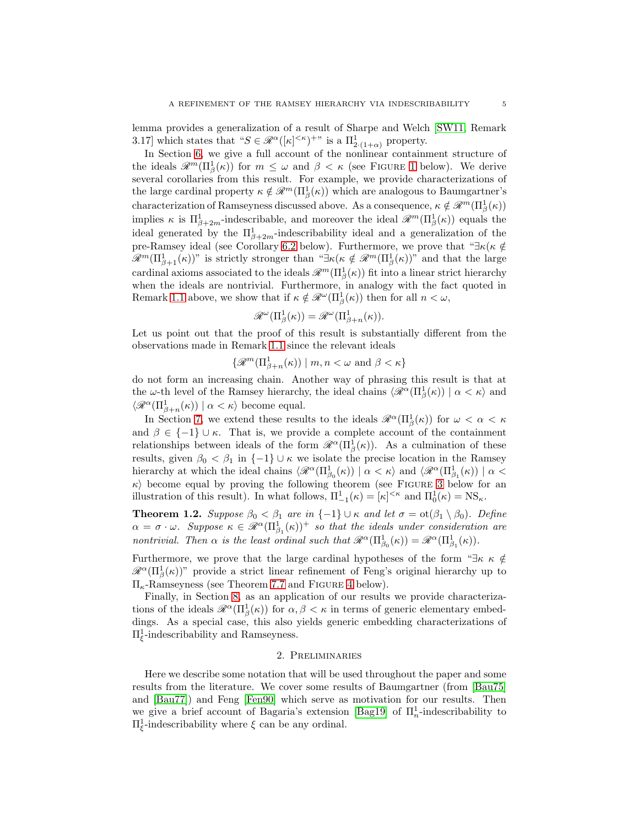lemma provides a generalization of a result of Sharpe and Welch [\[SW11,](#page-32-0) Remark 3.17] which states that " $S \in \mathcal{R}^{\alpha}([\kappa]^{<\kappa})^{+}$ " is a  $\Pi^1_{2:(1+\alpha)}$  property.

In Section [6,](#page-17-0) we give a full account of the nonlinear containment structure of the ideals  $\mathscr{R}^m(\Pi_\beta^1(\kappa))$  $\mathscr{R}^m(\Pi_\beta^1(\kappa))$  $\mathscr{R}^m(\Pi_\beta^1(\kappa))$  for  $m \leq \omega$  and  $\beta < \kappa$  (see FIGURE 1 below). We derive several corollaries from this result. For example, we provide characterizations of the large cardinal property  $\kappa \notin \mathcal{R}^m(\Pi_\beta^1(\kappa))$  which are analogous to Baumgartner's characterization of Ramseyness discussed above. As a consequence,  $\kappa \notin \mathcal{R}^m(\Pi_\beta^1(\kappa))$ implies  $\kappa$  is  $\Pi_{\beta+2m}^1$ -indescribable, and moreover the ideal  $\mathscr{R}^m(\Pi_{\beta}^1(\kappa))$  equals the ideal generated by the  $\Pi_{\beta+2m}^1$ -indescribability ideal and a generalization of the pre-Ramsey ideal (see Corollary [6.2](#page-19-1) below). Furthermore, we prove that " $\exists \kappa(\kappa \notin \mathbb{R})$ "  $\mathscr{R}^m(\Pi^1_{\beta+1}(\kappa))$ " is strictly stronger than " $\exists \kappa(\kappa \notin \mathscr{R}^m(\Pi^1_{\beta}(\kappa))$ " and that the large cardinal axioms associated to the ideals  $\mathscr{R}^m(\Pi_\beta^1(\kappa))$  fit into a linear strict hierarchy when the ideals are nontrivial. Furthermore, in analogy with the fact quoted in Remark [1.1](#page-2-0) above, we show that if  $\kappa \notin \mathcal{R}^{\omega}(\Pi_{\beta}^{1}(\kappa))$  then for all  $n < \omega$ ,

$$
\mathscr{R}^{\omega}(\Pi_{\beta}^{1}(\kappa)) = \mathscr{R}^{\omega}(\Pi_{\beta+n}^{1}(\kappa)).
$$

Let us point out that the proof of this result is substantially different from the observations made in Remark [1.1](#page-2-0) since the relevant ideals

$$
\{\mathscr{R}^m(\Pi^1_{\beta+n}(\kappa)) \mid m, n < \omega \text{ and } \beta < \kappa\}
$$

do not form an increasing chain. Another way of phrasing this result is that at the  $\omega$ -th level of the Ramsey hierarchy, the ideal chains  $\langle \mathscr{R}^{\alpha}(\Pi_{\beta}^{1}(\kappa)) | \alpha \langle \kappa \rangle$  and  $\langle \mathscr{R}^\alpha(\Pi_{\beta+n}^1(\kappa))\mid \alpha<\kappa\rangle$  become equal.

In Section [7,](#page-22-0) we extend these results to the ideals  $\mathscr{R}^{\alpha}(\Pi_{\beta}^{1}(\kappa))$  for  $\omega < \alpha < \kappa$ and  $\beta \in \{-1\} \cup \kappa$ . That is, we provide a complete account of the containment relationships between ideals of the form  $\mathscr{R}^{\alpha}(\Pi_{\beta}^{I}(\kappa))$ . As a culmination of these results, given  $\beta_0 < \beta_1$  in  $\{-1\} \cup \kappa$  we isolate the precise location in the Ramsey hierarchy at which the ideal chains  $\langle \mathcal{R}^{\alpha}(\Pi_{\beta_0}^1(\kappa)) | \alpha \langle \kappa \rangle$  and  $\langle \mathcal{R}^{\alpha}(\Pi_{\beta_1}^1(\kappa)) | \alpha \langle \kappa \rangle$  $\kappa$ ) become equal by proving the following theorem (see FIGURE [3](#page-25-1) below for an illustration of this result). In what follows,  $\Pi_{-1}^1(\kappa) = [\kappa]^{<\kappa}$  and  $\Pi_0^1(\kappa) = NS_{\kappa}$ .

<span id="page-4-0"></span>**Theorem 1.2.** Suppose  $\beta_0 < \beta_1$  are in  $\{-1\} \cup \kappa$  and let  $\sigma = \text{ot}(\beta_1 \setminus \beta_0)$ . Define  $\alpha = \sigma \cdot \omega$ . Suppose  $\kappa \in \mathscr{R}^{\alpha}(\Pi^1_{\beta_1}(\kappa))^+$  so that the ideals under consideration are nontrivial. Then  $\alpha$  is the least ordinal such that  $\mathscr{R}^{\alpha}(\Pi^1_{\beta_0}(\kappa)) = \mathscr{R}^{\alpha}(\Pi^1_{\beta_1}(\kappa)).$ 

Furthermore, we prove that the large cardinal hypotheses of the form " $\exists \kappa \kappa \notin$  $\mathscr{R}^{\alpha}(\Pi_{\beta}^{1}(\kappa))$ " provide a strict linear refinement of Feng's original hierarchy up to  $\Pi_{\kappa}$ -Ramseyness (see Theorem [7.7](#page-26-1) and FIGURE [4](#page-26-0) below).

Finally, in Section [8,](#page-29-0) as an application of our results we provide characterizations of the ideals  $\mathcal{R}^{\alpha}(\Pi_{\beta}^{1}(\kappa))$  for  $\alpha, \beta < \kappa$  in terms of generic elementary embeddings. As a special case, this also yields generic embedding characterizations of  $\Pi_{\xi}^1$ -indescribability and Ramseyness.

#### 2. Preliminaries

<span id="page-4-1"></span>Here we describe some notation that will be used throughout the paper and some results from the literature. We cover some results of Baumgartner (from [\[Bau75\]](#page-31-0) and [\[Bau77\]](#page-31-6)) and Feng [\[Fen90\]](#page-32-1) which serve as motivation for our results. Then we give a brief account of Bagaria's extension [\[Bag19\]](#page-31-1) of  $\Pi_n^1$ -indescribability to  $\Pi_{\xi}^{1}$ -indescribability where  $\xi$  can be any ordinal.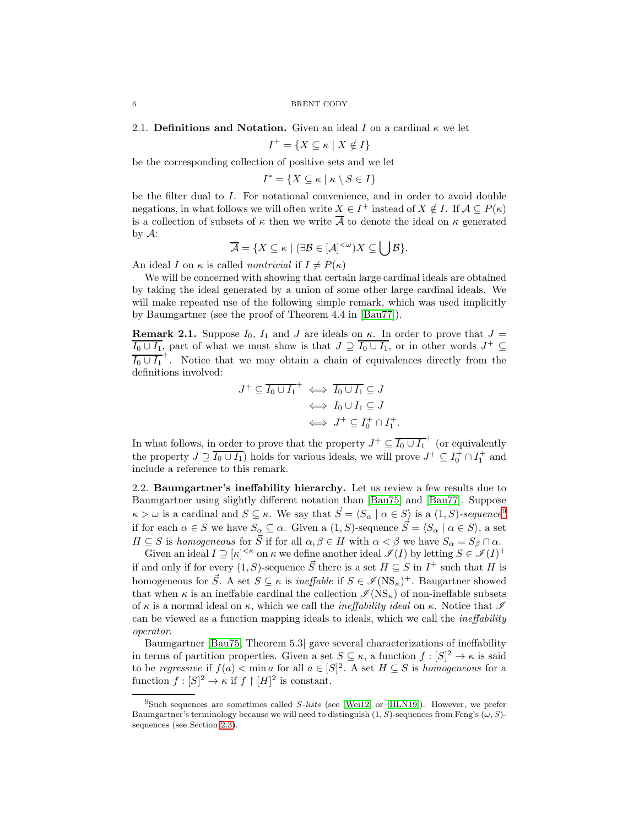2.1. Definitions and Notation. Given an ideal I on a cardinal  $\kappa$  we let

 $I^+ = \{ X \subseteq \kappa \mid X \notin I \}$ 

be the corresponding collection of positive sets and we let

 $I^* = \{ X \subseteq \kappa \mid \kappa \setminus S \in I \}$ 

be the filter dual to I. For notational convenience, and in order to avoid double negations, in what follows we will often write  $X \in I^+$  instead of  $X \notin I$ . If  $\mathcal{A} \subseteq P(\kappa)$ is a collection of subsets of  $\kappa$  then we write  $\overline{A}$  to denote the ideal on  $\kappa$  generated by A:

$$
\overline{\mathcal{A}} = \{ X \subseteq \kappa \mid (\exists \mathcal{B} \in [\mathcal{A}]^{<\omega}) X \subseteq \bigcup \mathcal{B} \}.
$$

An ideal I on  $\kappa$  is called *nontrivial* if  $I \neq P(\kappa)$ 

We will be concerned with showing that certain large cardinal ideals are obtained by taking the ideal generated by a union of some other large cardinal ideals. We will make repeated use of the following simple remark, which was used implicitly by Baumgartner (see the proof of Theorem 4.4 in [\[Bau77\]](#page-31-6)).

<span id="page-5-1"></span>**Remark 2.1.** Suppose  $I_0$ ,  $I_1$  and J are ideals on  $\kappa$ . In order to prove that  $J =$  $\overline{I_0 \cup I_1}$ , part of what we must show is that  $J \supseteq \overline{I_0 \cup I_1}$ , or in other words  $J^+ \subseteq$  $\overline{I_0 \cup I_1}^+$ . Notice that we may obtain a chain of equivalences directly from the definitions involved:

$$
J^+ \subseteq \overline{I_0 \cup I_1}^+ \iff \overline{I_0 \cup I_1} \subseteq J
$$
  

$$
\iff I_0 \cup I_1 \subseteq J
$$
  

$$
\iff J^+ \subseteq I_0^+ \cap I_1^+.
$$

In what follows, in order to prove that the property  $J^+ \subseteq \overline{I_0 \cup I_1}^+$  (or equivalently the property  $J \supseteq \overline{I_0 \cup I_1}$  holds for various ideals, we will prove  $J^+ \subseteq I_0^+ \cap I_1^+$  and include a reference to this remark.

2.2. Baumgartner's ineffability hierarchy. Let us review a few results due to Baumgartner using slightly different notation than [\[Bau75\]](#page-31-0) and [\[Bau77\]](#page-31-6). Suppose  $\kappa > \omega$  is a cardinal and  $S \subseteq \kappa$ . We say that  $\vec{S} = \langle S_\alpha \mid \alpha \in S \rangle$  is a  $(1, S)$ -sequence<sup>[9](#page-5-0)</sup> if for each  $\alpha \in S$  we have  $S_{\alpha} \subseteq \alpha$ . Given a  $(1, S)$ -sequence  $\vec{S} = \langle S_{\alpha} | \alpha \in S \rangle$ , a set  $H \subseteq S$  is homogeneous for  $\vec{S}$  if for all  $\alpha, \beta \in H$  with  $\alpha < \beta$  we have  $S_{\alpha} = S_{\beta} \cap \alpha$ .

Given an ideal  $I \supseteq [\kappa]^{<\kappa}$  on  $\kappa$  we define another ideal  $\mathscr{I}(I)$  by letting  $S \in \mathscr{I}(I)^+$ if and only if for every (1, S)-sequence  $\vec{S}$  there is a set  $H \subseteq S$  in  $I^+$  such that H is homogeneous for  $\vec{S}$ . A set  $S \subseteq \kappa$  is *ineffable* if  $S \in \mathscr{I}(\text{NS}_{\kappa})^+$ . Baugartner showed that when  $\kappa$  is an ineffable cardinal the collection  $\mathcal{I}(NS_{\kappa})$  of non-ineffable subsets of  $\kappa$  is a normal ideal on  $\kappa$ , which we call the *ineffability ideal* on  $\kappa$ . Notice that  $\mathscr I$ can be viewed as a function mapping ideals to ideals, which we call the ineffability operator.

Baumgartner [\[Bau75,](#page-31-0) Theorem 5.3] gave several characterizations of ineffability in terms of partition properties. Given a set  $S \subseteq \kappa$ , a function  $f : [S]^2 \to \kappa$  is said to be regressive if  $f(a) < \min a$  for all  $a \in [S]^2$ . A set  $H \subseteq S$  is homogeneous for a function  $f: [S]^2 \to \kappa$  if  $f \restriction [H]^2$  is constant.

<span id="page-5-0"></span> $^{9}$ Such sequences are sometimes called S-lists (see [\[Wei12\]](#page-32-11) or [\[HLN19\]](#page-32-12)). However, we prefer Baumgartner's terminology because we will need to distinguish  $(1, S)$ -sequences from Feng's  $(\omega, S)$ sequences (see Section [2.3\)](#page-7-0).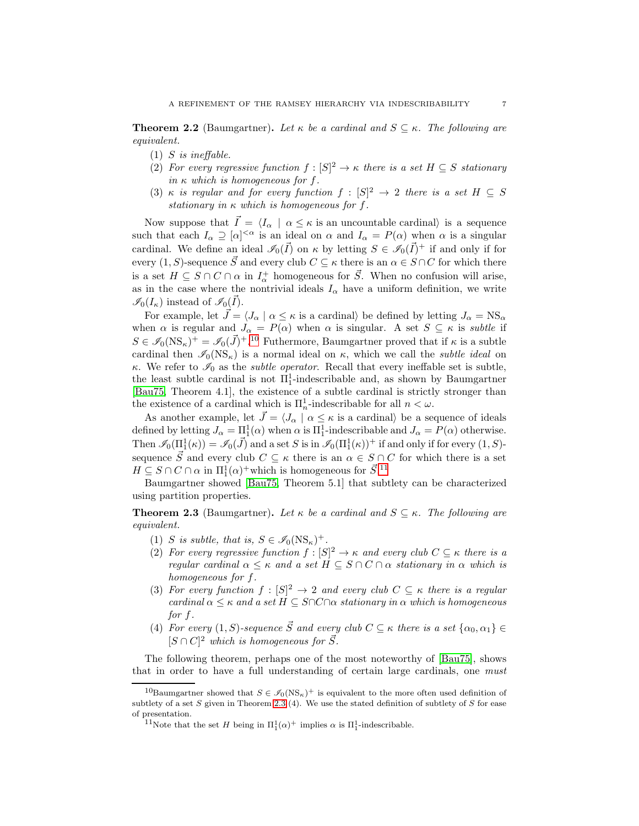<span id="page-6-3"></span>**Theorem 2.2** (Baumgartner). Let  $\kappa$  be a cardinal and  $S \subseteq \kappa$ . The following are equivalent.

- $(1)$  *S* is ineffable.
- (2) For every regressive function  $f : [S]^2 \to \kappa$  there is a set  $H \subseteq S$  stationary in  $\kappa$  which is homogeneous for f.
- (3) κ is regular and for every function  $f : [S]^2 \to 2$  there is a set  $H \subseteq S$ stationary in  $\kappa$  which is homogeneous for f.

Now suppose that  $\vec{I} = \langle I_{\alpha} | \alpha \leq \kappa$  is an uncountable cardinal) is a sequence such that each  $I_\alpha \supseteq [\alpha]^{<\alpha}$  is an ideal on  $\alpha$  and  $I_\alpha = P(\alpha)$  when  $\alpha$  is a singular cardinal. We define an ideal  $\mathcal{I}_0(\vec{I})$  on  $\kappa$  by letting  $S \in \mathcal{I}_0(\vec{I})^+$  if and only if for every  $(1, S)$ -sequence  $\overline{S}$  and every club  $C \subseteq \kappa$  there is an  $\alpha \in S \cap C$  for which there is a set  $H \subseteq S \cap C \cap \alpha$  in  $I^+_{\alpha}$  homogeneous for  $\vec{S}$ . When no confusion will arise, as in the case where the nontrivial ideals  $I_{\alpha}$  have a uniform definition, we write  $\mathscr{I}_0(I_\kappa)$  instead of  $\mathscr{I}_0(\vec{I}).$ 

For example, let  $\bar{J} = \langle J_\alpha | \alpha \leq \kappa$  is a cardinal) be defined by letting  $J_\alpha = \text{NS}_\alpha$ when  $\alpha$  is regular and  $J_{\alpha} = P(\alpha)$  when  $\alpha$  is singular. A set  $S \subseteq \kappa$  is subtle if  $S \in \mathscr{I}_0(NS_\kappa)^+ = \mathscr{I}_0(\vec{J})^{+.10}$  $S \in \mathscr{I}_0(NS_\kappa)^+ = \mathscr{I}_0(\vec{J})^{+.10}$  $S \in \mathscr{I}_0(NS_\kappa)^+ = \mathscr{I}_0(\vec{J})^{+.10}$  Futhermore, Baumgartner proved that if  $\kappa$  is a subtle cardinal then  $\mathcal{I}_0(NS_{\kappa})$  is a normal ideal on  $\kappa$ , which we call the *subtle ideal* on κ. We refer to  $\mathscr{I}_0$  as the *subtle operator*. Recall that every ineffable set is subtle, the least subtle cardinal is not  $\Pi_1^1$ -indescribable and, as shown by Baumgartner [\[Bau75,](#page-31-0) Theorem 4.1], the existence of a subtle cardinal is strictly stronger than the existence of a cardinal which is  $\Pi_n^1$ -indescribable for all  $n < \omega$ .

As another example, let  $\vec{J} = \langle J_\alpha | \alpha \leq \kappa$  is a cardinal) be a sequence of ideals defined by letting  $J_\alpha = \Pi_1^1(\alpha)$  when  $\alpha$  is  $\Pi_1^1$ -indescribable and  $J_\alpha = P(\alpha)$  otherwise. Then  $\mathscr{I}_0(\Pi_1^1(\kappa)) = \mathscr{I}_0(\vec{J})$  and a set S is in  $\mathscr{I}_0(\Pi_1^1(\kappa))^+$  if and only if for every  $(1, S)$ sequence  $\vec{S}$  and every club  $C \subseteq \kappa$  there is an  $\alpha \in S \cap C$  for which there is a set  $H \subseteq S \cap C \cap \alpha$  in  $\Pi_1^1(\alpha)^+$  which is homogeneous for  $\vec{S}$ <sup>[11](#page-6-1)</sup>

Baumgartner showed [\[Bau75,](#page-31-0) Theorem 5.1] that subtlety can be characterized using partition properties.

<span id="page-6-2"></span>**Theorem 2.3** (Baumgartner). Let  $\kappa$  be a cardinal and  $S \subseteq \kappa$ . The following are equivalent.

- (1) S is subtle, that is,  $S \in \mathcal{I}_0(\text{NS}_{\kappa})^+$ .
- (2) For every regressive function  $f : [S]^2 \to \kappa$  and every club  $C \subseteq \kappa$  there is a regular cardinal  $\alpha \leq \kappa$  and a set  $H \subseteq S \cap C \cap \alpha$  stationary in  $\alpha$  which is homogeneous for f.
- (3) For every function  $f : [S]^2 \to 2$  and every club  $C \subseteq \kappa$  there is a regular cardinal  $\alpha \leq \kappa$  and a set  $H \subseteq S \cap C \cap \alpha$  stationary in  $\alpha$  which is homogeneous for f.
- (4) For every (1, S)-sequence  $\vec{S}$  and every club  $C \subseteq \kappa$  there is a set  $\{\alpha_0, \alpha_1\} \in$  $[S \cap C]^2$  which is homogeneous for  $\vec{S}$ .

The following theorem, perhaps one of the most noteworthy of [\[Bau75\]](#page-31-0), shows that in order to have a full understanding of certain large cardinals, one must

<sup>&</sup>lt;sup>10</sup>Baumgartner showed that  $S \in \mathcal{I}_0(NS_\kappa)^+$  is equivalent to the more often used definition of subtlety of a set  $S$  given in Theorem [2.3](#page-6-2) (4). We use the stated definition of subtlety of  $S$  for ease of presentation.

<span id="page-6-1"></span><span id="page-6-0"></span><sup>&</sup>lt;sup>11</sup>Note that the set H being in  $\Pi_1^1(\alpha)^+$  implies  $\alpha$  is  $\Pi_1^1$ -indescribable.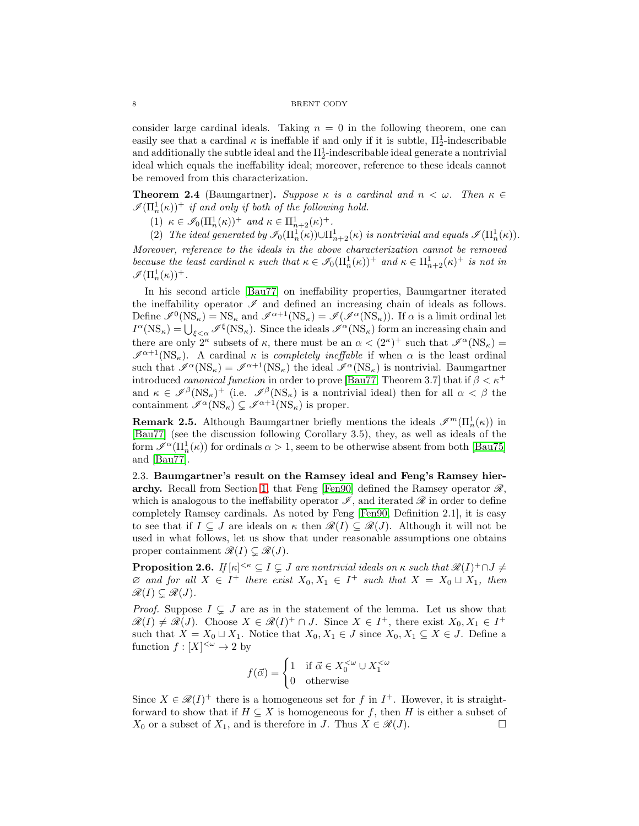#### 8 BRENT CODY

consider large cardinal ideals. Taking  $n = 0$  in the following theorem, one can easily see that a cardinal  $\kappa$  is ineffable if and only if it is subtle,  $\Pi_2^1$ -indescribable and additionally the subtle ideal and the  $\Pi^1_2$ -indescribable ideal generate a nontrivial ideal which equals the ineffability ideal; moreover, reference to these ideals cannot be removed from this characterization.

<span id="page-7-1"></span>**Theorem 2.4** (Baumgartner). Suppose  $\kappa$  is a cardinal and  $n < \omega$ . Then  $\kappa \in$  $\mathscr{I}(\Pi^1_n(\kappa))^+$  if and only if both of the following hold.

(1)  $\kappa \in \mathcal{I}_0(\Pi_n^1(\kappa))^+$  and  $\kappa \in \Pi_{n+2}^1(\kappa)^+$ .

(2) The ideal generated by  $\mathscr{I}_0(\Pi^1_n(\kappa)) \cup \Pi^1_{n+2}(\kappa)$  is nontrivial and equals  $\mathscr{I}(\Pi^1_n(\kappa))$ . Moreover, reference to the ideals in the above characterization cannot be removed because the least cardinal  $\kappa$  such that  $\kappa \in \mathcal{I}_0(\Pi_n^1(\kappa))^+$  and  $\kappa \in \Pi_{n+2}^1(\kappa)^+$  is not in

 $\mathscr{I}(\Pi^1_n(\kappa))^+$ .

In his second article [\[Bau77\]](#page-31-6) on ineffability properties, Baumgartner iterated the ineffability operator  $\mathscr I$  and defined an increasing chain of ideals as follows. Define  $\mathscr{I}^0(NS_\kappa) = NS_\kappa$  and  $\mathscr{I}^{\alpha+1}(NS_\kappa) = \mathscr{I}(\mathscr{I}^{\alpha}(NS_\kappa))$ . If  $\alpha$  is a limit ordinal let  $I^{\alpha}(\text{NS}_{\kappa}) = \bigcup_{\xi < \alpha} \mathscr{I}^{\xi}(\text{NS}_{\kappa})$ . Since the ideals  $\mathscr{I}^{\alpha}(\text{NS}_{\kappa})$  form an increasing chain and there are only  $2^{\kappa}$  subsets of  $\kappa$ , there must be an  $\alpha < (2^{\kappa})^+$  such that  $\mathscr{I}^{\alpha}(\text{NS}_{\kappa}) =$  $\mathscr{I}^{\alpha+1}(NS_{\kappa})$ . A cardinal  $\kappa$  is *completely ineffable* if when  $\alpha$  is the least ordinal such that  $\mathscr{I}^{\alpha}(NS_{\kappa}) = \mathscr{I}^{\alpha+1}(NS_{\kappa})$  the ideal  $\mathscr{I}^{\alpha}(NS_{\kappa})$  is nontrivial. Baumgartner introduced *canonical function* in order to prove [\[Bau77,](#page-31-6) Theorem 3.7] that if  $\beta < \kappa^+$ and  $\kappa \in \mathscr{I}^{\beta}(\text{NS}_{\kappa})^+$  (i.e.  $\mathscr{I}^{\beta}(\text{NS}_{\kappa})$  is a nontrivial ideal) then for all  $\alpha < \beta$  the containment  $\mathscr{I}^{\alpha}(\text{NS}_{\kappa}) \subseteq \mathscr{I}^{\alpha+1}(\text{NS}_{\kappa})$  is proper.

**Remark 2.5.** Although Baumgartner briefly mentions the ideals  $\mathscr{I}^m(\Pi_n^1(\kappa))$  in [\[Bau77\]](#page-31-6) (see the discussion following Corollary 3.5), they, as well as ideals of the form  $\mathscr{I}^{\alpha}(\Pi_n^1(\kappa))$  for ordinals  $\alpha > 1$ , seem to be otherwise absent from both [\[Bau75\]](#page-31-0) and [\[Bau77\]](#page-31-6).

<span id="page-7-0"></span>2.3. Baumgartner's result on the Ramsey ideal and Feng's Ramsey hier-archy. Recall from Section [1,](#page-0-0) that Feng [\[Fen90\]](#page-32-1) defined the Ramsey operator  $\mathscr{R}$ , which is analogous to the ineffability operator  $\mathscr{I}$ , and iterated  $\mathscr{R}$  in order to define completely Ramsey cardinals. As noted by Feng [\[Fen90,](#page-32-1) Definition 2.1], it is easy to see that if  $I \subseteq J$  are ideals on  $\kappa$  then  $\mathscr{R}(I) \subseteq \mathscr{R}(J)$ . Although it will not be used in what follows, let us show that under reasonable assumptions one obtains proper containment  $\mathcal{R}(I) \subseteq \mathcal{R}(J)$ .

**Proposition 2.6.** If  $[\kappa]^{<\kappa} \subseteq I \subsetneq J$  are nontrivial ideals on  $\kappa$  such that  $\mathscr{R}(I)^+ \cap J \neq J$  $\emptyset$  and for all  $X \in I^+$  there exist  $X_0, X_1 \in I^+$  such that  $X = X_0 \sqcup X_1$ , then  $\mathscr{R}(I) \subseteq \mathscr{R}(J)$ .

*Proof.* Suppose  $I \subseteq J$  are as in the statement of the lemma. Let us show that  $\mathscr{R}(I) \neq \mathscr{R}(J)$ . Choose  $X \in \mathscr{R}(I)^+ \cap J$ . Since  $X \in I^+$ , there exist  $X_0, X_1 \in I^+$ such that  $X = X_0 \sqcup X_1$ . Notice that  $X_0, X_1 \in J$  since  $X_0, X_1 \subseteq X \in J$ . Define a function  $f: [X]^{<\omega} \to 2$  by

$$
f(\vec{\alpha}) = \begin{cases} 1 & \text{if } \vec{\alpha} \in X_0^{<\omega} \cup X_1^{<\omega} \\ 0 & \text{otherwise} \end{cases}
$$

Since  $X \in \mathcal{R}(I)^+$  there is a homogeneous set for f in  $I^+$ . However, it is straightforward to show that if  $H \subseteq X$  is homogeneous for f, then H is either a subset of  $X_0$  or a subset of  $X_1$ , and is therefore in J. Thus  $X \in \mathcal{R}(J)$ .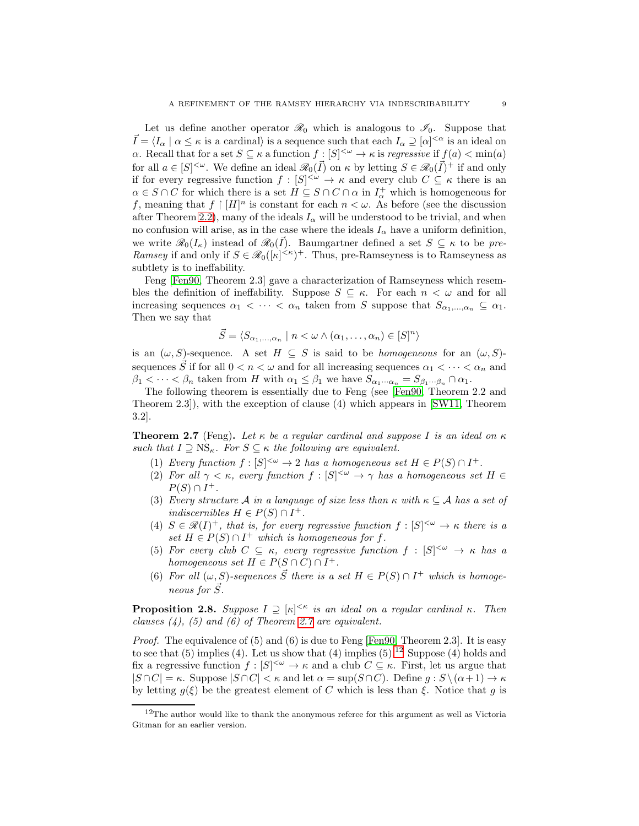Let us define another operator  $\mathcal{R}_0$  which is analogous to  $\mathcal{I}_0$ . Suppose that  $\vec{I} = \langle I_\alpha | \alpha \leq \kappa$  is a cardinal) is a sequence such that each  $I_\alpha \supseteq [\alpha]^{<\alpha}$  is an ideal on α. Recall that for a set  $S \subseteq \kappa$  a function  $f : [S]^{< ω} \to \kappa$  is regressive if  $f(a) < min(a)$ for all  $a \in [S]^{<\omega}$ . We define an ideal  $\mathscr{R}_0(\vec{I})$  on  $\kappa$  by letting  $S \in \mathscr{R}_0(\vec{I})^+$  if and only if for every regressive function  $f : [S]^{<\omega} \to \kappa$  and every club  $C \subseteq \kappa$  there is an  $\alpha \in S \cap C$  for which there is a set  $H \subseteq S \cap C \cap \alpha$  in  $I^+_{\alpha}$  which is homogeneous for f, meaning that  $f \upharpoonright [H]^n$  is constant for each  $n < \omega$ . As before (see the discussion after Theorem [2.2\)](#page-6-3), many of the ideals  $I_{\alpha}$  will be understood to be trivial, and when no confusion will arise, as in the case where the ideals  $I_{\alpha}$  have a uniform definition, we write  $\mathscr{R}_0(I_\kappa)$  instead of  $\mathscr{R}_0(\vec{I})$ . Baumgartner defined a set  $S \subseteq \kappa$  to be pre-Ramsey if and only if  $S \in \mathcal{R}_0([\kappa]^{<\kappa})^+$ . Thus, pre-Ramseyness is to Ramseyness as subtlety is to ineffability.

Feng [\[Fen90,](#page-32-1) Theorem 2.3] gave a characterization of Ramseyness which resembles the definition of ineffability. Suppose  $S \subseteq \kappa$ . For each  $n < \omega$  and for all increasing sequences  $\alpha_1 < \cdots < \alpha_n$  taken from S suppose that  $S_{\alpha_1,\ldots,\alpha_n} \subseteq \alpha_1$ . Then we say that

$$
\vec{S} = \langle S_{\alpha_1, \dots, \alpha_n} \mid n < \omega \land (\alpha_1, \dots, \alpha_n) \in [S]^n \rangle
$$

is an  $(\omega, S)$ -sequence. A set  $H \subseteq S$  is said to be *homogeneous* for an  $(\omega, S)$ sequences  $\vec{S}$  if for all  $0 < n < \omega$  and for all increasing sequences  $\alpha_1 < \cdots < \alpha_n$  and  $\beta_1 < \cdots < \beta_n$  taken from H with  $\alpha_1 \leq \beta_1$  we have  $S_{\alpha_1 \cdots \alpha_n} = S_{\beta_1 \cdots \beta_n} \cap \alpha_1$ .

The following theorem is essentially due to Feng (see [\[Fen90,](#page-32-1) Theorem 2.2 and Theorem 2.3]), with the exception of clause (4) which appears in [\[SW11,](#page-32-0) Theorem 3.2].

<span id="page-8-1"></span>**Theorem 2.7** (Feng). Let  $\kappa$  be a regular cardinal and suppose I is an ideal on  $\kappa$ such that  $I \supseteq \text{NS}_{\kappa}$ . For  $S \subseteq \kappa$  the following are equivalent.

- (1) Every function  $f: [S]^{<\omega} \to 2$  has a homogeneous set  $H \in P(S) \cap I^+$ .
- (2) For all  $\gamma < \kappa$ , every function  $f : [S]^{<\omega} \to \gamma$  has a homogeneous set  $H \in$  $P(S) \cap I^+$ .
- (3) Every structure A in a language of size less than  $\kappa$  with  $\kappa \subset A$  has a set of indiscernibles  $H \in P(S) \cap I^+$ .
- (4)  $S \in \mathcal{R}(I)^+$ , that is, for every regressive function  $f : [S]^{<\omega} \to \kappa$  there is a set  $H \in P(S) \cap I^+$  which is homogeneous for f.
- (5) For every club  $C \subseteq \kappa$ , every regressive function  $f : [S]^{<\omega} \to \kappa$  has a homogeneous set  $H \in P(S \cap C) \cap I^+$ .
- (6) For all  $(\omega, S)$ -sequences  $\vec{S}$  there is a set  $H \in P(S) \cap I^+$  which is homogeneous for  $\vec{S}$ .

<span id="page-8-0"></span>**Proposition 2.8.** Suppose  $I \supseteq [\kappa]^{< \kappa}$  is an ideal on a regular cardinal  $\kappa$ . Then clauses  $(4)$ ,  $(5)$  and  $(6)$  of Theorem [2.7](#page-8-1) are equivalent.

Proof. The equivalence of (5) and (6) is due to Feng [\[Fen90,](#page-32-1) Theorem 2.3]. It is easy to see that  $(5)$  implies  $(4)$ . Let us show that  $(4)$  implies  $(5)$ .<sup>[12](#page-8-2)</sup> Suppose  $(4)$  holds and fix a regressive function  $f : [S]^{<\omega} \to \kappa$  and a club  $C \subseteq \kappa$ . First, let us argue that  $|S \cap C| = \kappa$ . Suppose  $|S \cap C| < \kappa$  and let  $\alpha = \sup(S \cap C)$ . Define  $g : S \setminus (\alpha + 1) \to \kappa$ by letting  $q(\xi)$  be the greatest element of C which is less than  $\xi$ . Notice that q is

<span id="page-8-2"></span> $12$ The author would like to thank the anonymous referee for this argument as well as Victoria Gitman for an earlier version.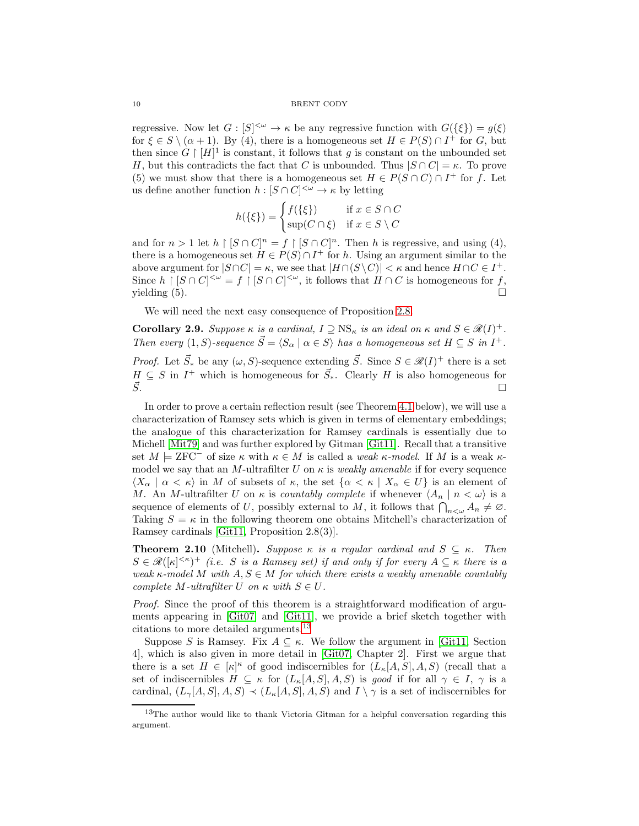regressive. Now let  $G: [S]^{<\omega} \to \kappa$  be any regressive function with  $G({\{\xi\}}) = g(\xi)$ for  $\xi \in S \setminus (\alpha + 1)$ . By (4), there is a homogeneous set  $H \in P(S) \cap I^+$  for G, but then since  $G \restriction [H]^1$  is constant, it follows that g is constant on the unbounded set H, but this contradicts the fact that C is unbounded. Thus  $|S \cap C| = \kappa$ . To prove (5) we must show that there is a homogeneous set  $H \in P(S \cap C) \cap I^+$  for f. Let us define another function  $h: [S \cap C]^{<\omega} \to \kappa$  by letting

$$
h(\{\xi\}) = \begin{cases} f(\{\xi\}) & \text{if } x \in S \cap C \\ \sup(C \cap \xi) & \text{if } x \in S \setminus C \end{cases}
$$

and for  $n > 1$  let  $h \restriction [S \cap C]^n = f \restriction [S \cap C]^n$ . Then h is regressive, and using (4), there is a homogeneous set  $H \in P(S) \cap I^+$  for h. Using an argument similar to the above argument for  $|S \cap C| = \kappa$ , we see that  $|H \cap (S \setminus C)| < \kappa$  and hence  $H \cap C \in I^+$ . Since  $h \restriction [S \cap C]^{<\omega} = f \restriction [S \cap C]^{<\omega}$ , it follows that  $H \cap C$  is homogeneous for f, yielding  $(5)$ .

We will need the next easy consequence of Proposition [2.8.](#page-8-0)

<span id="page-9-2"></span>**Corollary 2.9.** Suppose  $\kappa$  is a cardinal,  $I \supseteq \text{NS}_{\kappa}$  is an ideal on  $\kappa$  and  $S \in \mathcal{R}(I)^+$ . Then every  $(1, S)$ -sequence  $\vec{S} = \langle S_\alpha | \alpha \in S \rangle$  has a homogeneous set  $H \subseteq S$  in  $I^+$ . *Proof.* Let  $\vec{S}_*$  be any  $(\omega, S)$ -sequence extending  $\vec{S}$ . Since  $S \in \mathcal{R}(I)^+$  there is a set  $H \subseteq S$  in  $I^+$  which is homogeneous for  $\vec{S}_{*}$ . Clearly H is also homogeneous for  $\vec{S}$ .

In order to prove a certain reflection result (see Theorem [4.1](#page-14-0) below), we will use a characterization of Ramsey sets which is given in terms of elementary embeddings; the analogue of this characterization for Ramsey cardinals is essentially due to Michell [\[Mit79\]](#page-32-4) and was further explored by Gitman [\[Git11\]](#page-32-5). Recall that a transitive set  $M \models ZFC^-$  of size  $\kappa$  with  $\kappa \in M$  is called a weak  $\kappa$ -model. If M is a weak  $\kappa$ model we say that an M-ultrafilter U on  $\kappa$  is *weakly amenable* if for every sequence  $\langle X_\alpha | \alpha \langle \kappa \rangle$  in M of subsets of  $\kappa$ , the set  $\{\alpha \langle \kappa | X_\alpha \in U\}$  is an element of M. An M-ultrafilter U on  $\kappa$  is countably complete if whenever  $\langle A_n | n \langle \omega \rangle$  is a sequence of elements of U, possibly external to M, it follows that  $\bigcap_{n<\omega} A_n \neq \emptyset$ . Taking  $S = \kappa$  in the following theorem one obtains Mitchell's characterization of Ramsey cardinals [\[Git11,](#page-32-5) Proposition 2.8(3)].

<span id="page-9-0"></span>**Theorem 2.10** (Mitchell). Suppose  $\kappa$  is a regular cardinal and  $S \subseteq \kappa$ . Then  $S \in \mathcal{R}(|\kappa|^{< \kappa})^+$  (i.e. S is a Ramsey set) if and only if for every  $A \subseteq \kappa$  there is a weak  $\kappa$ -model M with  $A, S \in M$  for which there exists a weakly amenable countably complete M-ultrafilter U on  $\kappa$  with  $S \in U$ .

Proof. Since the proof of this theorem is a straightforward modification of arguments appearing in [\[Git07\]](#page-32-10) and [\[Git11\]](#page-32-5), we provide a brief sketch together with citations to more detailed arguments.[13](#page-9-1)

Suppose S is Ramsey. Fix  $A \subseteq \kappa$ . We follow the argument in [\[Git11,](#page-32-5) Section 4], which is also given in more detail in [\[Git07,](#page-32-10) Chapter 2]. First we argue that there is a set  $H \in [\kappa]^{\kappa}$  of good indiscernibles for  $(L_{\kappa}[A, S], A, S)$  (recall that a set of indiscernibles  $H \subseteq \kappa$  for  $(L_{\kappa}[A, S], A, S)$  is good if for all  $\gamma \in I$ ,  $\gamma$  is a cardinal,  $(L_{\gamma}[A, S], A, S) \prec (L_{\kappa}[A, S], A, S)$  and  $I \setminus \gamma$  is a set of indiscernibles for

<span id="page-9-1"></span><sup>&</sup>lt;sup>13</sup>The author would like to thank Victoria Gitman for a helpful conversation regarding this argument.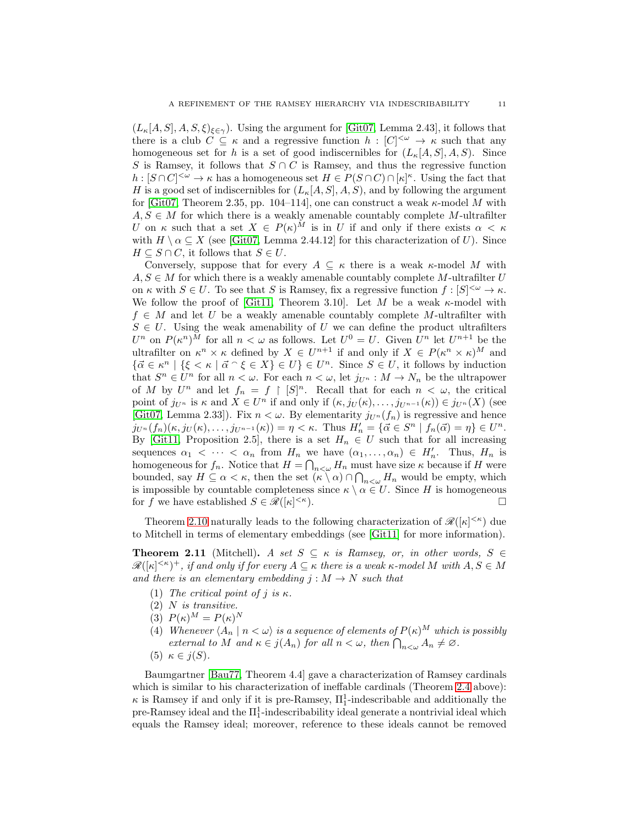$(L_{\kappa}[A, S], A, S, \xi)_{\xi \in \gamma}$ . Using the argument for [\[Git07,](#page-32-10) Lemma 2.43], it follows that there is a club  $C \subseteq \kappa$  and a regressive function  $h : [C]^{<\omega} \to \kappa$  such that any homogeneous set for h is a set of good indiscernibles for  $(L_{\kappa}[A, S], A, S)$ . Since S is Ramsey, it follows that  $S \cap C$  is Ramsey, and thus the regressive function  $h: [S \cap C]^{<\omega} \to \kappa$  has a homogeneous set  $H \in P(S \cap C) \cap [\kappa]^{\kappa}$ . Using the fact that H is a good set of indiscernibles for  $(L_{\kappa}[A, S], A, S)$ , and by following the argument for [\[Git07,](#page-32-10) Theorem 2.35, pp. 104–114], one can construct a weak  $\kappa$ -model M with  $A, S \in M$  for which there is a weakly amenable countably complete M-ultrafilter U on  $\kappa$  such that a set  $X \in P(\kappa)^M$  is in U if and only if there exists  $\alpha < \kappa$ with  $H \setminus \alpha \subseteq X$  (see [\[Git07,](#page-32-10) Lemma 2.44.12] for this characterization of U). Since  $H \subseteq S \cap C$ , it follows that  $S \in U$ .

Conversely, suppose that for every  $A \subseteq \kappa$  there is a weak  $\kappa$ -model M with  $A, S \in M$  for which there is a weakly amenable countably complete M-ultrafilter U on  $\kappa$  with  $S \in U$ . To see that S is Ramsey, fix a regressive function  $f : [S]^{<\omega} \to \kappa$ . We follow the proof of [\[Git11,](#page-32-5) Theorem 3.10]. Let M be a weak  $\kappa$ -model with  $f \in M$  and let U be a weakly amenable countably complete M-ultrafilter with  $S \in U$ . Using the weak amenability of U we can define the product ultrafilters  $U^n$  on  $P(\kappa^n)^M$  for all  $n < \omega$  as follows. Let  $U^0 = U$ . Given  $U^n$  let  $U^{n+1}$  be the ultrafilter on  $\kappa^n \times \kappa$  defined by  $X \in U^{n+1}$  if and only if  $X \in P(\kappa^n \times \kappa)^M$  and  $\{\vec{\alpha} \in \kappa^n \mid \{\xi < \kappa \mid \vec{\alpha} \cap \xi \in X\} \in U\} \in U^n$ . Since  $S \in U$ , it follows by induction that  $S^n \in U^n$  for all  $n < \omega$ . For each  $n < \omega$ , let  $j_{U^n} : M \to N_n$  be the ultrapower of M by  $U^n$  and let  $f_n = f \restriction [S]^n$ . Recall that for each  $n < \omega$ , the critical point of  $j_{U^n}$  is  $\kappa$  and  $X \in U^n$  if and only if  $(\kappa, j_U(\kappa), \ldots, j_{U^{n-1}}(\kappa)) \in j_{U^n}(X)$  (see [\[Git07,](#page-32-10) Lemma 2.33]). Fix  $n < \omega$ . By elementarity  $j_{U^n}(f_n)$  is regressive and hence  $j_{U^n}(f_n)(\kappa, j_U(\kappa), \ldots, j_{U^{n-1}}(\kappa)) = \eta < \kappa$ . Thus  $H'_n = {\{\vec{\alpha} \in S^n \mid f_n(\vec{\alpha}) = \eta\}} \in U^n$ . By [\[Git11,](#page-32-5) Proposition 2.5], there is a set  $H_n \in U$  such that for all increasing sequences  $\alpha_1 < \cdots < \alpha_n$  from  $H_n$  we have  $(\alpha_1, \ldots, \alpha_n) \in H'_n$ . Thus,  $H_n$  is homogeneous for  $f_n$ . Notice that  $H = \bigcap_{n<\omega} H_n$  must have size  $\kappa$  because if H were bounded, say  $H \subseteq \alpha < \kappa$ , then the set  $(\kappa \setminus \alpha) \cap \bigcap_{n<\omega} H_n$  would be empty, which is impossible by countable completeness since  $\kappa \setminus \alpha \in U$ . Since H is homogeneous for f we have established  $S \in \mathscr{R}([\kappa]^{<\kappa})$ .  $\left\langle \kappa\right\rangle$ .

Theorem [2.10](#page-9-0) naturally leads to the following characterization of  $\mathscr{R}([\kappa]^{<\kappa})$  due to Mitchell in terms of elementary embeddings (see [\[Git11\]](#page-32-5) for more information).

<span id="page-10-0"></span>**Theorem 2.11** (Mitchell). A set  $S \subseteq \kappa$  is Ramsey, or, in other words,  $S \in$  $\mathscr{R}([\kappa]^{<\kappa})^+$ , if and only if for every  $A\subseteq\kappa$  there is a weak  $\kappa$ -model M with  $A, S\in M$ and there is an elementary embedding  $j : M \to N$  such that

- (1) The critical point of j is  $\kappa$ .
- (2) N is transitive.
- (3)  $P(\kappa)^M = P(\kappa)^N$
- (4) Whenever  $\langle A_n | n < \omega \rangle$  is a sequence of elements of  $P(\kappa)^M$  which is possibly external to M and  $\kappa \in j(A_n)$  for all  $n < \omega$ , then  $\bigcap_{n<\omega} A_n \neq \varnothing$ .
- (5)  $\kappa \in j(S)$ .

Baumgartner [\[Bau77,](#page-31-6) Theorem 4.4] gave a characterization of Ramsey cardinals which is similar to his characterization of ineffable cardinals (Theorem [2.4](#page-7-1) above):  $\kappa$  is Ramsey if and only if it is pre-Ramsey,  $\Pi^1_1$ -indescribable and additionally the pre-Ramsey ideal and the  $\Pi^1_1$ -indescribability ideal generate a nontrivial ideal which equals the Ramsey ideal; moreover, reference to these ideals cannot be removed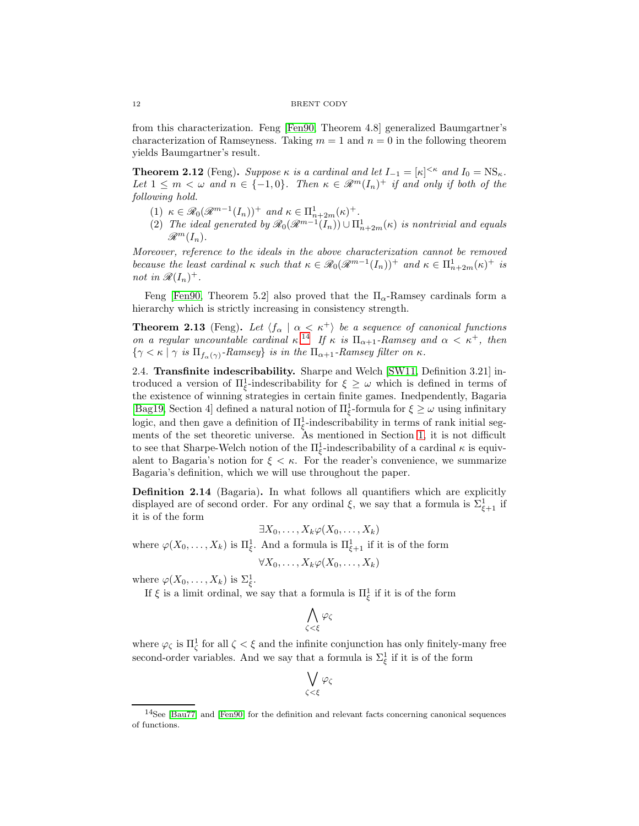from this characterization. Feng [\[Fen90,](#page-32-1) Theorem 4.8] generalized Baumgartner's characterization of Ramseyness. Taking  $m = 1$  and  $n = 0$  in the following theorem yields Baumgartner's result.

**Theorem 2.12** (Feng). Suppose  $\kappa$  is a cardinal and let  $I_{-1} = [\kappa]^{<\kappa}$  and  $I_0 = \text{NS}_{\kappa}$ . Let  $1 \leq m < \omega$  and  $n \in \{-1,0\}$ . Then  $\kappa \in \mathcal{R}^m(I_n)^+$  if and only if both of the following hold.

- (1)  $\kappa \in \mathcal{R}_0(\mathcal{R}^{m-1}(I_n))^+$  and  $\kappa \in \Pi_{n+2m}^1(\kappa)^+$ .
- (2) The ideal generated by  $\mathscr{R}_0(\mathscr{R}^{m-1}(I_n)) \cup \Pi_{n+2m}^1(\kappa)$  is nontrivial and equals  $\mathscr{R}^m(I_n)$ .

Moreover, reference to the ideals in the above characterization cannot be removed because the least cardinal  $\kappa$  such that  $\kappa \in \mathcal{R}_0(\mathcal{R}^{m-1}(I_n))^+$  and  $\kappa \in \Pi_{n+2m}^1(\kappa)^+$  is not in  $\mathscr{R}(I_n)^+$ .

Feng [\[Fen90,](#page-32-1) Theorem 5.2] also proved that the  $\Pi_{\alpha}$ -Ramsey cardinals form a hierarchy which is strictly increasing in consistency strength.

**Theorem 2.13** (Feng). Let  $\langle f_\alpha | \alpha \langle \kappa^+ \rangle$  be a sequence of canonical functions on a regular uncountable cardinal  $\kappa^{14}$  $\kappa^{14}$  $\kappa^{14}$  If  $\kappa$  is  $\Pi_{\alpha+1}$ -Ramsey and  $\alpha < \kappa^+$ , then  $\{\gamma < \kappa \mid \gamma \text{ is } \Pi_{f_\alpha(\gamma)}\text{-Ramsey}\}$  is in the  $\Pi_{\alpha+1}\text{-Ramsey filter on } \kappa$ .

<span id="page-11-0"></span>2.4. Transfinite indescribability. Sharpe and Welch [\[SW11,](#page-32-0) Definition 3.21] introduced a version of  $\Pi_{\xi}^1$ -indescribability for  $\xi \geq \omega$  which is defined in terms of the existence of winning strategies in certain finite games. Inedpendently, Bagaria [\[Bag19,](#page-31-1) Section 4] defined a natural notion of  $\Pi_{\xi}^1$ -formula for  $\xi \geq \omega$  using infinitary logic, and then gave a definition of  $\Pi_{\xi}^1$ -indescribability in terms of rank initial segments of the set theoretic universe. As mentioned in Section [1,](#page-0-0) it is not difficult to see that Sharpe-Welch notion of the  $\Pi_{\xi}^1$ -indescribability of a cardinal  $\kappa$  is equivalent to Bagaria's notion for  $\xi < \kappa$ . For the reader's convenience, we summarize Bagaria's definition, which we will use throughout the paper.

Definition 2.14 (Bagaria). In what follows all quantifiers which are explicitly displayed are of second order. For any ordinal  $\xi$ , we say that a formula is  $\Sigma_{\xi+1}^1$  if it is of the form

$$
\exists X_0,\ldots,X_k\varphi(X_0,\ldots,X_k)
$$

where  $\varphi(X_0,\ldots,X_k)$  is  $\Pi_{\xi}^1$ . And a formula is  $\Pi_{\xi+1}^1$  if it is of the form

$$
\forall X_0,\ldots,X_k\varphi(X_0,\ldots,X_k)
$$

where  $\varphi(X_0,\ldots,X_k)$  is  $\Sigma_{\xi}^1$ .

If  $\xi$  is a limit ordinal, we say that a formula is  $\Pi_{\xi}^{1}$  if it is of the form

$$
\bigwedge_{\zeta<\xi}\varphi_\zeta
$$

where  $\varphi_{\zeta}$  is  $\Pi_{\zeta}^{1}$  for all  $\zeta < \xi$  and the infinite conjunction has only finitely-many free second-order variables. And we say that a formula is  $\Sigma_{\xi}^{1}$  if it is of the form

$$
\bigvee_{\zeta<\xi}\varphi_\zeta
$$

<span id="page-11-1"></span> $14$ See [\[Bau77\]](#page-31-6) and [\[Fen90\]](#page-32-1) for the definition and relevant facts concerning canonical sequences of functions.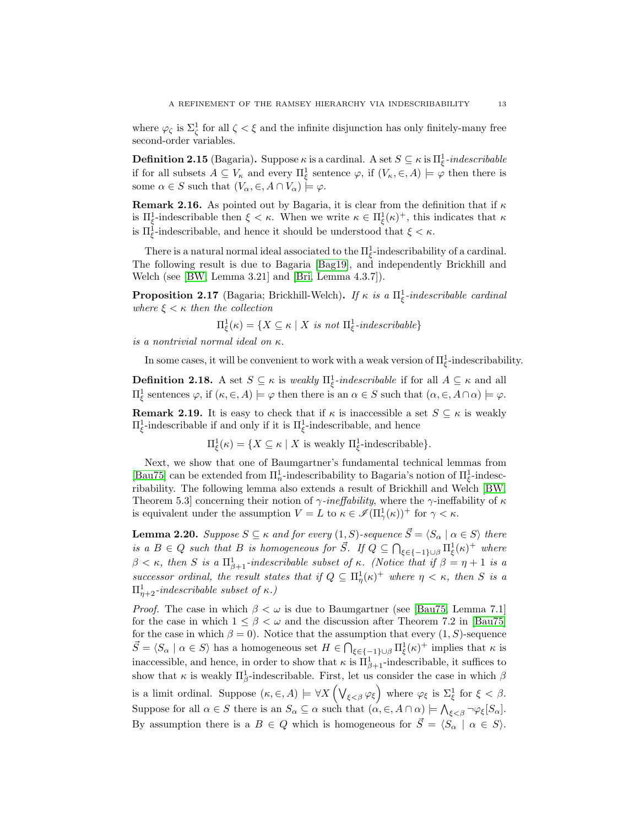where  $\varphi_{\zeta}$  is  $\Sigma_{\zeta}^{1}$  for all  $\zeta < \xi$  and the infinite disjunction has only finitely-many free second-order variables.

**Definition 2.15** (Bagaria). Suppose  $\kappa$  is a cardinal. A set  $S \subseteq \kappa$  is  $\Pi_{\xi}^1$ -indescribable if for all subsets  $A \subseteq V_{\kappa}$  and every  $\Pi_{\xi}^{1}$  sentence  $\varphi$ , if  $(V_{\kappa}, \in, A) \models \varphi$  then there is some  $\alpha \in S$  such that  $(V_{\alpha}, \in, A \cap V_{\alpha}) \models \varphi$ .

**Remark 2.16.** As pointed out by Bagaria, it is clear from the definition that if  $\kappa$ is  $\Pi_{\xi}^1$ -indescribable then  $\xi < \kappa$ . When we write  $\kappa \in \Pi_{\xi}^1(\kappa)^+$ , this indicates that  $\kappa$ is  $\Pi_{\xi}^{1}$ -indescribable, and hence it should be understood that  $\xi < \kappa$ .

There is a natural normal ideal associated to the  $\Pi_{\xi}^{1}$ -indescribability of a cardinal. The following result is due to Bagaria [\[Bag19\]](#page-31-1), and independently Brickhill and Welch (see [\[BW,](#page-31-9) Lemma 3.21] and [\[Bri,](#page-31-10) Lemma 4.3.7]).

**Proposition 2.17** (Bagaria; Brickhill-Welch). If  $\kappa$  is a  $\Pi_{\xi}^1$ -indescribable cardinal where  $\xi < \kappa$  then the collection

$$
\Pi_{\xi}^{1}(\kappa) = \{ X \subseteq \kappa \mid X \text{ is not } \Pi_{\xi}^{1}\text{-}indescribeable \}
$$

is a nontrivial normal ideal on κ.

In some cases, it will be convenient to work with a weak version of  $\Pi_{\xi}^{1}$ -indescribability.

**Definition 2.18.** A set  $S \subseteq \kappa$  is *weakly*  $\Pi_{\xi}^1$ -*indescribable* if for all  $A \subseteq \kappa$  and all  $\Pi_{\xi}^{1}$  sentences  $\varphi$ , if  $(\kappa, \in, A) \models \varphi$  then there is an  $\alpha \in S$  such that  $(\alpha, \in, A \cap \alpha) \models \varphi$ .

**Remark 2.19.** It is easy to check that if  $\kappa$  is inaccessible a set  $S \subseteq \kappa$  is weakly  $\Pi_{\xi}^1$ -indescribable if and only if it is  $\Pi_{\xi}^1$ -indescribable, and hence

 $\Pi_{\xi}^{1}(\kappa) = \{ X \subseteq \kappa \mid X \text{ is weakly } \Pi_{\xi}^{1} \text{-indescribe} \}.$ 

Next, we show that one of Baumgartner's fundamental technical lemmas from [\[Bau75\]](#page-31-0) can be extended from  $\Pi_n^1$ -indescribability to Bagaria's notion of  $\Pi_\xi^1$ -indescribability. The following lemma also extends a result of Brickhill and Welch [\[BW,](#page-31-9) Theorem 5.3] concerning their notion of  $\gamma$ -ineffability, where the  $\gamma$ -ineffability of  $\kappa$ is equivalent under the assumption  $V = L$  to  $\kappa \in \mathscr{I}(\Pi_\gamma^1(\kappa))^+$  for  $\gamma < \kappa$ .

<span id="page-12-0"></span>**Lemma 2.20.** Suppose  $S \subseteq \kappa$  and for every  $(1, S)$ -sequence  $\vec{S} = \langle S_\alpha | \alpha \in S \rangle$  there is a  $B \in Q$  such that B is homogeneous for  $\vec{S}$ . If  $Q \subseteq \bigcap_{\xi \in \{-1\} \cup \beta} \Pi_{\xi}^1(\kappa)^+$  where  $\beta < \kappa$ , then S is a  $\Pi_{\beta+1}^1$ -indescribable subset of  $\kappa$ . (Notice that if  $\beta = \eta + 1$  is a successor ordinal, the result states that if  $Q \subseteq \Pi^1_\eta(\kappa)^+$  where  $\eta < \kappa$ , then S is a  $\Pi^1_{\eta+2}$ -indescribable subset of  $\kappa$ .)

*Proof.* The case in which  $\beta < \omega$  is due to Baumgartner (see [\[Bau75,](#page-31-0) Lemma 7.1] for the case in which  $1 \leq \beta \leq \omega$  and the discussion after Theorem 7.2 in [\[Bau75\]](#page-31-0) for the case in which  $\beta = 0$ ). Notice that the assumption that every  $(1, S)$ -sequence  $\vec{S} = \langle S_\alpha \mid \alpha \in S \rangle$  has a homogeneous set  $H \in \bigcap_{\xi \in \{-1\} \cup \beta} \Pi^1_{\xi}(\kappa)^+$  implies that  $\kappa$  is inaccessible, and hence, in order to show that  $\kappa$  is  $\Pi_{\beta+1}^1$ -indescribable, it suffices to show that  $\kappa$  is weakly  $\Pi_{\beta}^1$ -indescribable. First, let us consider the case in which  $\beta$ is a limit ordinal. Suppose  $(\kappa, \in, A) \models \forall X \left(\bigvee_{\xi \leq \beta} \varphi_{\xi}\right)$  where  $\varphi_{\xi}$  is  $\Sigma_{\xi}^{1}$  for  $\xi < \beta$ . Suppose for all  $\alpha \in S$  there is an  $S_{\alpha} \subseteq \alpha$  such that  $(\alpha, \in, A \cap \alpha) \models \bigwedge_{\xi \leq \beta} \neg \varphi_{\xi}[S_{\alpha}].$ By assumption there is a  $B \in Q$  which is homogeneous for  $\overline{S} = \langle S_\alpha \mid \alpha \in S \rangle$ .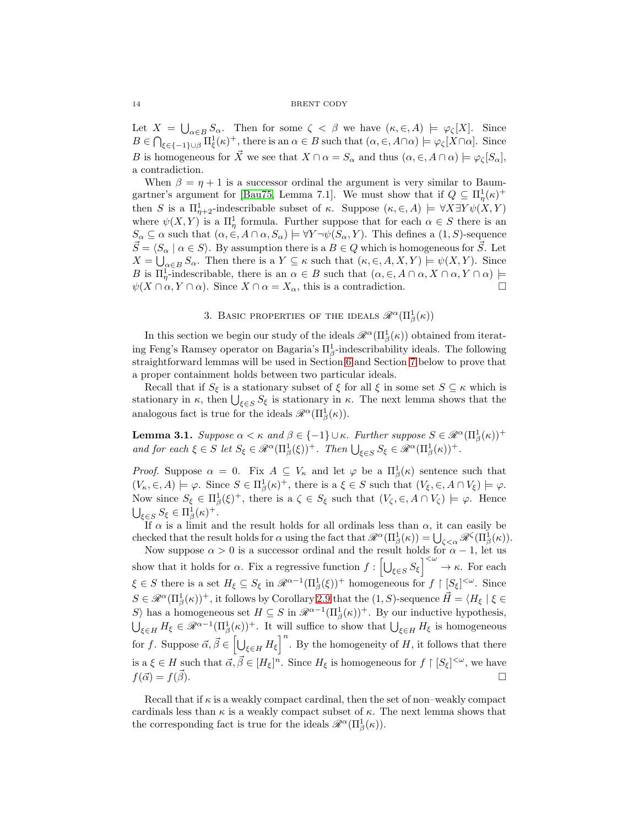#### 14 BRENT CODY

Let  $X = \bigcup_{\alpha \in B} S_{\alpha}$ . Then for some  $\zeta < \beta$  we have  $(\kappa, \in, A) \models \varphi_{\zeta}[X]$ . Since  $B \in \bigcap_{\xi \in \{-1\} \cup \beta} \Pi_{\xi}^1(\kappa)^+$ , there is an  $\alpha \in B$  such that  $(\alpha, \in, A \cap \alpha) \models \varphi_{\zeta}[X \cap \alpha]$ . Since B is homogeneous for  $\vec{X}$  we see that  $X \cap \alpha = S_\alpha$  and thus  $(\alpha, \in, A \cap \alpha) \models \varphi_{\zeta}[S_\alpha],$ a contradiction.

When  $\beta = \eta + 1$  is a successor ordinal the argument is very similar to Baum-gartner's argument for [\[Bau75,](#page-31-0) Lemma 7.1]. We must show that if  $Q \subseteq \Pi^1_\eta(\kappa)^+$ then S is a  $\Pi_{\eta+2}^1$ -indescribable subset of  $\kappa$ . Suppose  $(\kappa, \in, A) \models \forall X \exists Y \psi(X, Y)$ where  $\psi(X,Y)$  is a  $\Pi^1_\eta$  formula. Further suppose that for each  $\alpha \in S$  there is an  $S_{\alpha} \subseteq \alpha$  such that  $(\alpha, \in, A \cap \alpha, S_{\alpha}) \models \forall Y \neg \psi(S_{\alpha}, Y)$ . This defines a  $(1, S)$ -sequence  $\vec{S} = \langle S_\alpha \mid \alpha \in S \rangle$ . By assumption there is a  $B \in Q$  which is homogeneous for  $\vec{S}$ . Let  $X = \bigcup_{\alpha \in B} S_{\alpha}$ . Then there is a  $Y \subseteq \kappa$  such that  $(\kappa, \in, A, X, Y) \models \psi(X, Y)$ . Since B is  $\Pi^1_{\eta}$ -indescribable, there is an  $\alpha \in B$  such that  $(\alpha, \in, A \cap \alpha, X \cap \alpha, Y \cap \alpha)$   $\models$  $\psi(X \cap \alpha, Y \cap \alpha)$ . Since  $X \cap \alpha = X_\alpha$ , this is a contradiction.

# 3. BASIC PROPERTIES OF THE IDEALS  $\mathscr{R}^{\alpha}(\Pi^1_{\beta}(\kappa))$

<span id="page-13-0"></span>In this section we begin our study of the ideals  $\mathscr{R}^{\alpha}(\Pi_{\beta}^{1}(\kappa))$  obtained from iterating Feng's Ramsey operator on Bagaria's  $\Pi_{\beta}^1$ -indescribability ideals. The following straightforward lemmas will be used in Section [6](#page-17-0) and Section [7](#page-22-0) below to prove that a proper containment holds between two particular ideals.

Recall that if  $S_{\xi}$  is a stationary subset of  $\xi$  for all  $\xi$  in some set  $S \subseteq \kappa$  which is stationary in  $\kappa$ , then  $\bigcup_{\xi \in S} S_{\xi}$  is stationary in  $\kappa$ . The next lemma shows that the analogous fact is true for the ideals  $\mathscr{R}^{\alpha}(\Pi_{\beta}^{1}(\kappa)).$ 

<span id="page-13-1"></span>**Lemma 3.1.** Suppose  $\alpha < \kappa$  and  $\beta \in \{-1\} \cup \kappa$ . Further suppose  $S \in \mathcal{R}^{\alpha}(\Pi_{\beta}^{1}(\kappa))^{+}$ and for each  $\xi \in S$  let  $S_{\xi} \in \mathcal{R}^{\alpha}(\Pi_{\beta}^{1}(\xi))^{+}$ . Then  $\bigcup_{\xi \in S} S_{\xi} \in \mathcal{R}^{\alpha}(\Pi_{\beta}^{1}(\kappa))^{+}$ .

*Proof.* Suppose  $\alpha = 0$ . Fix  $A \subseteq V_{\kappa}$  and let  $\varphi$  be a  $\Pi_{\beta}^{1}(\kappa)$  sentence such that  $(V_{\kappa}, \in, A) \models \varphi$ . Since  $S \in \Pi_{\beta}^{1}(\kappa)^{+}$ , there is a  $\xi \in S$  such that  $(V_{\xi}, \in, A \cap V_{\xi}) \models \varphi$ . Now since  $S_{\xi} \in \Pi_{\beta}^{1}(\xi)^{+}$ , there is a  $\zeta \in S_{\xi}$  such that  $(V_{\zeta}, \xi, A \cap V_{\zeta}) \models \varphi$ . Hence  $\bigcup_{\xi \in S} S_{\xi} \in \Pi_{\beta}^1(\kappa)^+.$ 

If  $\alpha$  is a limit and the result holds for all ordinals less than  $\alpha$ , it can easily be checked that the result holds for  $\alpha$  using the fact that  $\mathscr{R}^{\alpha}(\Pi_{\beta}^{1}(\kappa)) = \bigcup_{\zeta < \alpha} \mathscr{R}^{\zeta}(\Pi_{\beta}^{1}(\kappa)).$ 

Now suppose  $\alpha > 0$  is a successor ordinal and the result holds for  $\alpha - 1$ , let us show that it holds for  $\alpha$ . Fix a regressive function  $f: \left[\bigcup_{\xi \in S} S_{\xi}\right]^{<\omega} \to \kappa$ . For each  $\xi \in S$  there is a set  $H_{\xi} \subseteq S_{\xi}$  in  $\mathcal{R}^{\alpha-1}(\Pi_{\beta}^{1}(\xi))^{+}$  homogeneous for  $f \upharpoonright [S_{\xi}]^{<\omega}$ . Since  $S \in \mathscr{R}^{\alpha}(\Pi_{\beta}^{1}(\kappa))^{+}$ , it follows by Corollary [2.9](#page-9-2) that the  $(1, S)$ -sequence  $\vec{H} = \langle H_{\xi} | \xi \in$ S) has a homogeneous set  $H \subseteq S$  in  $\mathcal{R}^{\alpha-1}(\Pi_\beta^1(\kappa))^+$ . By our inductive hypothesis,  $\bigcup_{\xi\in H} H_{\xi} \in \mathcal{R}^{\alpha-1}(\Pi_{\beta}^1(\kappa))^+$ . It will suffice to show that  $\bigcup_{\xi\in H} H_{\xi}$  is homogeneous for f. Suppose  $\vec{\alpha}, \vec{\beta} \in \left[\bigcup_{\xi \in H} H_{\xi}\right]^{n}$ . By the homogeneity of H, it follows that there is a  $\xi \in H$  such that  $\vec{\alpha}, \vec{\beta} \in [H_{\xi}]^n$ . Since  $H_{\xi}$  is homogeneous for  $f \restriction [S_{\xi}]^{<\omega}$ , we have  $f(\vec{\alpha}) = f(\vec{\beta}).$ 

Recall that if  $\kappa$  is a weakly compact cardinal, then the set of non–weakly compact cardinals less than  $\kappa$  is a weakly compact subset of  $\kappa$ . The next lemma shows that the corresponding fact is true for the ideals  $\mathscr{R}^{\alpha}(\Pi^1_{\beta}(\kappa)).$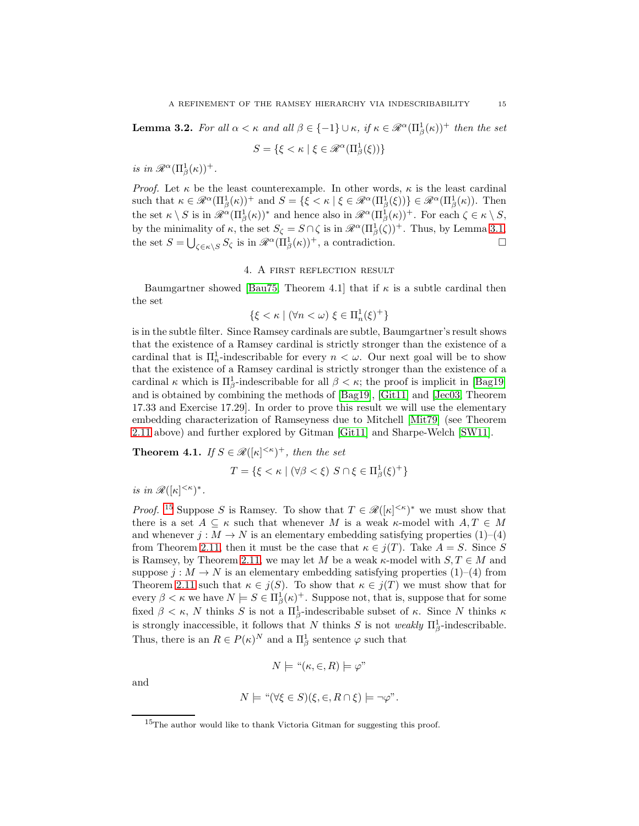<span id="page-14-3"></span>**Lemma 3.2.** For all  $\alpha < \kappa$  and all  $\beta \in \{-1\} \cup \kappa$ , if  $\kappa \in \mathcal{R}^{\alpha}(\Pi_{\beta}^{1}(\kappa))^{+}$  then the set

$$
S = \{\xi < \kappa \mid \xi \in \mathscr{R}^\alpha(\Pi_\beta^1(\xi))\}
$$

is in  $\mathscr{R}^{\alpha}(\Pi_{\beta}^{1}(\kappa))^{+}$ .

*Proof.* Let  $\kappa$  be the least counterexample. In other words,  $\kappa$  is the least cardinal such that  $\kappa \in \mathcal{R}^{\alpha}(\Pi_{\beta}^{1}(\kappa))^{+}$  and  $S = \{ \xi < \kappa \mid \xi \in \mathcal{R}^{\alpha}(\Pi_{\beta}^{1}(\xi)) \} \in \mathcal{R}^{\alpha}(\Pi_{\beta}^{1}(\kappa))$ . Then the set  $\kappa \setminus S$  is in  $\mathscr{R}^{\alpha}(\Pi_{\beta}^{1}(\kappa))^{*}$  and hence also in  $\mathscr{R}^{\alpha}(\Pi_{\beta}^{1}(\kappa))^{+}$ . For each  $\zeta \in \kappa \setminus S$ , by the minimality of  $\kappa$ , the set  $S_{\zeta} = S \cap \zeta$  is in  $\mathcal{R}^{\alpha}(\Pi_{\beta}^{1}(\zeta))^{+}$ . Thus, by Lemma [3.1,](#page-13-1) the set  $S = \bigcup_{\zeta \in \kappa \setminus S} S_{\zeta}$  is in  $\mathcal{R}^{\alpha}(\Pi_{\beta}^{1}(\kappa))^{+}$ , a contradiction.

## 4. A first reflection result

<span id="page-14-1"></span>Baumgartner showed [\[Bau75,](#page-31-0) Theorem 4.1] that if  $\kappa$  is a subtle cardinal then the set

$$
\{\xi < \kappa \mid (\forall n < \omega) \xi \in \Pi_n^1(\xi)^+ \}
$$

is in the subtle filter. Since Ramsey cardinals are subtle, Baumgartner's result shows that the existence of a Ramsey cardinal is strictly stronger than the existence of a cardinal that is  $\Pi_n^1$ -indescribable for every  $n < \omega$ . Our next goal will be to show that the existence of a Ramsey cardinal is strictly stronger than the existence of a cardinal  $\kappa$  which is  $\Pi_{\beta}^1$ -indescribable for all  $\beta < \kappa$ ; the proof is implicit in [\[Bag19\]](#page-31-1) and is obtained by combining the methods of [\[Bag19\]](#page-31-1), [\[Git11\]](#page-32-5) and [\[Jec03,](#page-32-13) Theorem 17.33 and Exercise 17.29]. In order to prove this result we will use the elementary embedding characterization of Ramseyness due to Mitchell [\[Mit79\]](#page-32-4) (see Theorem [2.11](#page-10-0) above) and further explored by Gitman [\[Git11\]](#page-32-5) and Sharpe-Welch [\[SW11\]](#page-32-0).

<span id="page-14-0"></span>**Theorem 4.1.** If  $S \in \mathcal{R}([\kappa]^{<\kappa})^+$ , then the set

$$
T = \{ \xi < \kappa \mid (\forall \beta < \xi) \ S \cap \xi \in \Pi_{\beta}^{1}(\xi)^{+} \}
$$

is in  $\mathscr{R}([\kappa]^{<\kappa})^*$ .

*Proof.* <sup>[15](#page-14-2)</sup> Suppose S is Ramsey. To show that  $T \in \mathcal{R}([\kappa]^{<\kappa})^*$  we must show that there is a set  $A \subseteq \kappa$  such that whenever M is a weak  $\kappa$ -model with  $A, T \in M$ and whenever  $j : M \to N$  is an elementary embedding satisfying properties  $(1)$ – $(4)$ from Theorem [2.11,](#page-10-0) then it must be the case that  $\kappa \in i(T)$ . Take  $A = S$ . Since S is Ramsey, by Theorem [2.11,](#page-10-0) we may let M be a weak  $\kappa$ -model with  $S, T \in M$  and suppose  $j: M \to N$  is an elementary embedding satisfying properties (1)–(4) from Theorem [2.11](#page-10-0) such that  $\kappa \in j(S)$ . To show that  $\kappa \in j(T)$  we must show that for every  $\beta < \kappa$  we have  $N \models S \in \Pi_{\beta}^1(\kappa)^+$ . Suppose not, that is, suppose that for some fixed  $\beta < \kappa$ , N thinks S is not a  $\Pi_{\beta}^1$ -indescribable subset of  $\kappa$ . Since N thinks  $\kappa$ is strongly inaccessible, it follows that N thinks S is not weakly  $\Pi_{\beta}^1$ -indescribable. Thus, there is an  $R \in P(\kappa)^N$  and a  $\Pi^1_\beta$  sentence  $\varphi$  such that

$$
N \models "(\kappa, \in, R) \models \varphi"
$$

and

$$
N \models "(\forall \xi \in S)(\xi, \in, R \cap \xi) \models \neg \varphi".
$$

<span id="page-14-2"></span><sup>15</sup>The author would like to thank Victoria Gitman for suggesting this proof.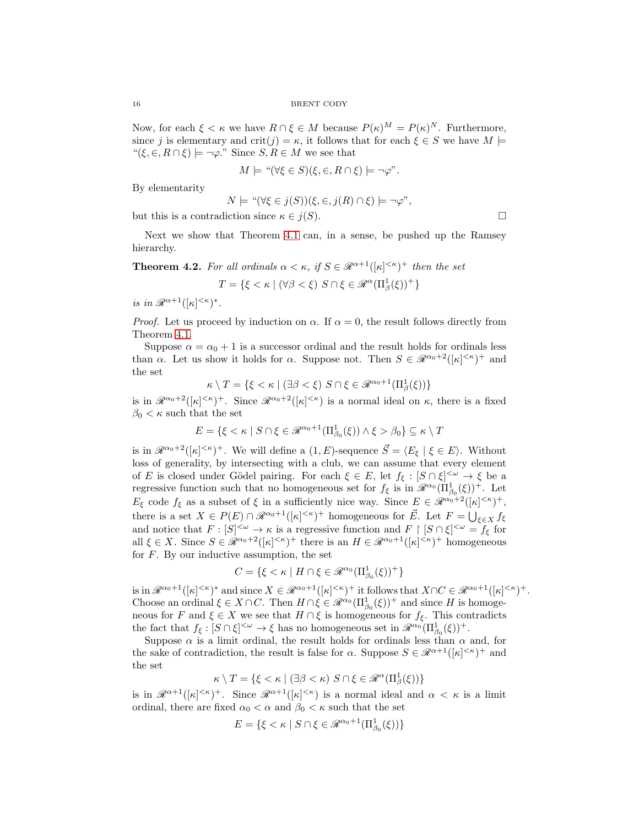Now, for each  $\xi < \kappa$  we have  $R \cap \xi \in M$  because  $P(\kappa)^M = P(\kappa)^N$ . Furthermore, since j is elementary and crit(j) =  $\kappa$ , it follows that for each  $\xi \in S$  we have  $M \models$ " $(\xi, \in, R \cap \xi) \models \neg \varphi$ ." Since  $S, R \in M$  we see that

$$
M \models "\forall \xi \in S)(\xi, \in, R \cap \xi) \models \neg \varphi".
$$

By elementarity

$$
N \models "(\forall \xi \in j(S))(\xi, \in, j(R) \cap \xi) \models \neg \varphi",
$$

but this is a contradiction since  $\kappa \in j(S)$ .

Next we show that Theorem [4.1](#page-14-0) can, in a sense, be pushed up the Ramsey hierarchy.

**Theorem 4.2.** For all ordinals  $\alpha < \kappa$ , if  $S \in \mathcal{R}^{\alpha+1}([\kappa]^{<\kappa})^+$  then the set

$$
T = \{ \xi < \kappa \mid (\forall \beta < \xi) \ S \cap \xi \in \mathcal{R}^{\alpha}(\Pi_{\beta}^{1}(\xi))^{+} \}
$$

is in  $\mathcal{R}^{\alpha+1}([\kappa]^{<\kappa})^*$ .

*Proof.* Let us proceed by induction on  $\alpha$ . If  $\alpha = 0$ , the result follows directly from Theorem [4.1.](#page-14-0)

Suppose  $\alpha = \alpha_0 + 1$  is a successor ordinal and the result holds for ordinals less than  $\alpha$ . Let us show it holds for  $\alpha$ . Suppose not. Then  $S \in \mathcal{R}^{\alpha_0+2}([\kappa]^{<\kappa})^+$  and the set

$$
\kappa \setminus T = \{ \xi < \kappa \mid (\exists \beta < \xi) \ S \cap \xi \in \mathcal{R}^{\alpha_0 + 1}(\Pi^1_\beta(\xi)) \}
$$

is in  $\mathscr{R}^{\alpha_0+2}([\kappa]^{<\kappa})^+$ . Since  $\mathscr{R}^{\alpha_0+2}([\kappa]^{<\kappa})$  is a normal ideal on  $\kappa$ , there is a fixed  $\beta_0 < \kappa$  such that the set

$$
E = \{ \xi < \kappa \mid S \cap \xi \in \mathcal{R}^{\alpha_0 + 1}(\Pi^1_{\beta_0}(\xi)) \land \xi > \beta_0 \} \subseteq \kappa \setminus T
$$

is in  $\mathscr{R}^{\alpha_0+2}(\kappa)^{<\kappa}$ . We will define a  $(1, E)$ -sequence  $\vec{S} = \langle E_{\xi} | \xi \in E \rangle$ . Without loss of generality, by intersecting with a club, we can assume that every element of E is closed under Gödel pairing. For each  $\xi \in E$ , let  $f_{\xi} : [S \cap \xi]^{<\omega} \to \xi$  be a regressive function such that no homogeneous set for  $f_{\xi}$  is in  $\mathscr{R}^{\alpha_0}(\Pi_{\beta_0}^1(\xi))^+$ . Let  $E_{\xi}$  code  $f_{\xi}$  as a subset of  $\xi$  in a sufficiently nice way. Since  $E \in \mathscr{R}^{\alpha_0+2}([\kappa]^{<\kappa})^+,$ there is a set  $X \in P(E) \cap \mathscr{R}^{\alpha_0+1}([\kappa]^{<\kappa})^+$  homogeneous for  $\vec{E}$ . Let  $F = \bigcup_{\xi \in X} f_{\xi}$ and notice that  $F: [S]^{<\omega} \to \kappa$  is a regressive function and  $F \restriction [S \cap \xi]^{<\omega} = f_{\xi}$  for all  $\xi \in X$ . Since  $S \in \mathscr{R}^{\alpha_0+2}([\kappa]^{<\kappa})^+$  there is an  $H \in \mathscr{R}^{\alpha_0+1}([\kappa]^{<\kappa})^+$  homogeneous for  $F$ . By our inductive assumption, the set

$$
C = \{ \xi < \kappa \mid H \cap \xi \in \mathcal{R}^{\alpha_0}(\Pi^1_{\beta_0}(\xi))^+ \}
$$

is in  $\mathscr{R}^{\alpha_0+1}([\kappa]^{<\kappa})^*$  and since  $X \in \mathscr{R}^{\alpha_0+1}([\kappa]^{<\kappa})^+$  it follows that  $X \cap C \in \mathscr{R}^{\alpha_0+1}([\kappa]^{<\kappa})^+$ . Choose an ordinal  $\xi \in X \cap C$ . Then  $H \cap \xi \in \mathscr{R}^{\alpha_0}(\Pi^1_{\beta_0}(\xi))^+$  and since H is homogeneous for F and  $\xi \in X$  we see that  $H \cap \xi$  is homogeneous for  $f_{\xi}$ . This contradicts the fact that  $f_{\xi}: [S \cap \xi]^{<\omega} \to \xi$  has no homogeneous set in  $\mathscr{R}^{\alpha_0}(\Pi^1_{\beta_0}(\xi))^+$ .

Suppose  $\alpha$  is a limit ordinal, the result holds for ordinals less than  $\alpha$  and, for the sake of contradiction, the result is false for  $\alpha$ . Suppose  $S \in \mathcal{R}^{\alpha+1}([\kappa]^{<\kappa})^+$  and the set

$$
\kappa \setminus T = \{ \xi < \kappa \mid (\exists \beta < \kappa) \ S \cap \xi \in \mathscr{R}^{\alpha}(\Pi_{\beta}^{1}(\xi)) \}
$$

is in  $\mathscr{R}^{\alpha+1}([\kappa]^{<\kappa})^+$ . Since  $\mathscr{R}^{\alpha+1}([\kappa]^{<\kappa})$  is a normal ideal and  $\alpha < \kappa$  is a limit ordinal, there are fixed  $\alpha_0 < \alpha$  and  $\beta_0 < \kappa$  such that the set

$$
E = \{ \xi < \kappa \mid S \cap \xi \in \mathcal{R}^{\alpha_0 + 1}(\Pi^1_{\beta_0}(\xi)) \}
$$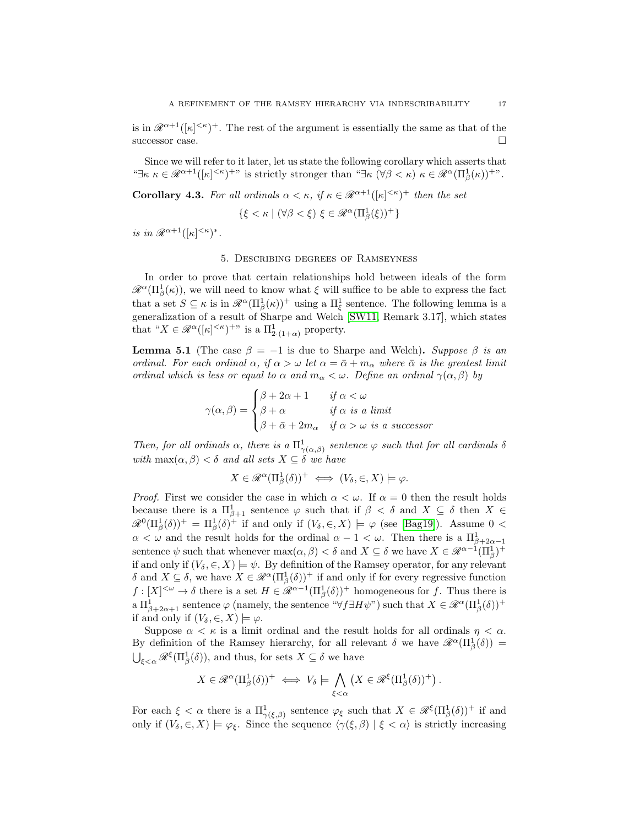is in  $\mathscr{R}^{\alpha+1}([\kappa]^{<\kappa})^+$ . The rest of the argument is essentially the same as that of the successor case.

Since we will refer to it later, let us state the following corollary which asserts that " $\exists \kappa \ \kappa \in \mathscr{R}^{\alpha+1}([\kappa]^{<\kappa})^{\dagger}$ " is strictly stronger than " $\exists \kappa \ (\forall \beta < \kappa) \ \kappa \in \mathscr{R}^{\alpha}(\Pi_{\beta}^{1}(\kappa))^{\dagger}$ ".

<span id="page-16-2"></span>**Corollary 4.3.** For all ordinals  $\alpha < \kappa$ , if  $\kappa \in \mathcal{R}^{\alpha+1}([\kappa]^{<\kappa})^+$  then the set

$$
\{\xi < \kappa \mid (\forall \beta < \xi) \xi \in \mathcal{R}^{\alpha}(\Pi_{\beta}^{1}(\xi))^{+}\}
$$

<span id="page-16-0"></span>is in  $\mathscr{R}^{\alpha+1}([\kappa]^{<\kappa})^*$ .

## 5. Describing degrees of Ramseyness

In order to prove that certain relationships hold between ideals of the form  $\mathscr{R}^{\alpha}(\Pi_{\beta}^{1}(\kappa))$ , we will need to know what  $\xi$  will suffice to be able to express the fact that a set  $S \subseteq \kappa$  is in  $\mathscr{R}^{\alpha}(\Pi_{\beta}^{1}(\kappa))^{+}$  using a  $\Pi_{\xi}^{1}$  sentence. The following lemma is a generalization of a result of Sharpe and Welch [\[SW11,](#page-32-0) Remark 3.17], which states that " $X \in \mathscr{R}^{\alpha}([\kappa]^{<\kappa})^{+\nu}$  is a  $\Pi^1_{2\cdot(1+\alpha)}$  property.

<span id="page-16-1"></span>**Lemma 5.1** (The case  $\beta = -1$  is due to Sharpe and Welch). Suppose  $\beta$  is an ordinal. For each ordinal  $\alpha$ , if  $\alpha > \omega$  let  $\alpha = \bar{\alpha} + m_{\alpha}$  where  $\bar{\alpha}$  is the greatest limit ordinal which is less or equal to  $\alpha$  and  $m_{\alpha} < \omega$ . Define an ordinal  $\gamma(\alpha, \beta)$  by

$$
\gamma(\alpha, \beta) = \begin{cases} \beta + 2\alpha + 1 & \text{if } \alpha < \omega \\ \beta + \alpha & \text{if } \alpha \text{ is a limit} \\ \beta + \bar{\alpha} + 2m_{\alpha} & \text{if } \alpha > \omega \text{ is a successor} \end{cases}
$$

Then, for all ordinals  $\alpha$ , there is a  $\Pi^1_{\gamma(\alpha,\beta)}$  sentence  $\varphi$  such that for all cardinals  $\delta$ with  $\max(\alpha, \beta) < \delta$  and all sets  $X \subseteq \delta$  we have

$$
X \in \mathcal{R}^{\alpha}(\Pi_{\beta}^{1}(\delta))^{+} \iff (V_{\delta}, \in, X) \models \varphi.
$$

*Proof.* First we consider the case in which  $\alpha < \omega$ . If  $\alpha = 0$  then the result holds because there is a  $\Pi_{\beta+1}^1$  sentence  $\varphi$  such that if  $\beta < \delta$  and  $X \subseteq \delta$  then  $X \in$  $\mathscr{R}^0(\Pi_\beta^1(\delta))^+ = \Pi_\beta^1(\delta)^+$  if and only if  $(V_\delta, \in, X) \models \varphi$  (see [\[Bag19\]](#page-31-1)). Assume 0 <  $\alpha < \omega$  and the result holds for the ordinal  $\alpha - 1 < \omega$ . Then there is a  $\Pi_{\beta+2\alpha-1}^1$ sentence  $\psi$  such that whenever  $\max(\alpha, \beta) < \delta$  and  $X \subseteq \delta$  we have  $X \in \mathcal{R}^{\alpha-1}(\Pi_{\beta}^1)^+$ if and only if  $(V_\delta, \in, X) \models \psi$ . By definition of the Ramsey operator, for any relevant  $\delta$  and  $X \subseteq \delta$ , we have  $X \in \mathscr{R}^{\alpha}(\Pi_{\beta}^1(\delta))^+$  if and only if for every regressive function  $f: [X]^{<\omega} \to \delta$  there is a set  $H \in \mathscr{R}^{\alpha-1}(\Pi_\beta^1(\delta))^+$  homogeneous for f. Thus there is a  $\Pi^1_{\beta+2\alpha+1}$  sentence  $\varphi$  (namely, the sentence " $\forall f \exists H \psi$ ") such that  $X \in \mathcal{R}^{\alpha}(\Pi^1_{\beta}(\delta))^+$ if and only if  $(V_\delta, \in, X) \models \varphi$ .

Suppose  $\alpha < \kappa$  is a limit ordinal and the result holds for all ordinals  $\eta < \alpha$ . By definition of the Ramsey hierarchy, for all relevant  $\delta$  we have  $\mathscr{R}^{\alpha}(\Pi_{\beta}^{1}(\delta))=$  $\bigcup_{\xi<\alpha}\mathscr{R}^{\xi}(\Pi^1_{\beta}(\delta)),$  and thus, for sets  $X\subseteq\delta$  we have

$$
X \in \mathscr{R}^{\alpha}(\Pi_{\beta}^{1}(\delta))^{+} \iff V_{\delta} \models \bigwedge_{\xi < \alpha} \left( X \in \mathscr{R}^{\xi}(\Pi_{\beta}^{1}(\delta))^{+} \right).
$$

For each  $\xi < \alpha$  there is a  $\Pi^1_{\gamma(\xi,\beta)}$  sentence  $\varphi_{\xi}$  such that  $X \in \mathscr{R}^{\xi}(\Pi^1_{\beta}(\delta))^+$  if and only if  $(V_\delta, \in, X) \models \varphi_\xi$ . Since the sequence  $\langle \gamma(\xi, \beta) | \xi < \alpha \rangle$  is strictly increasing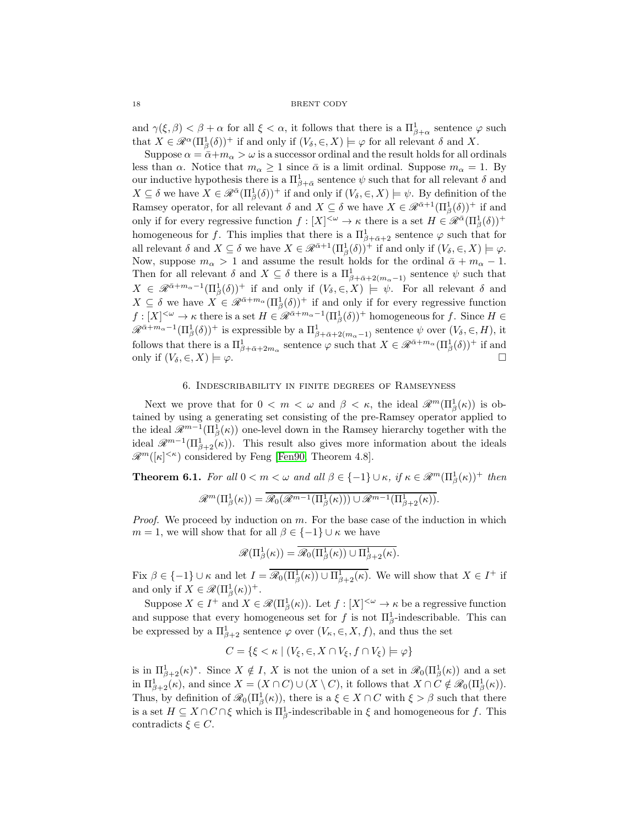and  $\gamma(\xi,\beta) < \beta + \alpha$  for all  $\xi < \alpha$ , it follows that there is a  $\Pi^1_{\beta+\alpha}$  sentence  $\varphi$  such that  $X \in \mathcal{R}^{\alpha}(\Pi_{\beta}^{1}(\delta))^{+}$  if and only if  $(V_{\delta}, \epsilon, X) \models \varphi$  for all relevant  $\delta$  and X.

Suppose  $\alpha = \bar{\alpha} + m_{\alpha} > \omega$  is a successor ordinal and the result holds for all ordinals less than  $\alpha$ . Notice that  $m_{\alpha} \geq 1$  since  $\bar{\alpha}$  is a limit ordinal. Suppose  $m_{\alpha} = 1$ . By our inductive hypothesis there is a  $\Pi_{\beta+\bar{\alpha}}^1$  sentence  $\psi$  such that for all relevant  $\delta$  and  $X \subseteq \delta$  we have  $X \in \mathscr{R}^{\bar{\alpha}}(\Pi_{\beta}^{1}(\delta))^{+}$  if and only if  $(V_{\delta}, \in, X) \models \psi$ . By definition of the Ramsey operator, for all relevant  $\delta$  and  $X \subseteq \delta$  we have  $X \in \mathscr{R}^{\bar{\alpha}+1}(\Pi^1_\beta(\delta))^+$  if and only if for every regressive function  $f: [X]^{<\omega} \to \kappa$  there is a set  $H \in \mathscr{R}^{\bar{\alpha}}(\Pi^1_\beta(\delta))^+$ homogeneous for f. This implies that there is a  $\Pi_{\beta+\bar{\alpha}+2}^1$  sentence  $\varphi$  such that for all relevant  $\delta$  and  $X \subseteq \delta$  we have  $X \in \mathscr{R}^{\bar{\alpha}+1}(\Pi_{\beta}^1(\delta))^+$  if and only if  $(V_{\delta}, \in, X) \models \varphi$ . Now, suppose  $m_{\alpha} > 1$  and assume the result holds for the ordinal  $\bar{\alpha} + m_{\alpha} - 1$ . Then for all relevant  $\delta$  and  $X \subseteq \delta$  there is a  $\Pi^1_{\beta+\bar{\alpha}+2(m_\alpha-1)}$  sentence  $\psi$  such that  $X \in \mathscr{R}^{\bar{\alpha}+m_{\alpha}-1}(\Pi_{\beta}^1(\delta))^+$  if and only if  $(V_{\delta},\in,X) \models \psi$ . For all relevant  $\delta$  and  $X \subseteq \delta$  we have  $X \in \mathscr{R}^{\bar{\alpha}+m_{\alpha}}(\Pi_{\beta}^{1}(\delta))^{+}$  if and only if for every regressive function  $f: [X]^{<\omega} \to \kappa$  there is a set  $H \in \mathscr{R}^{\bar{\alpha}+m_{\alpha}-1}(\Pi_{\beta}^1(\delta))^+$  homogeneous for f. Since  $H \in$  $\mathscr{R}^{\bar{\alpha}+m_{\alpha}-1}(\Pi_{\beta}^1(\delta))^+$  is expressible by a  $\Pi_{\beta+\bar{\alpha}+2(m_{\alpha}-1)}^1$  sentence  $\psi$  over  $(V_{\delta}, \in, H)$ , it follows that there is a  $\Pi_{\beta+\bar{\alpha}+2m_\alpha}^1$  sentence  $\varphi$  such that  $X \in \mathscr{R}^{\bar{\alpha}+m_\alpha}(\Pi_\beta^1(\delta))^+$  if and only if  $(V_\delta, \in, X) \models \varphi$ .

## 6. Indescribability in finite degrees of Ramseyness

<span id="page-17-0"></span>Next we prove that for  $0 < m < \omega$  and  $\beta < \kappa$ , the ideal  $\mathscr{R}^m(\Pi^1_\beta(\kappa))$  is obtained by using a generating set consisting of the pre-Ramsey operator applied to the ideal  $\mathscr{R}^{m-1}(\Pi_{\beta}^{1}(\kappa))$  one-level down in the Ramsey hierarchy together with the ideal  $\mathscr{R}^{m-1}(\Pi^1_{\beta+2}(\kappa))$ . This result also gives more information about the ideals  $\mathscr{R}^m([\kappa]^{<\kappa})$  considered by Feng [\[Fen90,](#page-32-1) Theorem 4.8].

<span id="page-17-1"></span>**Theorem 6.1.** For all  $0 < m < \omega$  and all  $\beta \in \{-1\} \cup \kappa$ , if  $\kappa \in \mathcal{R}^m(\Pi_\beta^1(\kappa))^+$  then

$$
\mathscr{R}^m(\Pi_\beta^1(\kappa)) = \overline{\mathscr{R}_0(\mathscr{R}^{m-1}(\Pi_\beta^1(\kappa))) \cup \mathscr{R}^{m-1}(\Pi_{\beta+2}^1(\kappa))}.
$$

*Proof.* We proceed by induction on m. For the base case of the induction in which  $m = 1$ , we will show that for all  $\beta \in \{-1\} \cup \kappa$  we have

$$
\mathscr{R}(\Pi^1_{\beta}(\kappa)) = \overline{\mathscr{R}_0(\Pi^1_{\beta}(\kappa)) \cup \Pi^1_{\beta+2}(\kappa)}.
$$

Fix  $\beta \in \{-1\} \cup \kappa$  and let  $I = \overline{\mathscr{R}_0(\Pi_\beta^1(\kappa)) \cup \Pi_{\beta+2}^1(\kappa)}$ . We will show that  $X \in I^+$  if and only if  $X \in \mathcal{R}(\Pi_{\beta}^1(\kappa))^+$ .

Suppose  $X \in I^+$  and  $X \in \mathcal{R}(\Pi_\beta^1(\kappa))$ . Let  $f : [X]^{<\omega} \to \kappa$  be a regressive function and suppose that every homogeneous set for f is not  $\Pi_{\beta}^1$ -indescribable. This can be expressed by a  $\Pi_{\beta+2}^1$  sentence  $\varphi$  over  $(V_\kappa,\in,X,f)$ , and thus the set

$$
C = \{ \xi < \kappa \mid (V_{\xi}, \in, X \cap V_{\xi}, f \cap V_{\xi}) \models \varphi \}
$$

is in  $\Pi_{\beta+2}^1(\kappa)^*$ . Since  $X \notin I$ , X is not the union of a set in  $\mathscr{R}_0(\Pi_\beta^1(\kappa))$  and a set in  $\Pi_{\beta+2}^1(\kappa)$ , and since  $X = (X \cap C) \cup (X \setminus C)$ , it follows that  $X \cap C \notin \mathcal{R}_0(\Pi_\beta^1(\kappa))$ . Thus, by definition of  $\mathscr{R}_0(\Pi_\beta^1(\kappa))$ , there is a  $\xi \in X \cap C$  with  $\xi > \beta$  such that there is a set  $H \subseteq X \cap C \cap \xi$  which is  $\Pi_{\beta}^1$ -indescribable in  $\xi$  and homogeneous for f. This contradicts  $\xi \in C$ .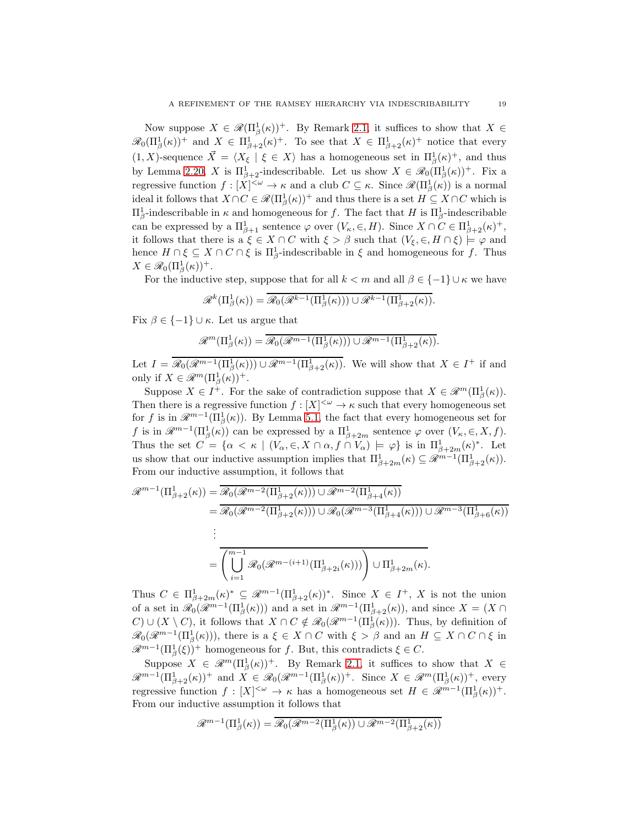Now suppose  $X \in \mathscr{R}(\Pi_{\beta}^{1}(\kappa))^{+}$ . By Remark [2.1,](#page-5-1) it suffices to show that  $X \in$  $\mathscr{R}_0(\Pi_\beta^1(\kappa))^+$  and  $X \in \Pi_{\beta+2}^1(\kappa)^+$ . To see that  $X \in \Pi_{\beta+2}^1(\kappa)^+$  notice that every  $(1, X)$ -sequence  $\vec{X} = \langle X_{\xi} | \xi \in X \rangle$  has a homogeneous set in  $\Pi_{\beta}^{1}(\kappa)^{+}$ , and thus by Lemma [2.20,](#page-12-0) X is  $\Pi_{\beta+2}^1$ -indescribable. Let us show  $X \in \mathscr{R}_0(\Pi_\beta^1(\kappa))^+$ . Fix a regressive function  $f : [X]^{<\omega} \to \kappa$  and a club  $C \subseteq \kappa$ . Since  $\mathscr{R}(\Pi_{\beta}^{1}(\kappa))$  is a normal ideal it follows that  $X \cap C \in \mathscr{R}(\Pi_{\beta}^1(\kappa))^+$  and thus there is a set  $H \subseteq X \cap C$  which is  $\Pi_{\beta}^1$ -indescribable in  $\kappa$  and homogeneous for f. The fact that H is  $\Pi_{\beta}^1$ -indescribable can be expressed by a  $\Pi_{\beta+1}^1$  sentence  $\varphi$  over  $(V_\kappa, \in, H)$ . Since  $X \cap C \in \Pi_{\beta+2}^1(\kappa)^+$ , it follows that there is a  $\xi \in X \cap C$  with  $\xi > \beta$  such that  $(V_{\xi}, \in, H \cap \xi) \models \varphi$  and hence  $H \cap \xi \subseteq X \cap C \cap \xi$  is  $\Pi_{\beta}^1$ -indescribable in  $\xi$  and homogeneous for f. Thus  $X \in \mathscr{R}_0(\Pi_\beta^1(\kappa))^+$ .

For the inductive step, suppose that for all  $k < m$  and all  $\beta \in \{-1\} \cup \kappa$  we have

$$
\mathscr{R}^k(\Pi^1_\beta(\kappa)) = \overline{\mathscr{R}_0(\mathscr{R}^{k-1}(\Pi^1_\beta(\kappa))) \cup \mathscr{R}^{k-1}(\Pi^1_{\beta+2}(\kappa))}.
$$

Fix  $\beta \in \{-1\} \cup \kappa$ . Let us argue that

$$
\mathscr{R}^m(\Pi^1_\beta(\kappa)) = \overline{\mathscr{R}_0(\mathscr{R}^{m-1}(\Pi^1_\beta(\kappa))) \cup \mathscr{R}^{m-1}(\Pi^1_{\beta+2}(\kappa))}.
$$

Let  $I = \mathcal{R}_0(\mathcal{R}^{m-1}(\Pi^1_{\beta}(\kappa))) \cup \mathcal{R}^{m-1}(\Pi^1_{\beta+2}(\kappa)).$  We will show that  $X \in I^+$  if and only if  $X \in \mathcal{R}^m(\Pi_\beta^1(\kappa))^+$ .

Suppose  $X \in I^+$ . For the sake of contradiction suppose that  $X \in \mathcal{R}^m(\Pi_\beta^1(\kappa))$ . Then there is a regressive function  $f : [X]^{<\omega} \to \kappa$  such that every homogeneous set for f is in  $\mathscr{R}^{m-1}(\Pi_{\beta}^1(\kappa))$ . By Lemma [5.1,](#page-16-1) the fact that every homogeneous set for f is in  $\mathscr{R}^{m-1}(\Pi_{\beta}^{1}(\kappa))$  can be expressed by a  $\Pi_{\beta+2m}^{1}$  sentence  $\varphi$  over  $(V_{\kappa}, \in, X, f)$ . Thus the set  $C = \{ \alpha < \kappa \mid (V_\alpha, \epsilon, X \cap \alpha, f \cap V_\alpha) \models \varphi \}$  is in  $\Pi^1_{\beta+2m}(\kappa)^*$ . Let us show that our inductive assumption implies that  $\Pi_{\beta+2m}^1(\kappa) \subseteq \mathscr{R}^{m-1}(\Pi_{\beta+2}^1(\kappa)).$ From our inductive assumption, it follows that

$$
\mathcal{R}^{m-1}(\Pi^1_{\beta+2}(\kappa)) = \overline{\mathcal{R}_0(\mathcal{R}^{m-2}(\Pi^1_{\beta+2}(\kappa))) \cup \mathcal{R}^{m-2}(\Pi^1_{\beta+4}(\kappa))}
$$
  
\n
$$
= \overline{\mathcal{R}_0(\mathcal{R}^{m-2}(\Pi^1_{\beta+2}(\kappa))) \cup \mathcal{R}_0(\mathcal{R}^{m-3}(\Pi^1_{\beta+4}(\kappa))) \cup \mathcal{R}^{m-3}(\Pi^1_{\beta+6}(\kappa))}
$$
  
\n
$$
\vdots
$$
  
\n
$$
= \overline{\left(\bigcup_{i=1}^{m-1} \mathcal{R}_0(\mathcal{R}^{m-(i+1)}(\Pi^1_{\beta+2i}(\kappa)))\right) \cup \Pi^1_{\beta+2m}(\kappa)}.
$$

Thus  $C \in \Pi_{\beta+2m}^1(\kappa)^* \subseteq \mathcal{R}^{m-1}(\Pi_{\beta+2}^1(\kappa))^*$ . Since  $X \in I^+$ , X is not the union of a set in  $\mathscr{R}_0(\mathscr{R}^{m-1}(\Pi^1_\beta(\kappa)))$  and a set in  $\mathscr{R}^{m-1}(\Pi^1_{\beta+2}(\kappa))$ , and since  $X = (X \cap$  $C \cup (X \setminus C)$ , it follows that  $X \cap C \notin \mathcal{R}_0(\mathcal{R}^{m-1}(\Pi_\beta^1(\kappa)))$ . Thus, by definition of  $\mathscr{R}_0(\mathscr{R}^{m-1}(\Pi^1_\beta(\kappa)))$ , there is a  $\xi \in X \cap C$  with  $\xi > \beta$  and an  $H \subseteq X \cap C \cap \xi$  in  $\mathscr{R}^{m-1}(\Pi_{\beta}^{1}(\xi))^{+}$  homogeneous for f. But, this contradicts  $\xi \in C$ .

Suppose  $X \in \mathcal{R}^m(\Pi_\beta^1(\kappa))^+$ . By Remark [2.1,](#page-5-1) it suffices to show that  $X \in$  $\mathscr{R}^{m-1}(\Pi_{\beta+2}^1(\kappa))^+$  and  $X \in \mathscr{R}_0(\mathscr{R}^{m-1}(\Pi_{\beta}^1(\kappa))^+$ . Since  $X \in \mathscr{R}^m(\Pi_{\beta}^1(\kappa))^+$ , every regressive function  $f: [X]^{<\omega} \to \kappa$  has a homogeneous set  $H \in \mathcal{R}^{m-1}(\Pi^1_\beta(\kappa))^+$ . From our inductive assumption it follows that

$$
\mathcal{R}^{m-1}(\Pi^1_\beta(\kappa)) = \overline{\mathcal{R}_0(\mathcal{R}^{m-2}(\Pi^1_\beta(\kappa)) \cup \mathcal{R}^{m-2}(\Pi^1_{\beta+2}(\kappa))}
$$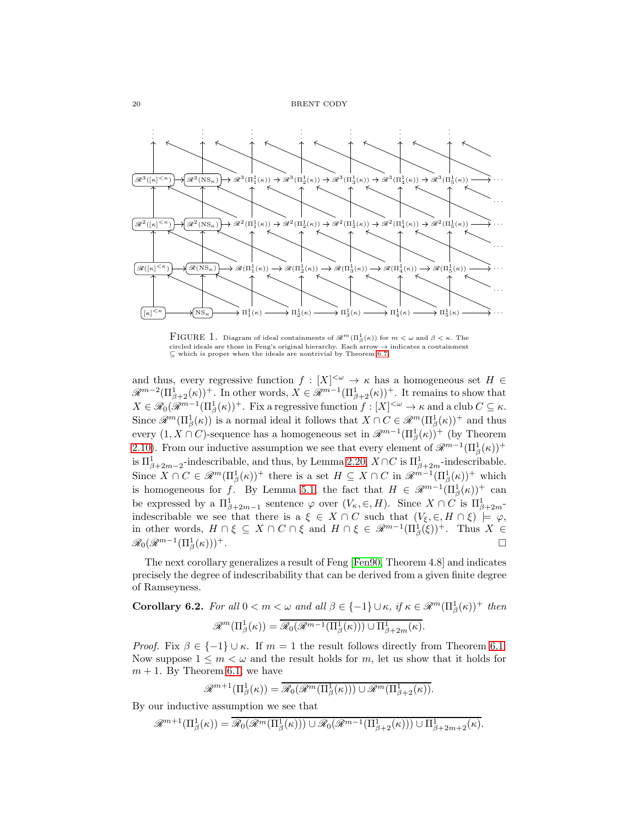

<span id="page-19-0"></span>FIGURE 1. Diagram of ideal containments of  $\mathscr{R}^m(\Pi_\beta^1(\kappa))$  for  $m < \omega$  and  $\beta < \kappa$ . The circled ideals are those in Feng's original hierarchy. Each arrow → indicates a containment ⊆ which is proper when the ideals are nontrivial by Theorem [6.7.](#page-21-0)

and thus, every regressive function  $f : [X]^{<\omega} \to \kappa$  has a homogeneous set  $H \in$  $\mathscr{R}^{m-2}(\Pi_{\beta+2}^1(\kappa))^+$ . In other words,  $X \in \mathscr{R}^{m-1}(\Pi_{\beta+2}^1(\kappa))^+$ . It remains to show that  $X \in \mathscr{R}_0(\mathscr{R}^{m-1}(\Pi^1_\beta(\kappa))^+$ . Fix a regressive function  $f : [X]^{<\omega} \to \kappa$  and a club  $C \subseteq \kappa$ . Since  $\mathscr{R}^m(\Pi_\beta^1(\kappa))$  is a normal ideal it follows that  $X \cap C \in \mathscr{R}^m(\Pi_\beta^1(\kappa))^+$  and thus every  $(1, X \cap C)$ -sequence has a homogeneous set in  $\mathscr{R}^{m-1}(\Pi_{\beta}^1(\kappa))$ <sup>+</sup> (by Theorem [2.10\)](#page-9-0). From our inductive assumption we see that every element of  $\mathscr{R}^{m-1}(\Pi^1_\beta(\kappa))^+$ is  $\Pi_{\beta+2m-2}^1$ -indescribable, and thus, by Lemma [2.20,](#page-12-0)  $X \cap C$  is  $\Pi_{\beta+2m}^1$ -indescribable. Since  $X \cap C \in \mathcal{R}^m(\Pi_\beta^1(\kappa))^+$  there is a set  $H \subseteq X \cap C$  in  $\mathcal{R}^{m-1}(\Pi_\beta^1(\kappa))^+$  which is homogeneous for f. By Lemma [5.1,](#page-16-1) the fact that  $H \in \mathscr{R}^{m-1}(\Pi^1_\beta(\kappa))^+$  can be expressed by a  $\Pi_{\beta+2m-1}^1$  sentence  $\varphi$  over  $(V_\kappa,\in,H)$ . Since  $X \cap C$  is  $\Pi_{\beta+2m}^1$ indescribable we see that there is a  $\xi \in X \cap C$  such that  $(V_{\xi}, \in, H \cap \xi) \models \varphi$ , in other words,  $H \cap \xi \subseteq X \cap C \cap \xi$  and  $H \cap \xi \in \mathcal{R}^{m-1}(\Pi_{\beta}^{1}(\xi))^{+}$ . Thus  $X \in$  $\mathscr{R}_0(\mathscr{R}^{m-1}(\Pi^1_\beta$  $(\kappa))$ <sup>+</sup>.

The next corollary generalizes a result of Feng [\[Fen90,](#page-32-1) Theorem 4.8] and indicates precisely the degree of indescribability that can be derived from a given finite degree of Ramseyness.

<span id="page-19-1"></span>Corollary 6.2. For all  $0 < m < \omega$  and all  $\beta \in \{-1\} \cup \kappa$ , if  $\kappa \in \mathscr{R}^m(\Pi_\beta^1(\kappa))^+$  then

$$
\mathscr{R}^m(\Pi^1_\beta(\kappa)) = \overline{\mathscr{R}_0(\mathscr{R}^{m-1}(\Pi^1_\beta(\kappa))) \cup \Pi^1_{\beta+2m}(\kappa)}.
$$

*Proof.* Fix  $\beta \in \{-1\} \cup \kappa$ . If  $m = 1$  the result follows directly from Theorem [6.1.](#page-17-1) Now suppose  $1 \leq m < \omega$  and the result holds for m, let us show that it holds for  $m + 1$ . By Theorem [6.1,](#page-17-1) we have

$$
\mathscr{R}^{m+1}(\Pi_{\beta}^1(\kappa)) = \overline{\mathscr{R}_0(\mathscr{R}^m(\Pi_{\beta}^1(\kappa))) \cup \mathscr{R}^m(\Pi_{\beta+2}^1(\kappa))}.
$$

By our inductive assumption we see that

$$
\mathscr{R}^{m+1}(\Pi_{\beta}^1(\kappa)) = \overline{\mathscr{R}_0(\mathscr{R}^m(\Pi_{\beta}^1(\kappa))) \cup \mathscr{R}_0(\mathscr{R}^{m-1}(\Pi_{\beta+2}^1(\kappa))) \cup \Pi_{\beta+2m+2}^1(\kappa)}.
$$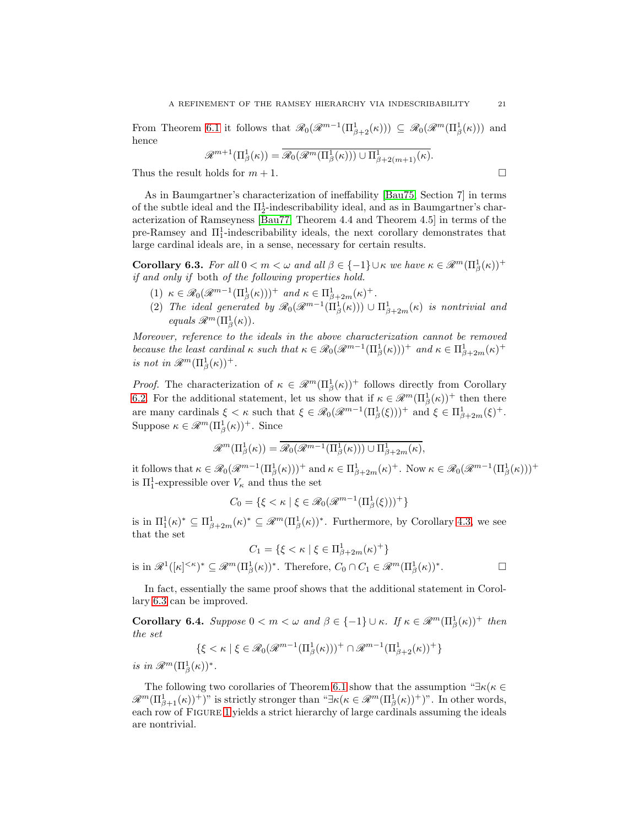From Theorem [6.1](#page-17-1) it follows that  $\mathscr{R}_0(\mathscr{R}^{m-1}(\Pi^1_{\beta+2}(\kappa))) \subseteq \mathscr{R}_0(\mathscr{R}^m(\Pi^1_{\beta}(\kappa)))$  and hence

$$
\mathscr{R}^{m+1}(\Pi_{\beta}^1(\kappa)) = \overline{\mathscr{R}_0}(\mathscr{R}^m(\Pi_{\beta}^1(\kappa))) \cup \Pi_{\beta+2(m+1)}^1(\kappa).
$$

Thus the result holds for  $m + 1$ .

As in Baumgartner's characterization of ineffability [\[Bau75,](#page-31-0) Section 7] in terms of the subtle ideal and the  $\Pi^1_2$ -indescribability ideal, and as in Baumgartner's characterization of Ramseyness [\[Bau77,](#page-31-6) Theorem 4.4 and Theorem 4.5] in terms of the pre-Ramsey and  $\Pi_1^1$ -indescribability ideals, the next corollary demonstrates that large cardinal ideals are, in a sense, necessary for certain results.

<span id="page-20-0"></span>**Corollary 6.3.** For all  $0 < m < \omega$  and all  $\beta \in \{-1\} \cup \kappa$  we have  $\kappa \in \mathscr{R}^m(\Pi_\beta^1(\kappa))^+$ if and only if both of the following properties hold.

- (1)  $\kappa \in \mathcal{R}_0(\mathcal{R}^{m-1}(\Pi^1_\beta(\kappa)))^+$  and  $\kappa \in \Pi^1_{\beta+2m}(\kappa)^+$ .
- (2) The ideal generated by  $\mathscr{R}_0(\mathscr{R}^{m-1}(\Pi^1_\beta(\kappa))) \cup \Pi^1_{\beta+2m}(\kappa)$  is nontrivial and equals  $\mathscr{R}^m(\Pi^1_\beta(\kappa)).$

Moreover, reference to the ideals in the above characterization cannot be removed because the least cardinal  $\kappa$  such that  $\kappa \in \mathcal{R}_0(\mathcal{R}^{m-1}(\Pi^1_\beta(\kappa)))^+$  and  $\kappa \in \Pi^1_{\beta+2m}(\kappa)^+$ is not in  $\mathscr{R}^m(\Pi^1_\beta(\kappa))^+$ .

*Proof.* The characterization of  $\kappa \in \mathcal{R}^m(\Pi_\beta^1(\kappa))^+$  follows directly from Corollary [6.2.](#page-19-1) For the additional statement, let us show that if  $\kappa \in \mathcal{R}^m(\Pi_\beta^1(\kappa))^+$  then there are many cardinals  $\xi < \kappa$  such that  $\xi \in \mathcal{R}_0(\mathcal{R}^{m-1}(\Pi_\beta^1(\xi)))^+$  and  $\xi \in \Pi_{\beta+2m}^1(\xi)^+$ . Suppose  $\kappa \in \mathcal{R}^m(\Pi_\beta^1(\kappa))^+$ . Since

$$
\mathscr{R}^m(\Pi_\beta^1(\kappa)) = \mathscr{R}_0(\mathscr{R}^{m-1}(\Pi_\beta^1(\kappa))) \cup \Pi_{\beta+2m}^1(\kappa),
$$

it follows that  $\kappa \in \mathcal{R}_0(\mathcal{R}^{m-1}(\Pi_\beta^1(\kappa)))^+$  and  $\kappa \in \Pi_{\beta+2m}^1(\kappa)^+$ . Now  $\kappa \in \mathcal{R}_0(\mathcal{R}^{m-1}(\Pi_\beta^1(\kappa)))^+$ is  $\Pi_1^1$ -expressible over  $V_\kappa$  and thus the set

$$
C_0 = \{ \xi < \kappa \mid \xi \in \mathcal{R}_0(\mathcal{R}^{m-1}(\Pi^1_\beta(\xi)))^+ \}
$$

is in  $\Pi_1^1(\kappa)^* \subseteq \Pi_{\beta+2m}^1(\kappa)^* \subseteq \mathscr{R}^m(\Pi_{\beta}^1(\kappa))^*$ . Furthermore, by Corollary [4.3,](#page-16-2) we see that the set

$$
C_1 = \{ \xi < \kappa \mid \xi \in \Pi_{\beta+2m}^1(\kappa)^+ \}
$$

is in  $\mathscr{R}^1([\kappa]^{<\kappa})^* \subseteq \mathscr{R}^m(\Pi_\beta^1(\kappa))^*$ . Therefore,  $C_0 \cap C_1 \in \mathscr{R}^m(\Pi_\beta^1(\kappa))^*$ 

In fact, essentially the same proof shows that the additional statement in Corollary [6.3](#page-20-0) can be improved.

**Corollary 6.4.** Suppose  $0 < m < \omega$  and  $\beta \in \{-1\} \cup \kappa$ . If  $\kappa \in \mathcal{R}^m(\Pi_\beta^1(\kappa))^+$  then the set

$$
\{\xi < \kappa \mid \xi \in \mathcal{R}_0(\mathcal{R}^{m-1}(\Pi^1_\beta(\kappa)))^+ \cap \mathcal{R}^{m-1}(\Pi^1_{\beta+2}(\kappa))^+ \}
$$

is in  $\mathscr{R}^m(\Pi^1_\beta(\kappa))^*$ .

The following two corollaries of Theorem [6.1](#page-17-1) show that the assumption " $\exists \kappa(\kappa \in \mathbb{R})$ "  $\mathscr{R}^m(\Pi_{\beta+1}^1(\kappa))^+$  is strictly stronger than " $\exists \kappa(\kappa \in \mathscr{R}^m(\Pi_{\beta}^1(\kappa))^+)$ ". In other words, each row of FIGURE [1](#page-19-0) yields a strict hierarchy of large cardinals assuming the ideals are nontrivial.

 $\Box$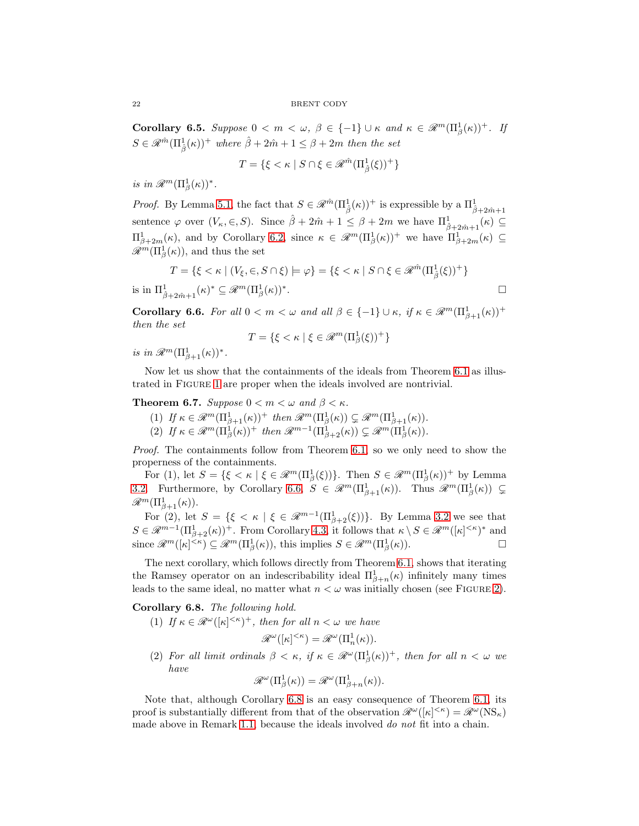Corollary 6.5. Suppose  $0 < m < \omega, \ \beta \in \{-1\} \cup \kappa \text{ and } \kappa \in \mathcal{R}^m(\Pi_\beta^1(\kappa))^+$ . If  $S \in \mathscr{R}^{\hat{m}}(\Pi^1_{\hat{\beta}}(\kappa))^+$  where  $\hat{\beta} + 2\hat{m} + 1 \leq \beta + 2m$  then the set

$$
T = \{ \xi < \kappa \mid S \cap \xi \in \mathcal{R}^{\hat{m}}(\Pi^1_{\hat{\beta}}(\xi))^+ \}
$$

is in  $\mathscr{R}^m(\Pi^1_\beta(\kappa))^*$ .

*Proof.* By Lemma [5.1,](#page-16-1) the fact that  $S \in \mathcal{R}^{\hat{m}}(\Pi^1_{\hat{\beta}}(\kappa))^+$  is expressible by a  $\Pi^1_{\hat{\beta}+2\hat{m}+1}$ sentence  $\varphi$  over  $(V_{\kappa}, \in, S)$ . Since  $\hat{\beta} + 2\hat{m} + 1 \leq \beta + 2m$  we have  $\Pi^1_{\hat{\beta} + 2\hat{m} + 1}(\kappa) \subseteq$  $\Pi_{\beta+2m}^1(\kappa)$ , and by Corollary [6.2,](#page-19-1) since  $\kappa \in \mathscr{R}^m(\Pi_{\beta}^1(\kappa))^+$  we have  $\Pi_{\beta+2m}^1(\kappa) \subseteq$  $\mathscr{R}^m(\Pi^1_\beta(\kappa))$ , and thus the set

$$
T = \{ \xi < \kappa \mid (V_{\xi}, \in, S \cap \xi) \models \varphi \} = \{ \xi < \kappa \mid S \cap \xi \in \mathcal{R}^{\hat{m}}(\Pi_{\hat{\beta}}^1(\xi))^+ \}
$$
\nis in  $\Pi_{\hat{\beta} + 2\hat{m} + 1}^1(\kappa)^* \subseteq \mathcal{R}^m(\Pi_{\beta}^1(\kappa))^*.$ 

<span id="page-21-1"></span>Corollary 6.6. For all  $0 < m < \omega$  and all  $\beta \in \{-1\} \cup \kappa$ , if  $\kappa \in \mathscr{R}^m(\Pi_{\beta+1}^1(\kappa))^+$ then the set

$$
T = \{ \xi < \kappa \mid \xi \in \mathcal{R}^m(\Pi^1_\beta(\xi))^+ \}
$$

is in  $\mathscr{R}^m(\Pi_{\beta+1}^1(\kappa))^*$ .

Now let us show that the containments of the ideals from Theorem [6.1](#page-17-1) as illustrated in Figure [1](#page-19-0) are proper when the ideals involved are nontrivial.

## <span id="page-21-0"></span>**Theorem 6.7.** Suppose  $0 < m < \omega$  and  $\beta < \kappa$ .

- (1) If  $\kappa \in \mathscr{R}^m(\Pi_{\beta+1}^1(\kappa))^+$  then  $\mathscr{R}^m(\Pi_{\beta}^1(\kappa)) \subsetneq \mathscr{R}^m(\Pi_{\beta+1}^1(\kappa)).$
- (2) If  $\kappa \in \mathscr{R}^m(\Pi_\beta^1(\kappa))^+$  then  $\mathscr{R}^{m-1}(\Pi_{\beta+2}^1(\kappa)) \subsetneq \mathscr{R}^m(\Pi_\beta^1(\kappa)).$

Proof. The containments follow from Theorem [6.1,](#page-17-1) so we only need to show the properness of the containments.

For (1), let  $S = \{ \xi < \kappa \mid \xi \in \mathcal{R}^m(\Pi_\beta^1(\xi)) \}.$  Then  $S \in \mathcal{R}^m(\Pi_\beta^1(\kappa))^+$  by Lemma [3.2.](#page-14-3) Furthermore, by Corollary [6.6,](#page-21-1)  $S \in \mathscr{R}^m(\Pi^1_{\beta+1}(\kappa))$ . Thus  $\mathscr{R}^m(\Pi^1_{\beta}(\kappa)) \subsetneq$  $\mathscr{R}^m(\Pi_{\beta+1}^1(\kappa)).$ 

For (2), let  $S = \{ \xi \le \kappa \mid \xi \in \mathcal{R}^{m-1}(\Pi^1_{\beta+2}(\xi)) \}.$  By Lemma [3.2](#page-14-3) we see that  $S \in \mathscr{R}^{m-1}(\Pi_{\beta+2}^1(\kappa))^+$ . From Corollary [4.3,](#page-16-2) it follows that  $\kappa \setminus S \in \mathscr{R}^m([\kappa]^{<\kappa})^*$  and since  $\mathscr{R}^m([\kappa]^{<\kappa}) \subseteq \mathscr{R}^m(\Pi_\beta^1(\kappa))$ , this implies  $S \in \mathscr{R}^m(\Pi_\beta^1(\kappa))$ .

The next corollary, which follows directly from Theorem [6.1,](#page-17-1) shows that iterating the Ramsey operator on an indescribability ideal  $\Pi_{\beta+n}^1(\kappa)$  infinitely many times leads to the same ideal, no matter what  $n < \omega$  was initially chosen (see FIGURE [2\)](#page-22-1).

<span id="page-21-2"></span>Corollary 6.8. The following hold.

- (1) If  $\kappa \in \mathbb{R}^{\omega}([\kappa]^{<\kappa})^+$ , then for all  $n < \omega$  we have  $\mathscr{R}^{\omega}([\kappa]^{<\kappa}) = \mathscr{R}^{\omega}(\Pi_n^1(\kappa)).$
- (2) For all limit ordinals  $\beta < \kappa$ , if  $\kappa \in \mathcal{R}^{\omega}(\Pi_{\beta}^{1}(\kappa))^{+}$ , then for all  $n < \omega$  we have

$$
\mathscr{R}^{\omega}(\Pi_{\beta}^1(\kappa))=\mathscr{R}^{\omega}(\Pi_{\beta+n}^1(\kappa)).
$$

Note that, although Corollary [6.8](#page-21-2) is an easy consequence of Theorem [6.1,](#page-17-1) its proof is substantially different from that of the observation  $\mathscr{R}^{\omega}([\kappa]^{<\kappa}) = \mathscr{R}^{\omega}(NS_{\kappa})$ made above in Remark [1.1,](#page-2-0) because the ideals involved do not fit into a chain.

$$
^{22}
$$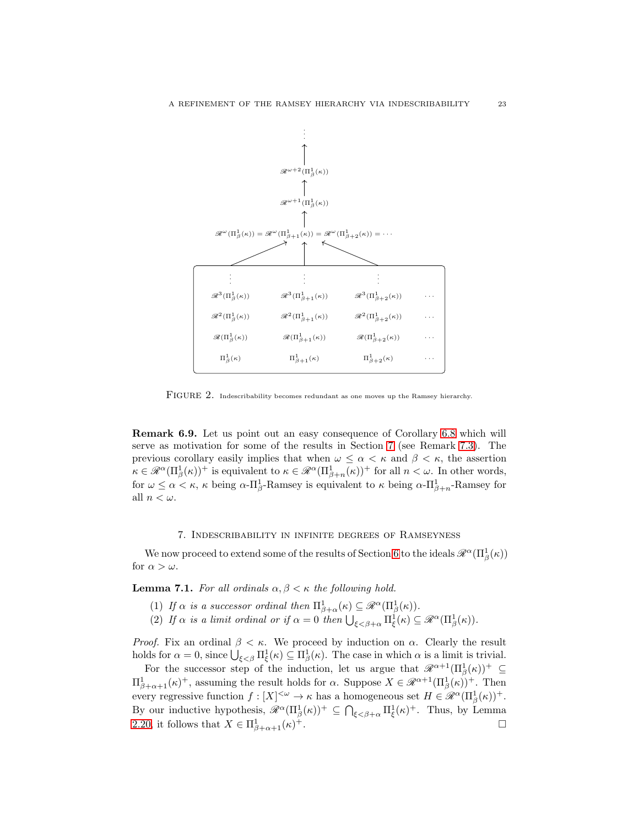

<span id="page-22-1"></span>FIGURE 2. Indescribability becomes redundant as one moves up the Ramsey hierarchy.

<span id="page-22-3"></span>Remark 6.9. Let us point out an easy consequence of Corollary [6.8](#page-21-2) which will serve as motivation for some of the results in Section [7](#page-22-0) (see Remark [7.3\)](#page-24-0). The previous corollary easily implies that when  $\omega \leq \alpha < \kappa$  and  $\beta < \kappa$ , the assertion  $\kappa \in \mathscr{R}^{\alpha}(\Pi_{\beta}^{1}(\kappa))^{+}$  is equivalent to  $\kappa \in \mathscr{R}^{\alpha}(\Pi_{\beta+n}^{1}(\kappa))^{+}$  for all  $n < \omega$ . In other words, for  $\omega \le \alpha < \kappa$ ,  $\kappa$  being  $\alpha$ - $\Pi_{\beta}^1$ -Ramsey is equivalent to  $\kappa$  being  $\alpha$ - $\Pi_{\beta+n}^1$ -Ramsey for all  $n < \omega$ .

### 7. Indescribability in infinite degrees of Ramseyness

<span id="page-22-0"></span>We now proceed to extend some of the results of Section [6](#page-17-0) to the ideals  $\mathscr{R}^{\alpha}(\Pi_{\beta}^{1}(\kappa))$ for  $\alpha > \omega$ .

<span id="page-22-2"></span>**Lemma 7.1.** For all ordinals  $\alpha, \beta \leq \kappa$  the following hold.

- (1) If  $\alpha$  is a successor ordinal then  $\Pi_{\beta+\alpha}^1(\kappa) \subseteq \mathscr{R}^{\alpha}(\Pi_{\beta}^1(\kappa)).$
- (2) If  $\alpha$  is a limit ordinal or if  $\alpha = 0$  then  $\bigcup_{\xi < \beta+\alpha} \Pi_{\xi}^{1}(\kappa) \subseteq \mathscr{R}^{\alpha}(\Pi_{\beta}^{1}(\kappa)).$

*Proof.* Fix an ordinal  $\beta < \kappa$ . We proceed by induction on  $\alpha$ . Clearly the result holds for  $\alpha = 0$ , since  $\bigcup_{\xi < \beta} \Pi_{\xi}^1(\kappa) \subseteq \Pi_{\beta}^1(\kappa)$ . The case in which  $\alpha$  is a limit is trivial.

For the successor step of the induction, let us argue that  $\mathscr{R}^{\alpha+1}(\Pi_{\beta}^1(\kappa))^+ \subseteq$  $\Pi_{\beta+\alpha+1}^1(\kappa)^+$ , assuming the result holds for  $\alpha$ . Suppose  $X \in \mathscr{R}^{\alpha+1}(\Pi_\beta^1(\kappa))^+$ . Then every regressive function  $f: [X]^{<\omega} \to \kappa$  has a homogeneous set  $H \in \mathscr{R}^{\alpha}(\Pi^1_{\beta}(\kappa))^+$ . By our inductive hypothesis,  $\mathscr{R}^{\alpha}(\Pi_{\beta}^{1}(\kappa))^{+} \subseteq \bigcap_{\xi < \beta+\alpha} \Pi_{\xi}^{1}(\kappa)^{+}$ . Thus, by Lemma [2.20,](#page-12-0) it follows that  $X \in \Pi^1_{\beta+\alpha+1}(\kappa)$ <sup>+</sup>.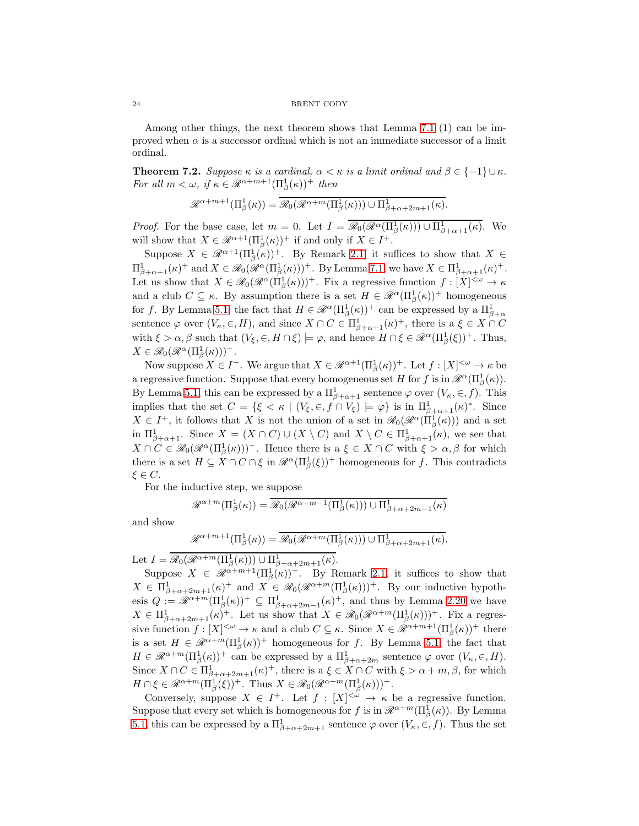24 BRENT CODY

Among other things, the next theorem shows that Lemma [7.1](#page-22-2) (1) can be improved when  $\alpha$  is a successor ordinal which is not an immediate successor of a limit ordinal.

<span id="page-23-0"></span>**Theorem 7.2.** Suppose  $\kappa$  is a cardinal,  $\alpha < \kappa$  is a limit ordinal and  $\beta \in \{-1\} \cup \kappa$ . For all  $m < \omega$ , if  $\kappa \in \mathcal{R}^{\alpha+m+1}(\Pi_{\beta}^1(\kappa))^+$  then

$$
\mathcal{R}^{\alpha+m+1}(\Pi_{\beta}^1(\kappa))=\overline{\mathcal{R}_0(\mathcal{R}^{\alpha+m}(\Pi_{\beta}^1(\kappa)))\cup \Pi_{\beta+\alpha+2m+1}^1(\kappa)}.
$$

*Proof.* For the base case, let  $m = 0$ . Let  $I = \overline{\mathscr{R}_0(\mathscr{R}^{\alpha}(\Pi^1_{\beta}(\kappa))) \cup \Pi^1_{\beta+\alpha+1}(\kappa)}$ . We will show that  $X \in \mathcal{R}^{\alpha+1}(\Pi_{\beta}^1(\kappa))^+$  if and only if  $X \in I^+$ .

Suppose  $X \in \mathscr{R}^{\alpha+1}(\Pi_{\beta}^1(\kappa))^+$ . By Remark [2.1,](#page-5-1) it suffices to show that  $X \in$  $\Pi_{\beta+\alpha+1}^1(\kappa)^+$  and  $X \in \mathscr{R}_0(\mathscr{R}^{\alpha}(\Pi_{\beta}^1(\kappa)))^+$ . By Lemma [7.1,](#page-22-2) we have  $X \in \Pi_{\beta+\alpha+1}^1(\kappa)^+$ . Let us show that  $X \in \mathcal{R}_0(\mathcal{R}^{\alpha}(\Pi^1_{\beta}(\kappa)))^+$ . Fix a regressive function  $f : [X]^{<\omega} \to \kappa$ and a club  $C \subseteq \kappa$ . By assumption there is a set  $H \in \mathcal{R}^{\alpha}(\Pi_{\beta}^{1}(\kappa))^{+}$  homogeneous for f. By Lemma [5.1,](#page-16-1) the fact that  $H \in \mathcal{R}^{\alpha}(\Pi_{\beta}^{1}(\kappa))^{+}$  can be expressed by a  $\Pi_{\beta+\alpha}^{1}$ sentence  $\varphi$  over  $(V_{\kappa}, \in, H)$ , and since  $X \cap C \in \Pi_{\beta+\alpha+1}^1(\kappa)^+$ , there is a  $\xi \in X \cap C$ with  $\xi > \alpha, \beta$  such that  $(V_{\xi}, \in, H \cap \xi) \models \varphi$ , and hence  $H \cap \xi \in \mathcal{R}^{\alpha}(\Pi_{\beta}^{1}(\xi))^{+}$ . Thus,  $X \in \mathcal{R}_0(\mathcal{R}^{\alpha}(\Pi^1_{\beta}(\kappa)))^+.$ 

Now suppose  $X \in I^+$ . We argue that  $X \in \mathcal{R}^{\alpha+1}(\Pi_\beta^1(\kappa))^+$ . Let  $f : [X]^{<\omega} \to \kappa$  be a regressive function. Suppose that every homogeneous set H for f is in  $\mathcal{R}^{\alpha}(\Pi_{\beta}^{1}(\kappa)).$ By Lemma [5.1,](#page-16-1) this can be expressed by a  $\Pi_{\beta+\alpha+1}^1$  sentence  $\varphi$  over  $(V_\kappa, \in, f)$ . This implies that the set  $C = \{ \xi < \kappa \mid (V_{\xi}, \epsilon, f \cap V_{\xi}) \models \varphi \}$  is in  $\Pi^1_{\beta + \alpha + 1}(\kappa)^*$ . Since  $X \in I^+$ , it follows that X is not the union of a set in  $\mathscr{R}_0(\mathscr{R}^{\alpha}(\Pi^1_{\beta}(\kappa)))$  and a set in  $\Pi^1_{\beta+\alpha+1}$ . Since  $X = (X \cap C) \cup (X \setminus C)$  and  $X \setminus C \in \Pi^1_{\beta+\alpha+1}(\kappa)$ , we see that  $X \cap C \in \mathscr{R}_0(\mathscr{R}^{\alpha}(\Pi^1_{\beta}(\kappa)))^+$ . Hence there is  $a \xi \in X \cap C$  with  $\xi > \alpha, \beta$  for which there is a set  $H \subseteq X \cap C \cap \xi$  in  $\mathcal{R}^{\alpha}(\Pi_{\beta}^{1}(\xi))^{+}$  homogeneous for f. This contradicts  $\xi \in C$ .

For the inductive step, we suppose

$$
\mathcal{R}^{\alpha+m}(\Pi_{\beta}^1(\kappa)) = \overline{\mathcal{R}_0(\mathcal{R}^{\alpha+m-1}(\Pi_{\beta}^1(\kappa))) \cup \Pi_{\beta+\alpha+2m-1}^1(\kappa)}
$$

and show

$$
\mathcal{R}^{\alpha+m+1}(\Pi_{\beta}^1(\kappa))=\overline{\mathcal{R}_0(\mathcal{R}^{\alpha+m}(\Pi_{\beta}^1(\kappa)))}\cup \Pi_{\beta+\alpha+2m+1}^1(\kappa).
$$

Let  $I = \overline{\mathscr{R}_0(\mathscr{R}^{\alpha+m}(\Pi^1_\beta(\kappa))) \cup \Pi^1_{\beta+\alpha+2m+1}(\kappa)}$ .

Suppose  $X \in \mathscr{R}^{\alpha+m+1}(\Pi_{\beta}^{1}(\kappa))^{+}$ . By Remark [2.1,](#page-5-1) it suffices to show that  $X \in \Pi_{\beta+\alpha+2m+1}^1(\kappa)^+$  and  $X \in \mathcal{R}_0(\mathcal{R}^{\alpha+m}(\Pi_\beta^1(\kappa)))^+$ . By our inductive hypothesis  $Q := \mathscr{R}^{\alpha+m}(\Pi_{\beta}^1(\kappa))^+ \subseteq \Pi_{\beta+\alpha+2m-1}^1(\kappa)^+$ , and thus by Lemma [2.20](#page-12-0) we have  $X \in \Pi_{\beta+\alpha+2m+1}^1(\kappa)^+$ . Let us show that  $X \in \mathcal{R}_0(\mathcal{R}^{\alpha+m}(\Pi_\beta^1(\kappa)))^+$ . Fix a regressive function  $f: [X]^{<\omega} \to \kappa$  and a club  $C \subseteq \kappa$ . Since  $X \in \mathcal{R}^{\alpha+m+1}(\Pi^1_{\beta}(\kappa))^+$  there is a set  $H \in \mathscr{R}^{\alpha+m}(\Pi_{\beta}^1(\kappa))^+$  homogeneous for f. By Lemma [5.1,](#page-16-1) the fact that  $H \in \mathcal{R}^{\alpha+m}(\Pi_{\beta}^1(\kappa))^+$  can be expressed by a  $\Pi_{\beta+\alpha+2m}^1$  sentence  $\varphi$  over  $(V_{\kappa}, \in, H)$ . Since  $X \cap C \in \Pi_{\beta+\alpha+2m+1}^1(\kappa)^+$ , there is  $a \xi \in X \cap C$  with  $\xi > \alpha+m, \beta$ , for which  $H \cap \xi \in \mathcal{R}^{\alpha+m}(\Pi_{\beta}^{1}(\xi))^{+}$ . Thus  $X \in \mathcal{R}_{0}(\mathcal{R}^{\alpha+m}(\Pi_{\beta}^{1}(\kappa)))^{+}$ .

Conversely, suppose  $X \in I^+$ . Let  $f : [X]^{<\omega} \to \kappa$  be a regressive function. Suppose that every set which is homogeneous for f is in  $\mathcal{R}^{\alpha+m}(\Pi_{\beta}^{1}(\kappa))$ . By Lemma [5.1,](#page-16-1) this can be expressed by a  $\Pi^1_{\beta+\alpha+2m+1}$  sentence  $\varphi$  over  $(V_\kappa,\in,f)$ . Thus the set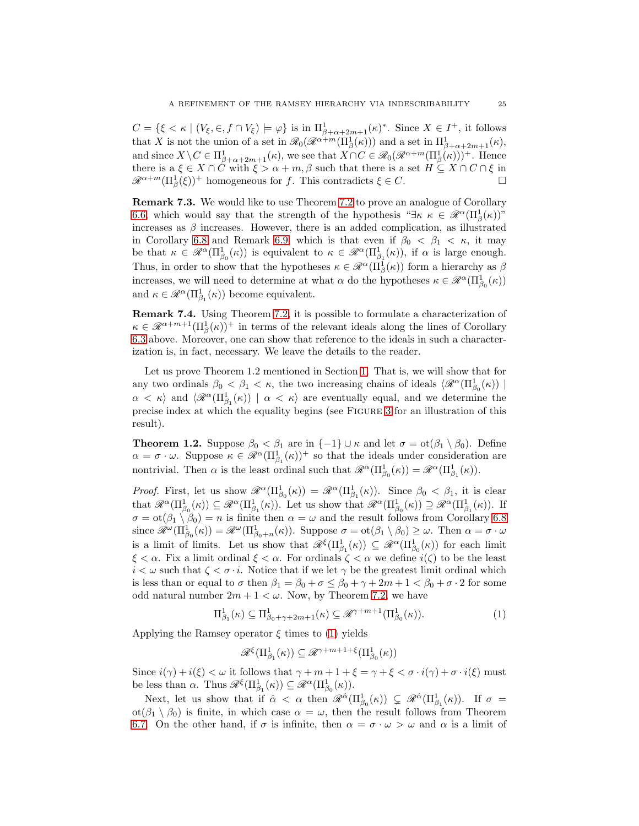$C = \{ \xi < \kappa \mid (V_{\xi}, \epsilon, f \cap V_{\xi}) \models \varphi \}$  is in  $\Pi^1_{\beta + \alpha + 2m + 1}(\kappa)^*$ . Since  $X \in I^+$ , it follows that X is not the union of a set in  $\mathscr{R}_0(\mathscr{R}^{\alpha+m}(\Pi^1_\beta(\kappa)))$  and a set in  $\Pi^1_{\beta+\alpha+2m+1}(\kappa)$ , and since  $X \setminus C \in \Pi_{\beta+\alpha+2m+1}^1(\kappa)$ , we see that  $X \cap C \in \mathcal{R}_0(\mathcal{R}^{\alpha+m}(\Pi_{\beta}^1(\kappa)))^+$ . Hence there is a  $\xi \in X \cap C$  with  $\xi > \alpha + m, \beta$  such that there is a set  $H \subseteq X \cap C \cap \xi$  in  $\mathscr{R}^{\alpha+m}(\Pi_{\beta}^{1}(\xi))^{+}$  homogeneous for f. This contradicts  $\xi \in C$ .

<span id="page-24-0"></span>Remark 7.3. We would like to use Theorem [7.2](#page-23-0) to prove an analogue of Corollary [6.6,](#page-21-1) which would say that the strength of the hypothesis " $\exists \kappa \kappa \in \mathcal{R}^{\alpha}(\Pi_{\beta}^{1}(\kappa))$ " increases as  $\beta$  increases. However, there is an added complication, as illustrated in Corollary [6.8](#page-21-2) and Remark [6.9,](#page-22-3) which is that even if  $\beta_0 < \beta_1 < \kappa$ , it may be that  $\kappa \in \mathcal{R}^{\alpha}(\Pi^1_{\beta_0}(\kappa))$  is equivalent to  $\kappa \in \mathcal{R}^{\alpha}(\Pi^1_{\beta_1}(\kappa))$ , if  $\alpha$  is large enough. Thus, in order to show that the hypotheses  $\kappa \in \mathcal{R}^{\alpha}(\Pi_{\beta}^{1}(\kappa))$  form a hierarchy as  $\beta$ increases, we will need to determine at what  $\alpha$  do the hypotheses  $\kappa \in \mathcal{R}^{\alpha}(\Pi^1_{\beta_0}(\kappa))$ and  $\kappa \in \mathcal{R}^{\alpha}(\Pi^1_{\beta_1}(\kappa))$  become equivalent.

Remark 7.4. Using Theorem [7.2,](#page-23-0) it is possible to formulate a characterization of  $\kappa \in \mathscr{R}^{\alpha+m+1}(\Pi_{\beta}^1(\kappa))$ <sup>+</sup> in terms of the relevant ideals along the lines of Corollary [6.3](#page-20-0) above. Moreover, one can show that reference to the ideals in such a characterization is, in fact, necessary. We leave the details to the reader.

Let us prove Theorem 1.2 mentioned in Section [1.](#page-0-0) That is, we will show that for any two ordinals  $\beta_0 < \beta_1 < \kappa$ , the two increasing chains of ideals  $\langle \mathcal{R}^{\alpha}(\Pi_{\beta_0}^1(\kappa)) |$  $\alpha < \kappa$  and  $\langle \mathcal{R}^{\alpha}(\Pi_{\beta_1}^1(\kappa)) | \alpha < \kappa \rangle$  are eventually equal, and we determine the precise index at which the equality begins (see Figure [3](#page-25-1) for an illustration of this result).

**Theorem 1.2.** Suppose  $\beta_0 < \beta_1$  are in  $\{-1\} \cup \kappa$  and let  $\sigma = \text{ot}(\beta_1 \setminus \beta_0)$ . Define  $\alpha = \sigma \cdot \omega$ . Suppose  $\kappa \in \mathscr{R}^{\alpha}(\Pi^1_{\beta_1}(\kappa))^+$  so that the ideals under consideration are nontrivial. Then  $\alpha$  is the least ordinal such that  $\mathscr{R}^{\alpha}(\Pi^{1}_{\beta_{0}}(\kappa)) = \mathscr{R}^{\alpha}(\Pi^{1}_{\beta_{1}}(\kappa)).$ 

*Proof.* First, let us show  $\mathcal{R}^{\alpha}(\Pi_{\beta_0}^1(\kappa)) = \mathcal{R}^{\alpha}(\Pi_{\beta_1}^1(\kappa))$ . Since  $\beta_0 < \beta_1$ , it is clear that  $\mathscr{R}^{\alpha}(\Pi^1_{\beta_0}(\kappa)) \subseteq \mathscr{R}^{\alpha}(\Pi^1_{\beta_1}(\kappa))$ . Let us show that  $\mathscr{R}^{\alpha}(\Pi^1_{\beta_0}(\kappa)) \supseteq \mathscr{R}^{\alpha}(\Pi^1_{\beta_1}(\kappa))$ . If  $\sigma = \text{ot}(\beta_1 \setminus \beta_0) = n$  is finite then  $\alpha = \omega$  and the result follows from Corollary [6.8](#page-21-2) since  $\mathscr{R}^{\omega}(\Pi_{\beta_{0}}^{1}(\kappa)) = \mathscr{R}^{\omega}(\Pi_{\beta_{0}+n}^{1}(\kappa))$ . Suppose  $\sigma = \text{ot}(\beta_{1} \setminus \beta_{0}) \geq \omega$ . Then  $\alpha = \sigma \cdot \omega$ is a limit of limits. Let us show that  $\mathscr{R}^{\xi}(\Pi^1_{\beta_1}(\kappa)) \subseteq \mathscr{R}^{\alpha}(\Pi^1_{\beta_0}(\kappa))$  for each limit  $\xi < \alpha$ . Fix a limit ordinal  $\xi < \alpha$ . For ordinals  $\zeta < \alpha$  we define  $i(\zeta)$  to be the least  $i < \omega$  such that  $\zeta < \sigma \cdot i$ . Notice that if we let  $\gamma$  be the greatest limit ordinal which is less than or equal to  $\sigma$  then  $\beta_1 = \beta_0 + \sigma \leq \beta_0 + \gamma + 2m + 1 < \beta_0 + \sigma \cdot 2$  for some odd natural number  $2m + 1 < \omega$ . Now, by Theorem [7.2,](#page-23-0) we have

$$
\Pi_{\beta_1}^1(\kappa) \subseteq \Pi_{\beta_0 + \gamma + 2m + 1}^1(\kappa) \subseteq \mathcal{R}^{\gamma + m + 1}(\Pi_{\beta_0}^1(\kappa)).
$$
\n(1)

Applying the Ramsey operator  $\xi$  times to [\(1\)](#page-24-1) yields

<span id="page-24-1"></span>
$$
\mathscr{R}^{\xi}(\Pi^1_{\beta_1}(\kappa)) \subseteq \mathscr{R}^{\gamma+m+1+\xi}(\Pi^1_{\beta_0}(\kappa))
$$

Since  $i(\gamma) + i(\xi) < \omega$  it follows that  $\gamma + m + 1 + \xi = \gamma + \xi < \sigma \cdot i(\gamma) + \sigma \cdot i(\xi)$  must be less than  $\alpha$ . Thus  $\mathscr{R}^{\xi}(\Pi^1_{\beta_1}(\kappa)) \subseteq \mathscr{R}^{\alpha}(\Pi^1_{\beta_0}(\kappa)).$ 

Next, let us show that if  $\hat{\alpha} < \alpha$  then  $\mathscr{R}^{\hat{\alpha}}(\Pi^1_{\beta_0}(\kappa)) \subsetneq \mathscr{R}^{\hat{\alpha}}(\Pi^1_{\beta_1}(\kappa))$ . If  $\sigma =$ ot( $\beta_1 \setminus \beta_0$ ) is finite, in which case  $\alpha = \omega$ , then the result follows from Theorem [6.7.](#page-21-0) On the other hand, if  $\sigma$  is infinite, then  $\alpha = \sigma \cdot \omega > \omega$  and  $\alpha$  is a limit of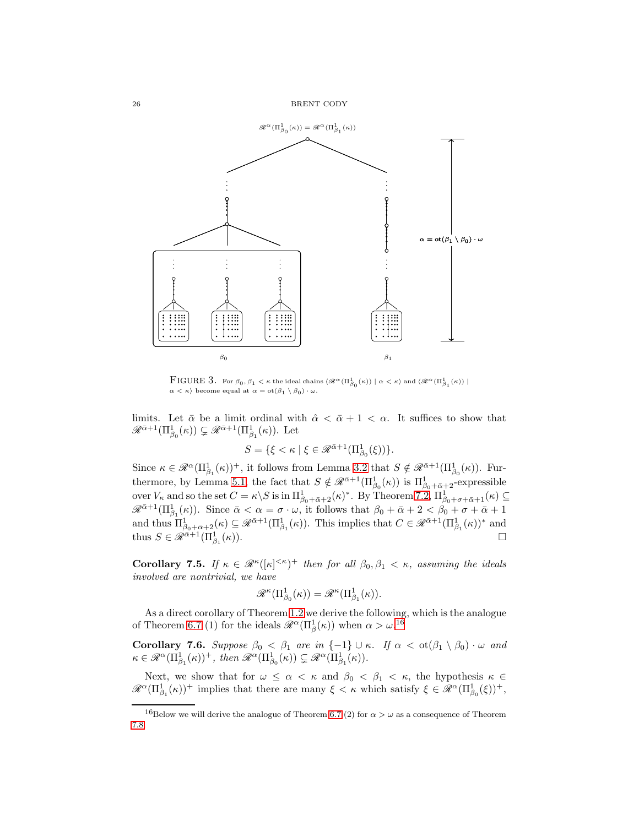

<span id="page-25-1"></span> $\text{FIGURE 3. For } \beta_0, \beta_1 < \kappa \text{ the ideal chains } \langle \mathscr{R}^\alpha(\Pi_{\beta_0}^1(\kappa)) \mid \alpha < \kappa \rangle \text{ and } \langle \mathscr{R}^\alpha(\Pi_{\beta_1}^1(\kappa)) \mid$  $\alpha < \kappa$ ) become equal at  $\alpha = \text{ot}(\beta_1 \setminus \beta_0) \cdot \omega$ .

limits. Let  $\bar{\alpha}$  be a limit ordinal with  $\hat{\alpha} < \bar{\alpha} + 1 < \alpha$ . It suffices to show that  $\mathscr{R}^{\bar{\alpha}+1}(\Pi^1_{\beta_0}(\kappa)) \subsetneq \mathscr{R}^{\bar{\alpha}+1}(\Pi^1_{\beta_1}(\kappa)).$  Let

$$
S = \{ \xi < \kappa \mid \xi \in \mathcal{R}^{\bar{\alpha}+1}(\Pi^1_{\beta_0}(\xi)) \}.
$$

Since  $\kappa \in \mathscr{R}^{\alpha}(\Pi^1_{\beta_1}(\kappa))^+$ , it follows from Lemma [3.2](#page-14-3) that  $S \notin \mathscr{R}^{\bar{\alpha}+1}(\Pi^1_{\beta_0}(\kappa))$ . Fur-thermore, by Lemma [5.1,](#page-16-1) the fact that  $S \notin \mathscr{R}^{\bar{\alpha}+1}(\Pi^1_{\beta_0}(\kappa))$  is  $\Pi^1_{\beta_0+\bar{\alpha}+2}$ -expressible over  $V_{\kappa}$  and so the set  $C = \kappa \backslash S$  is in  $\Pi^1_{\beta_0 + \bar{\alpha} + 2}(\kappa)^*$ . By Theorem [7.2,](#page-23-0)  $\Pi^1_{\beta_0 + \sigma + \bar{\alpha} + 1}(\kappa) \subseteq$  $\mathscr{R}^{\bar{\alpha}+1}(\Pi^1_{\beta_1}(\kappa)).$  Since  $\bar{\alpha} < \alpha = \sigma \cdot \omega$ , it follows that  $\beta_0 + \bar{\alpha} + 2 < \beta_0 + \sigma + \bar{\alpha} + 1$ and thus  $\Pi_{\beta_0+\bar{\alpha}+2}^1(\kappa) \subseteq \mathscr{R}^{\bar{\alpha}+1}(\Pi_{\beta_1}^1(\kappa))$ . This implies that  $C \in \mathscr{R}^{\bar{\alpha}+1}(\Pi_{\beta_1}^1(\kappa))^*$  and thus  $S \in \mathscr{R}^{\tilde{\alpha}+1}(\Pi^1_{\beta_1})$  $(\kappa)$ ).

<span id="page-25-0"></span>Corollary 7.5. If  $\kappa \in \mathcal{R}^{\kappa}([\kappa]^{<\kappa})^+$  then for all  $\beta_0, \beta_1 < \kappa$ , assuming the ideals involved are nontrivial, we have

$$
\mathscr{R}^{\kappa}(\Pi^1_{\beta_0}(\kappa)) = \mathscr{R}^{\kappa}(\Pi^1_{\beta_1}(\kappa)).
$$

As a direct corollary of Theorem [1.2](#page-4-0) we derive the following, which is the analogue of Theorem [6.7](#page-21-0) (1) for the ideals  $\mathscr{R}^{\alpha}(\Pi^1_{\beta}(\kappa))$  when  $\alpha > \omega$ .<sup>[16](#page-25-2)</sup>

**Corollary 7.6.** Suppose  $\beta_0 < \beta_1$  are in  $\{-1\} \cup \kappa$ . If  $\alpha < \text{ot}(\beta_1 \setminus \beta_0) \cdot \omega$  and  $\kappa \in \mathscr{R}^{\alpha}(\Pi^1_{\beta_1}(\kappa))^+$ , then  $\mathscr{R}^{\alpha}(\Pi^1_{\beta_0}(\kappa)) \subsetneq \mathscr{R}^{\alpha}(\Pi^1_{\beta_1}(\kappa)).$ 

Next, we show that for  $\omega \leq \alpha < \kappa$  and  $\beta_0 < \beta_1 < \kappa$ , the hypothesis  $\kappa \in$  $\mathscr{R}^{\alpha}(\Pi^1_{\beta_1}(\kappa))^+$  implies that there are many  $\xi < \kappa$  which satisfy  $\xi \in \mathscr{R}^{\alpha}(\Pi^1_{\beta_0}(\xi))^+$ ,

<span id="page-25-2"></span><sup>&</sup>lt;sup>16</sup>Below we will derive the analogue of Theorem [6.7](#page-21-0) (2) for  $\alpha > \omega$  as a consequence of Theorem [7.8.](#page-26-2)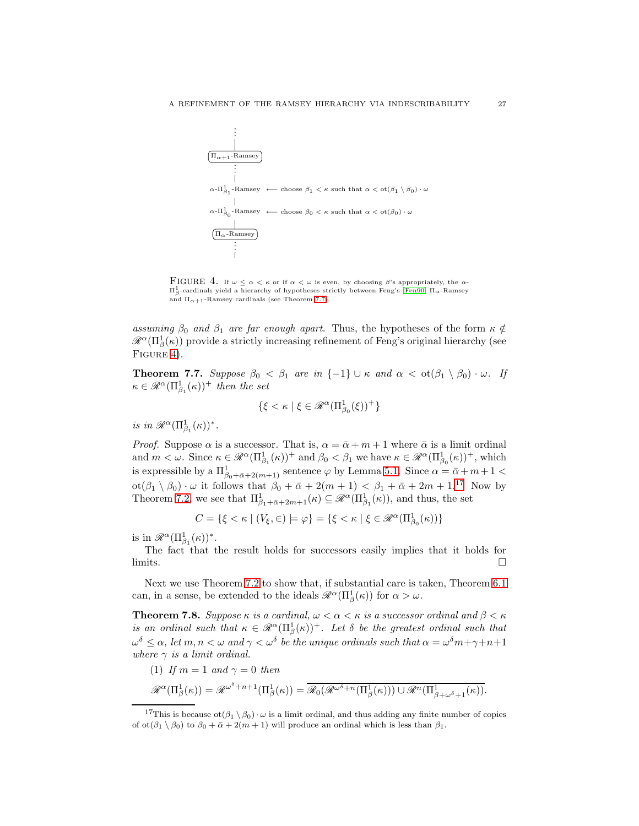

<span id="page-26-0"></span>FIGURE 4. If  $\omega \leq \alpha < \kappa$  or if  $\alpha < \omega$  is even, by choosing  $\beta$ 's appropriately, the  $\alpha$ - $\Pi^1_\beta$ -cardinals yield a hierarchy of hypotheses strictly between Feng's [\[Fen90\]](#page-32-1)  $\Pi_\alpha$ -Ramsey and  $\Pi_{\alpha+1}$ -Ramsey cardinals (see Theorem [7.7\)](#page-26-1).

assuming  $\beta_0$  and  $\beta_1$  are far enough apart. Thus, the hypotheses of the form  $\kappa \notin$  $\mathscr{R}^{\alpha}(\Pi_{\beta}^{1}(\kappa))$  provide a strictly increasing refinement of Feng's original hierarchy (see FIGURE [4\)](#page-26-0).

<span id="page-26-1"></span>**Theorem 7.7.** Suppose  $\beta_0 < \beta_1$  are in  $\{-1\} \cup \kappa$  and  $\alpha < \text{ot}(\beta_1 \setminus \beta_0) \cdot \omega$ . If  $\kappa \in \mathscr{R}^{\alpha}(\Pi^1_{\beta_1}(\kappa))^+$  then the set

$$
\{\xi<\kappa\mid \xi\in\mathscr{R}^\alpha(\Pi^1_{\beta_0}(\xi))^+\}
$$

is in  $\mathscr{R}^{\alpha}(\Pi_{\beta_1}^1(\kappa))^*$ .

*Proof.* Suppose  $\alpha$  is a successor. That is,  $\alpha = \bar{\alpha} + m + 1$  where  $\bar{\alpha}$  is a limit ordinal and  $m < \omega$ . Since  $\kappa \in \mathscr{R}^{\alpha}(\Pi^1_{\beta_1}(\kappa))^+$  and  $\beta_0 < \beta_1$  we have  $\kappa \in \mathscr{R}^{\alpha}(\Pi^1_{\beta_0}(\kappa))^+$ , which is expressible by a  $\Pi^1_{\beta_0+\bar{\alpha}+2(m+1)}$  sentence  $\varphi$  by Lemma [5.1.](#page-16-1) Since  $\alpha=\bar{\alpha}+m+1<\pi$  $\cot(\beta_1 \setminus \beta_0) \cdot \omega$  it follows that  $\beta_0 + \bar{\alpha} + 2(m+1) < \beta_1 + \bar{\alpha} + 2m + 1$ <sup>[17](#page-26-3)</sup> Now by Theorem [7.2,](#page-23-0) we see that  $\Pi_{\beta_1+\bar{\alpha}+2m+1}^1(\kappa) \subseteq \mathscr{R}^{\alpha}(\Pi_{\beta_1}^1(\kappa))$ , and thus, the set

$$
C = \{ \xi < \kappa \mid (V_{\xi}, \in) \models \varphi \} = \{ \xi < \kappa \mid \xi \in \mathcal{R}^{\alpha}(\Pi^1_{\beta_0}(\kappa)) \}
$$

is in  $\mathscr{R}^{\alpha}(\Pi^1_{\beta_1}(\kappa))^*$ .

The fact that the result holds for successors easily implies that it holds for  $\Box$ 

Next we use Theorem [7.2](#page-23-0) to show that, if substantial care is taken, Theorem [6.1](#page-17-1) can, in a sense, be extended to the ideals  $\mathscr{R}^{\alpha}(\Pi_{\beta}^{1}(\kappa))$  for  $\alpha > \omega$ .

<span id="page-26-2"></span>**Theorem 7.8.** Suppose  $\kappa$  is a cardinal,  $\omega < \alpha < \kappa$  is a successor ordinal and  $\beta < \kappa$ is an ordinal such that  $\kappa \in \mathscr{R}^{\alpha}(\Pi_{\beta}^{1}(\kappa))^{+}$ . Let  $\delta$  be the greatest ordinal such that  $\omega^\delta \leq \alpha$ , let  $m,n < \omega$  and  $\gamma < \omega^\delta$  be the unique ordinals such that  $\alpha = \omega^\delta m + \gamma + n + 1$ where  $\gamma$  is a limit ordinal.

(1) If  $m = 1$  and  $\gamma = 0$  then

$$
\mathscr{R}^{\alpha}(\Pi_{\beta}^{1}(\kappa)) = \mathscr{R}^{\omega^{\delta}+n+1}(\Pi_{\beta}^{1}(\kappa)) = \overline{\mathscr{R}_{0}(\mathscr{R}^{\omega^{\delta}+n}(\Pi_{\beta}^{1}(\kappa))) \cup \mathscr{R}^{n}(\Pi_{\beta+\omega^{\delta}+1}^{1}(\kappa))}.
$$

<span id="page-26-3"></span><sup>&</sup>lt;sup>17</sup>This is because ot $(\beta_1 \setminus \beta_0) \cdot \omega$  is a limit ordinal, and thus adding any finite number of copies of ot( $\beta_1 \setminus \beta_0$ ) to  $\beta_0 + \bar{\alpha} + 2(m+1)$  will produce an ordinal which is less than  $\beta_1$ .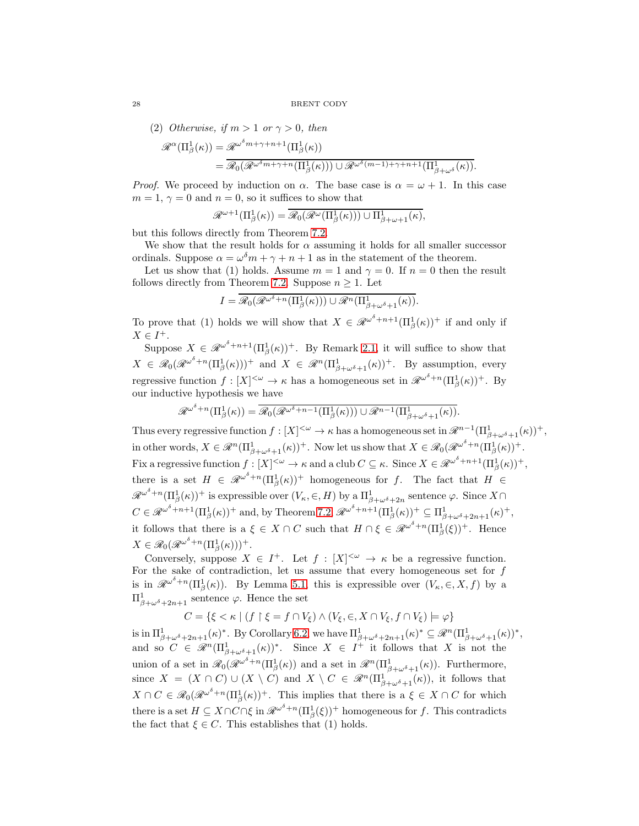(2) Otherwise, if 
$$
m > 1
$$
 or  $\gamma > 0$ , then

$$
\mathcal{R}^{\alpha}(\Pi_{\beta}^{1}(\kappa)) = \mathcal{R}^{\omega^{\delta}m + \gamma + n + 1}(\Pi_{\beta}^{1}(\kappa))
$$
  
= 
$$
\mathcal{R}_{0}(\mathcal{R}^{\omega^{\delta}m + \gamma + n}(\Pi_{\beta}^{1}(\kappa))) \cup \mathcal{R}^{\omega^{\delta}(m-1) + \gamma + n + 1}(\Pi_{\beta + \omega^{\delta}}^{1}(\kappa)).
$$

*Proof.* We proceed by induction on  $\alpha$ . The base case is  $\alpha = \omega + 1$ . In this case  $m = 1, \gamma = 0$  and  $n = 0$ , so it suffices to show that

$$
\mathscr{R}^{\omega+1}(\Pi^1_\beta(\kappa)) = \overline{\mathscr{R}_0}(\mathscr{R}^\omega(\Pi^1_\beta(\kappa))) \cup \Pi^1_{\beta+\omega+1}(\kappa),
$$

but this follows directly from Theorem [7.2.](#page-23-0)

We show that the result holds for  $\alpha$  assuming it holds for all smaller successor ordinals. Suppose  $\alpha = \omega^{\delta} m + \gamma + n + 1$  as in the statement of the theorem.

Let us show that (1) holds. Assume  $m = 1$  and  $\gamma = 0$ . If  $n = 0$  then the result follows directly from Theorem [7.2.](#page-23-0) Suppose  $n \geq 1$ . Let

$$
I = \overline{\mathscr{R}_0(\mathscr{R}^{\omega^\delta+n}(\Pi^1_\beta(\kappa))) \cup \mathscr{R}^n(\Pi^1_{\beta+\omega^\delta+1}(\kappa))}.
$$

To prove that (1) holds we will show that  $X \in \mathscr{R}^{\omega^{\delta}+n+1}(\Pi_{\beta}^{1}(\kappa))^{+}$  if and only if  $X \in I^+$ .

Suppose  $X \in \mathscr{R}^{\omega^{\delta}+n+1}(\Pi_{\beta}^1(\kappa))^+$ . By Remark [2.1,](#page-5-1) it will suffice to show that  $X \in \mathscr{R}_0(\mathscr{R}^{\omega^\delta+n}(\Pi_\beta^1(\kappa)))^+$  and  $X \in \mathscr{R}^n(\Pi_{\beta+\omega^\delta+1}^1(\kappa))^+$ . By assumption, every regressive function  $f: [X]^{<\omega} \to \kappa$  has a homogeneous set in  $\mathscr{R}^{\omega^\delta+n}(\Pi_\beta^1(\kappa))^+$ . By our inductive hypothesis we have

$$
\mathscr{R}^{\omega^{\delta}+n}(\Pi^{1}_{\beta}(\kappa))=\overline{\mathscr{R}_{0}(\mathscr{R}^{\omega^{\delta}+n-1}(\Pi^{1}_{\beta}(\kappa)))\cup \mathscr{R}^{n-1}(\Pi^{1}_{\beta+\omega^{\delta}+1}(\kappa))}.
$$

Thus every regressive function  $f: [X]^{<\omega} \to \kappa$  has a homogeneous set in  $\mathscr{R}^{n-1}(\Pi^1_{\beta+\omega^\delta+1}(\kappa))^+$ , in other words,  $X \in \mathscr{R}^n(\Pi_{\beta+\omega^\delta+1}^1(\kappa))^+$ . Now let us show that  $X \in \mathscr{R}_0(\mathscr{R}^{\omega^\delta+n}(\Pi_{\beta}^1(\kappa))^+$ . Fix a regressive function  $f: [X]^{<\omega} \to \kappa$  and a club  $C \subseteq \kappa$ . Since  $X \in \mathscr{R}^{\omega^\delta + n + 1}(\Pi_\beta^1(\kappa))^+,$ there is a set  $H \in \mathcal{R}^{\omega^{\delta}+n}(\Pi_{\beta}^1(\kappa))^+$  homogeneous for f. The fact that  $H \in$  $\mathscr{R}^{\omega^\delta+n}(\Pi_\beta^1(\kappa))^+$  is expressible over  $(V_\kappa,\in,H)$  by a  $\Pi_{\beta+\omega^\delta+2n}^1$  sentence  $\varphi$ . Since  $X\cap$  $C \in \mathcal{R}^{\omega^{\delta}+n+1}(\Pi_{\beta}^{1}(\kappa))^{+}$  and, by Theorem [7.2,](#page-23-0)  $\mathcal{R}^{\omega^{\delta}+n+1}(\Pi_{\beta}^{1}(\kappa))^{+} \subseteq \Pi_{\beta+\omega^{\delta}+2n+1}^{1}(\kappa)^{+}$ , it follows that there is a  $\xi \in X \cap C$  such that  $H \cap \xi \in \mathcal{R}^{\omega^{\delta}+n}(\Pi_{\beta}^{1}(\xi))^{+}$ . Hence  $X \in \mathscr{R}_0(\mathscr{R}^{\omega^\delta+n}(\Pi^1_\beta(\kappa)))^+.$ 

Conversely, suppose  $X \in I^+$ . Let  $f : [X]^{<\omega} \to \kappa$  be a regressive function. For the sake of contradiction, let us assume that every homogeneous set for  $f$ is in  $\mathscr{R}^{\omega^{\delta}+n}(\Pi_{\beta}^{1}(\kappa))$ . By Lemma [5.1,](#page-16-1) this is expressible over  $(V_{\kappa}, \in, X, f)$  by a  $\Pi^1_{\beta+\omega^\delta+2n+1}$  sentence  $\varphi$ . Hence the set

$$
C = \{ \xi < \kappa \mid (f \restriction \xi = f \cap V_{\xi}) \land (V_{\xi}, \in, X \cap V_{\xi}, f \cap V_{\xi}) \models \varphi \}
$$

is in  $\Pi^1_{\beta+\omega^\delta+2n+1}(\kappa)^*$ . By Corollary [6.2,](#page-19-1) we have  $\Pi^1_{\beta+\omega^\delta+2n+1}(\kappa)^* \subseteq \mathscr{R}^n(\Pi^1_{\beta+\omega^\delta+1}(\kappa))^*,$ and so  $C \in \mathscr{R}^n(\Pi^1_{\beta+\omega^\delta+1}(\kappa))^*$ . Since  $X \in I^+$  it follows that X is not the union of a set in  $\mathscr{R}_0(\mathscr{R}^{\omega^{\delta}+n}(\Pi^1_{\beta}(\kappa))$  and a set in  $\mathscr{R}^n(\Pi^1_{\beta+\omega^{\delta}+1}(\kappa))$ . Furthermore, since  $X = (X \cap C) \cup (X \setminus C)$  and  $X \setminus C \in \mathcal{R}^n(\Pi^1_{\beta+\omega^\delta+1}(\kappa))$ , it follows that  $X \cap C \in \mathscr{R}_0(\mathscr{R}^{\omega^{\delta}+n}(\Pi_{\beta}^1(\kappa))^+$ . This implies that there is a  $\xi \in X \cap C$  for which there is a set  $H \subseteq X \cap C \cap \xi$  in  $\mathscr{R}^{\omega^{\delta}+n}(\Pi_{\beta}^{1}(\xi))^{+}$  homogeneous for f. This contradicts the fact that  $\xi \in C$ . This establishes that (1) holds.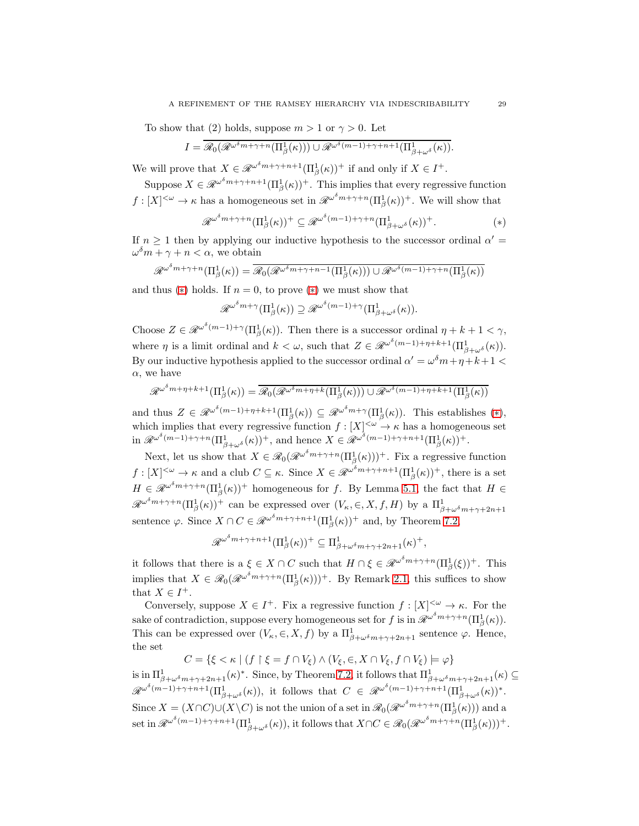To show that (2) holds, suppose  $m > 1$  or  $\gamma > 0$ . Let

$$
I = \overline{\mathscr{R}_0(\mathscr{R}^{\omega^{\delta} m + \gamma + n}(\Pi^1_{\beta}(\kappa))) \cup \mathscr{R}^{\omega^{\delta} (m-1) + \gamma + n + 1}(\Pi^1_{\beta + \omega^{\delta}}(\kappa))}.
$$

We will prove that  $X \in \mathcal{R}^{\omega^{\delta} m + \gamma + n + 1}(\Pi_{\beta}^1(\kappa))^{+}$  if and only if  $X \in I^+$ .

Suppose  $X \in \mathscr{R}^{\omega^{\delta} m + \gamma + n + 1}(\Pi_{\beta}^1(\kappa))$ <sup>+</sup>. This implies that every regressive function  $f: [X]^{<\omega} \to \kappa$  has a homogeneous set in  $\mathscr{R}^{\omega^{\delta}m + \gamma + n}(\Pi^1_\beta(\kappa))^+$ . We will show that

$$
\mathcal{R}^{\omega^{\delta}m+\gamma+n}(\Pi_{\beta}^{1}(\kappa))^{+} \subseteq \mathcal{R}^{\omega^{\delta}(m-1)+\gamma+n}(\Pi_{\beta+\omega^{\delta}}^{1}(\kappa))^{+}.
$$
 (\*)

If  $n \geq 1$  then by applying our inductive hypothesis to the successor ordinal  $\alpha' =$  $\omega^{\delta} m + \gamma + n < \alpha$ , we obtain

$$
\mathscr{R}^{\omega^{\delta} m + \gamma + n}(\Pi_{\beta}^{1}(\kappa)) = \overline{\mathscr{R}_{0}(\mathscr{R}^{\omega^{\delta} m + \gamma + n - 1}(\Pi_{\beta}^{1}(\kappa))) \cup \mathscr{R}^{\omega^{\delta} (m - 1) + \gamma + n}(\Pi_{\beta}^{1}(\kappa))}
$$

and thus  $(*)$  holds. If  $n = 0$ , to prove  $(*)$  we must show that

$$
\mathscr{R}^{\omega^{\delta} m + \gamma}(\Pi_{\beta}^{1}(\kappa)) \supseteq \mathscr{R}^{\omega^{\delta} (m-1) + \gamma}(\Pi_{\beta + \omega^{\delta}}^{1}(\kappa)).
$$

Choose  $Z \in \mathscr{R}^{\omega^{\delta}(m-1)+\gamma}(\Pi_{\beta}^1(\kappa))$ . Then there is a successor ordinal  $\eta + k + 1 < \gamma$ , where  $\eta$  is a limit ordinal and  $k < \omega$ , such that  $Z \in \mathcal{R}^{\omega^{\delta}(m-1)+\eta+k+1}(\Pi^1_{\beta+\omega^{\delta}}(\kappa)).$ By our inductive hypothesis applied to the successor ordinal  $\alpha' = \omega^{\delta} m + \eta + k + 1$  $\alpha$ , we have

$$
\mathscr{R}^{\omega^{\delta} m + \eta + k + 1}(\Pi_{\beta}^{1}(\kappa)) = \overline{\mathscr{R}_{0}(\mathscr{R}^{\omega^{\delta} m + \eta + k}(\Pi_{\beta}^{1}(\kappa)))} \cup \mathscr{R}^{\omega^{\delta}(m-1) + \eta + k + 1}(\Pi_{\beta}^{1}(\kappa))
$$

and thus  $Z \in \mathscr{R}^{\omega^{\delta}(m-1)+\eta+k+1}(\Pi_{\beta}^{1}(\kappa)) \subseteq \mathscr{R}^{\omega^{\delta}m+\gamma}(\Pi_{\beta}^{1}(\kappa))$ . This establishes  $(*)$ , which implies that every regressive function  $f : [X]^{<\omega} \to \kappa$  has a homogeneous set in  $\mathscr{R}^{\omega^{\delta}(m-1)+\gamma+n}(\Pi_{\beta+\omega^{\delta}}^1(\kappa))^+$ , and hence  $X \in \mathscr{R}^{\omega^{\delta}(m-1)+\gamma+n+1}(\Pi_{\beta}^1(\kappa))^+$ .

Next, let us show that  $X \in \mathcal{R}_0(\mathcal{R}^{\omega^{\delta}m + \gamma + n}(\Pi^1_{\beta}(\kappa)))^+$ . Fix a regressive function  $f:[X]^{<\omega}\to\kappa$  and a club  $C\subseteq\kappa$ . Since  $X\in\mathscr{R}^{\omega^{\delta}m+\gamma+n+1}(\Pi^1_\beta(\kappa))^+$ , there is a set  $H \in \mathscr{R}^{\omega^{\delta} m + \gamma + n}(\Pi_{\beta}^{1}(\kappa))^{+}$  homogeneous for f. By Lemma [5.1,](#page-16-1) the fact that  $H \in$  $\mathscr{R}^{\omega^{\delta}m+\gamma+n}(\Pi_{\beta}^1(\kappa))^+$  can be expressed over  $(V_{\kappa},\in, X,f,H)$  by a  $\Pi_{\beta+\omega^{\delta}m+\gamma+2n+1}^1$ sentence  $\varphi$ . Since  $X \cap C \in \mathcal{R}^{\omega^{\delta} m + \gamma + n + 1}(\Pi_{\beta}^{1}(\kappa))^{+}$  and, by Theorem [7.2,](#page-23-0)

$$
\mathscr{R}^{\omega^{\delta} m + \gamma + n + 1}(\Pi_{\beta}^{1}(\kappa))^{+} \subseteq \Pi_{\beta + \omega^{\delta} m + \gamma + 2n + 1}^{1}(\kappa)^{+},
$$

it follows that there is a  $\xi \in X \cap C$  such that  $H \cap \xi \in \mathcal{R}^{\omega^{\delta} m + \gamma + n}(\Pi_{\beta}^{1}(\xi))^{+}$ . This implies that  $X \in \mathscr{R}_0(\mathscr{R}^{\omega^{\delta} m + \gamma + n}(\Pi_{\beta}^1(\kappa)))^+$ . By Remark [2.1,](#page-5-1) this suffices to show that  $X \in I^+$ .

Conversely, suppose  $X \in I^+$ . Fix a regressive function  $f : [X]^{<\omega} \to \kappa$ . For the sake of contradiction, suppose every homogeneous set for f is in  $\mathscr{R}^{\omega^{\delta} m + \gamma + n}(\Pi_{\beta}^{1}(\kappa)).$ This can be expressed over  $(V_\kappa, \in, X, f)$  by a  $\Pi^1_{\beta+\omega^\delta m+\gamma+2n+1}$  sentence  $\varphi$ . Hence, the set

$$
C = \{ \xi < \kappa \mid (f \restriction \xi = f \cap V_{\xi}) \land (V_{\xi}, \in, X \cap V_{\xi}, f \cap V_{\xi}) \models \varphi \}
$$

is in  $\Pi^1_{\beta+\omega^{\delta}m+\gamma+2n+1}(\kappa)^*$ . Since, by Theorem [7.2,](#page-23-0) it follows that  $\Pi^1_{\beta+\omega^{\delta}m+\gamma+2n+1}(\kappa) \subseteq$  $\mathscr{R}^{\omega^{\delta}(m-1)+\gamma+n+1}(\Pi_{\beta+\omega^{\delta}}^{1}(\kappa)),$  it follows that  $C \in \mathscr{R}^{\omega^{\delta}(m-1)+\gamma+n+1}(\Pi_{\beta+\omega^{\delta}}^{1}(\kappa))^{*}.$ Since  $X = (X \cap C) \cup (X \setminus C)$  is not the union of a set in  $\mathscr{R}_0(\mathscr{R}^{\omega^{\delta} m + \gamma + n}(\Pi^1_\beta(\kappa)))$  and a set in  $\mathscr{R}^{\omega^{\delta}(m-1)+\gamma+n+1}(\Pi^1_{\beta+\omega^{\delta}}(\kappa))$ , it follows that  $X\cap C\in\mathscr{R}_0(\mathscr{R}^{\omega^{\delta}m+\gamma+n}(\Pi^1_{\beta}(\kappa)))^+.$ 

<span id="page-28-0"></span>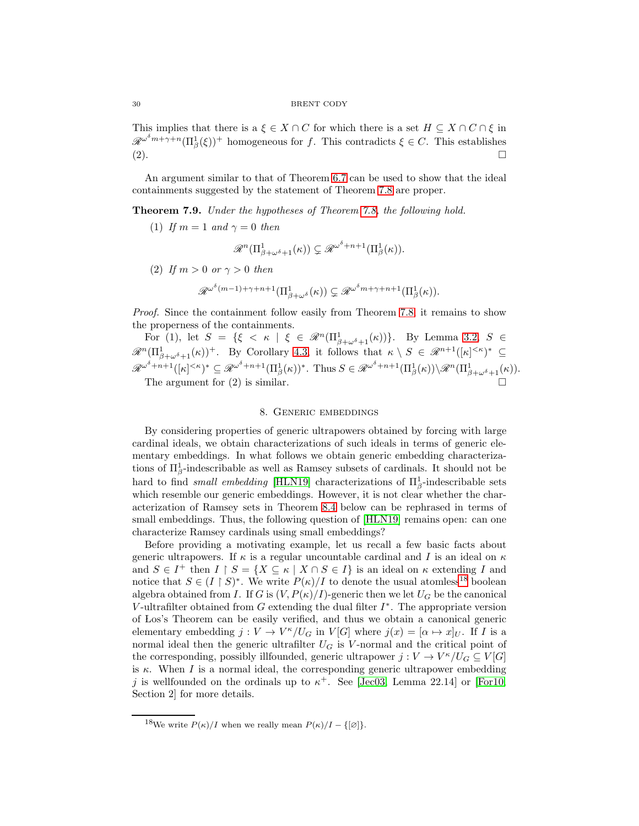This implies that there is a  $\xi \in X \cap C$  for which there is a set  $H \subseteq X \cap C \cap \xi$  in  $\mathscr{R}^{\omega^{\delta}m+\gamma+n}(\Pi_{\beta}^{1}(\xi))^{+}$  homogeneous for f. This contradicts  $\xi \in C$ . This establishes (2).

An argument similar to that of Theorem [6.7](#page-21-0) can be used to show that the ideal containments suggested by the statement of Theorem [7.8](#page-26-2) are proper.

Theorem 7.9. Under the hypotheses of Theorem [7.8,](#page-26-2) the following hold.

(1) If  $m = 1$  and  $\gamma = 0$  then

$$
\mathscr{R}^n(\Pi^1_{\beta+\omega^\delta+1}(\kappa))\subsetneq \mathscr{R}^{\omega^\delta+n+1}(\Pi^1_{\beta}(\kappa)).
$$

(2) If  $m > 0$  or  $\gamma > 0$  then

$$
\mathscr{R}^{\omega^{\delta}(m-1)+\gamma+n+1}(\Pi^1_{\beta+\omega^{\delta}}(\kappa)) \subsetneq \mathscr{R}^{\omega^{\delta}m+\gamma+n+1}(\Pi^1_{\beta}(\kappa)).
$$

Proof. Since the containment follow easily from Theorem [7.8,](#page-26-2) it remains to show the properness of the containments.

For (1), let  $S = \{ \xi \le \kappa \mid \xi \in \mathcal{R}^n(\Pi^1_{\beta+\omega^\delta+1}(\kappa)) \}.$  By Lemma [3.2,](#page-14-3)  $S \in$  $\mathscr{R}^n(\Pi_{\beta+\omega^\delta+1}^1(\kappa))^+$ . By Corollary [4.3,](#page-16-2) it follows that  $\kappa \setminus S \in \mathscr{R}^{n+1}([\kappa]^{<\kappa})^* \subseteq$  $\mathscr{R}^{\omega^{\delta}+n+1}([\kappa]^{<\kappa})^* \subseteq \mathscr{R}^{\omega^{\delta}+n+1}(\Pi_{\beta}^1(\kappa))^*$ . Thus  $S \in \mathscr{R}^{\omega^{\delta}+n+1}(\Pi_{\beta}^1(\kappa))\setminus \mathscr{R}^n(\Pi_{\beta+\omega^{\delta}+1}^1(\kappa))$ . The argument for (2) is similar.

<span id="page-29-0"></span>

## 8. Generic embeddings

By considering properties of generic ultrapowers obtained by forcing with large cardinal ideals, we obtain characterizations of such ideals in terms of generic elementary embeddings. In what follows we obtain generic embedding characterizations of  $\Pi_{\beta}^1$ -indescribable as well as Ramsey subsets of cardinals. It should not be hard to find *small embedding* [\[HLN19\]](#page-32-12) characterizations of  $\Pi_{\beta}^1$ -indescribable sets which resemble our generic embeddings. However, it is not clear whether the characterization of Ramsey sets in Theorem [8.4](#page-30-0) below can be rephrased in terms of small embeddings. Thus, the following question of [\[HLN19\]](#page-32-12) remains open: can one characterize Ramsey cardinals using small embeddings?

Before providing a motivating example, let us recall a few basic facts about generic ultrapowers. If  $\kappa$  is a regular uncountable cardinal and I is an ideal on  $\kappa$ and  $S \in I^+$  then  $I \upharpoonright S = \{ X \subseteq \kappa \mid X \cap S \in I \}$  is an ideal on  $\kappa$  extending I and notice that  $S \in (I \upharpoonright S)^*$ . We write  $P(\kappa)/I$  to denote the usual atomless<sup>[18](#page-29-1)</sup> boolean algebra obtained from I. If G is  $(V, P(\kappa)/I)$ -generic then we let  $U_G$  be the canonical V-ultrafilter obtained from  $G$  extending the dual filter  $I^*$ . The appropriate version of Los's Theorem can be easily verified, and thus we obtain a canonical generic elementary embedding  $j: V \to V^{\kappa}/U_G$  in  $V[G]$  where  $j(x) = [\alpha \mapsto x]_U$ . If I is a normal ideal then the generic ultrafilter  $U_G$  is V-normal and the critical point of the corresponding, possibly illfounded, generic ultrapower  $j: V \to V^{\kappa}/U_G \subseteq V[G]$ is  $\kappa$ . When I is a normal ideal, the corresponding generic ultrapower embedding j is wellfounded on the ordinals up to  $\kappa^+$ . See [\[Jec03,](#page-32-13) Lemma 22.14] or [\[For10,](#page-32-14) Section 2] for more details.

<span id="page-29-1"></span><sup>&</sup>lt;sup>18</sup>We write  $P(\kappa)/I$  when we really mean  $P(\kappa)/I - \{[\emptyset]\}.$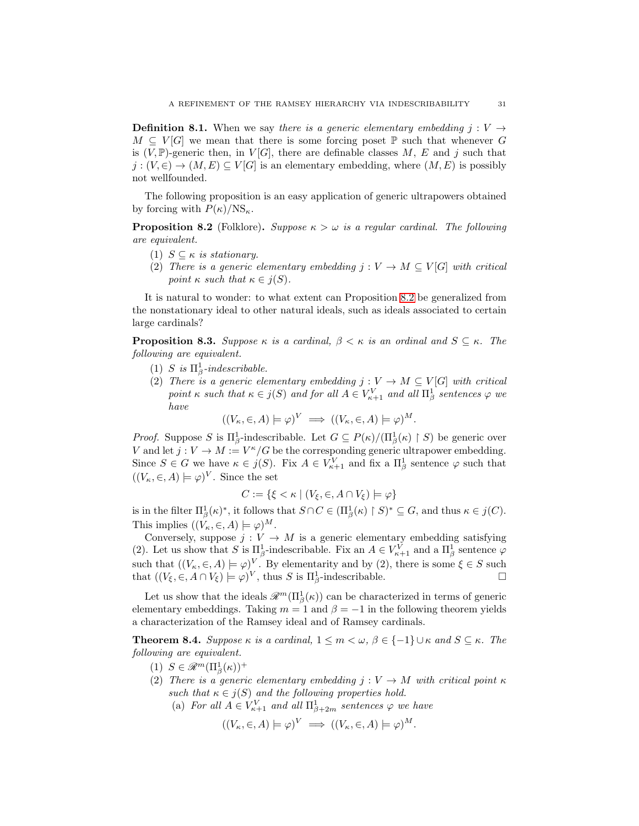**Definition 8.1.** When we say there is a generic elementary embedding  $j: V \rightarrow$  $M \subseteq V[G]$  we mean that there is some forcing poset  $\mathbb P$  such that whenever G is  $(V, \mathbb{P})$ -generic then, in  $V[G]$ , there are definable classes M, E and j such that  $j:(V, \in) \to (M, E) \subseteq V[G]$  is an elementary embedding, where  $(M, E)$  is possibly not wellfounded.

The following proposition is an easy application of generic ultrapowers obtained by forcing with  $P(\kappa)/\text{NS}_{\kappa}$ .

<span id="page-30-1"></span>**Proposition 8.2** (Folklore). Suppose  $\kappa > \omega$  is a regular cardinal. The following are equivalent.

- (1)  $S \subseteq \kappa$  is stationary.
- (2) There is a generic elementary embedding  $j: V \to M \subseteq V[G]$  with critical point  $\kappa$  such that  $\kappa \in j(S)$ .

It is natural to wonder: to what extent can Proposition [8.2](#page-30-1) be generalized from the nonstationary ideal to other natural ideals, such as ideals associated to certain large cardinals?

<span id="page-30-2"></span>**Proposition 8.3.** Suppose  $\kappa$  is a cardinal,  $\beta < \kappa$  is an ordinal and  $S \subseteq \kappa$ . The following are equivalent.

- (1) S is  $\Pi^1_\beta$ -indescribable.
- (2) There is a generic elementary embedding  $j: V \to M \subseteq V[G]$  with critical point  $\kappa$  such that  $\kappa \in j(S)$  and for all  $A \in V^V_{\kappa+1}$  and all  $\Pi^1_\beta$  sentences  $\varphi$  we have

$$
((V_{\kappa}, \in, A) \models \varphi)^{V} \implies ((V_{\kappa}, \in, A) \models \varphi)^{M}.
$$

*Proof.* Suppose S is  $\Pi_{\beta}^1$ -indescribable. Let  $G \subseteq P(\kappa)/(\Pi_{\beta}^1(\kappa) \restriction S)$  be generic over V and let  $j: V \to M := V^{\kappa}/G$  be the corresponding generic ultrapower embedding. Since  $S \in G$  we have  $\kappa \in j(S)$ . Fix  $A \in V^V_{\kappa+1}$  and fix a  $\Pi^1_{\beta}$  sentence  $\varphi$  such that  $((V_{\kappa}, \in, A) \models \varphi)^V$ . Since the set

$$
C := \{ \xi < \kappa \mid (V_{\xi}, \in, A \cap V_{\xi}) \models \varphi \}
$$

is in the filter  $\Pi_{\beta}^1(\kappa)^*$ , it follows that  $S \cap C \in (\Pi_{\beta}^1(\kappa) \restriction S)^* \subseteq G$ , and thus  $\kappa \in j(C)$ . This implies  $((V_{\kappa}, \in, A) \models \varphi)^M$ .

Conversely, suppose  $j: V \to M$  is a generic elementary embedding satisfying (2). Let us show that S is  $\Pi_{\beta}^1$ -indescribable. Fix an  $A \in V^V_{\kappa+1}$  and a  $\Pi_{\beta}^1$  sentence  $\varphi$ such that  $((V_{\kappa}, \in, A) \models \varphi)^{V}$ . By elementarity and by (2), there is some  $\xi \in S$  such that  $((V_{\xi}, \in, A \cap V_{\xi}) \models \varphi)^{V}$ , thus S is  $\Pi_{\beta}^{1}$ -indescribable.

Let us show that the ideals  $\mathscr{R}^m(\Pi_\beta^1(\kappa))$  can be characterized in terms of generic elementary embeddings. Taking  $m = 1$  and  $\beta = -1$  in the following theorem yields a characterization of the Ramsey ideal and of Ramsey cardinals.

<span id="page-30-0"></span>**Theorem 8.4.** Suppose  $\kappa$  is a cardinal,  $1 \leq m < \omega$ ,  $\beta \in \{-1\} \cup \kappa$  and  $S \subseteq \kappa$ . The following are equivalent.

- (1)  $S \in \mathscr{R}^m(\Pi^1_\beta(\kappa))^+$
- (2) There is a generic elementary embedding  $j: V \to M$  with critical point  $\kappa$ such that  $\kappa \in j(S)$  and the following properties hold.
	- (a) For all  $A \in V^V_{\kappa+1}$  and all  $\Pi^1_{\beta+2m}$  sentences  $\varphi$  we have

$$
((V_{\kappa}, \in, A) \models \varphi)^{V} \implies ((V_{\kappa}, \in, A) \models \varphi)^{M}.
$$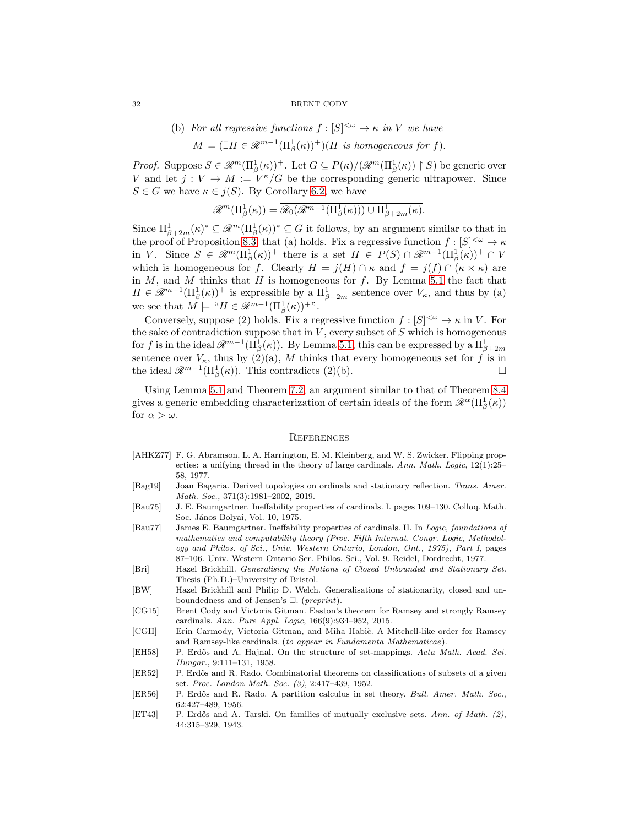#### 32 BRENT CODY

(b) For all regressive functions 
$$
f : [S]^{<\omega} \to \kappa
$$
 in V we have  
\n
$$
M \models (\exists H \in \mathcal{R}^{m-1}(\Pi_{\beta}^1(\kappa))^+)(H \text{ is homogeneous for } f).
$$

*Proof.* Suppose  $S \in \mathcal{R}^m(\Pi_\beta^1(\kappa))^+$ . Let  $G \subseteq P(\kappa)/(\mathcal{R}^m(\Pi_\beta^1(\kappa)) \restriction S)$  be generic over V and let  $j: V \to M := V^{\kappa}/G$  be the corresponding generic ultrapower. Since  $S \in G$  we have  $\kappa \in j(S)$ . By Corollary [6.2,](#page-19-1) we have

$$
\mathscr{R}^m(\Pi^1_\beta(\kappa)) = \overline{\mathscr{R}_0(\mathscr{R}^{m-1}(\Pi^1_\beta(\kappa))) \cup \Pi^1_{\beta+2m}(\kappa)}.
$$

Since  $\Pi_{\beta+2m}^1(\kappa)^* \subseteq \mathcal{R}^m(\Pi_\beta^1(\kappa))^* \subseteq G$  it follows, by an argument similar to that in the proof of Proposition [8.3,](#page-30-2) that (a) holds. Fix a regressive function  $f : [S]^{<\omega} \to \kappa$ in V. Since  $S \in \mathscr{R}^m(\Pi_\beta^1(\kappa))^+$  there is a set  $H \in P(S) \cap \mathscr{R}^{m-1}(\Pi_\beta^1(\kappa))^+ \cap V$ which is homogeneous for f. Clearly  $H = j(H) \cap \kappa$  and  $f = j(f) \cap (\kappa \times \kappa)$  are in  $M$ , and  $M$  thinks that  $H$  is homogeneous for  $f$ . By Lemma [5.1](#page-16-1) the fact that  $H \in \mathcal{R}^{m-1}(\Pi^1_\beta(\kappa))^+$  is expressible by a  $\Pi^1_{\beta+2m}$  sentence over  $V_\kappa$ , and thus by (a) we see that  $M \models "H \in \mathscr{R}^{m-1}(\Pi_{\beta}^1(\kappa))^{+\nu}$ .

Conversely, suppose (2) holds. Fix a regressive function  $f : [S]^{<\omega} \to \kappa$  in V. For the sake of contradiction suppose that in  $V$ , every subset of  $S$  which is homogeneous for f is in the ideal  $\mathscr{R}^{m-1}(\Pi_{\beta}^{\overline{1}}(\kappa))$ . By Lemma [5.1,](#page-16-1) this can be expressed by a  $\Pi_{\beta+2m}^1$ sentence over  $V_{\kappa}$ , thus by (2)(a), M thinks that every homogeneous set for f is in the ideal  $\mathscr{R}^{m-1}(\Pi_{\beta}^{1}(\kappa))$ . This contradicts (2)(b). □

Using Lemma [5.1](#page-16-1) and Theorem [7.2,](#page-23-0) an argument similar to that of Theorem [8.4](#page-30-0) gives a generic embedding characterization of certain ideals of the form  $\mathscr{R}^{\alpha}(\Pi_{\beta}^{1}(\kappa))$ for  $\alpha > \omega$ .

#### **REFERENCES**

- [AHKZ77] F. G. Abramson, L. A. Harrington, E. M. Kleinberg, and W. S. Zwicker. Flipping properties: a unifying thread in the theory of large cardinals. Ann. Math. Logic, 12(1):25– 58, 1977.
- <span id="page-31-1"></span>[Bag19] Joan Bagaria. Derived topologies on ordinals and stationary reflection. Trans. Amer. Math. Soc., 371(3):1981–2002, 2019.
- <span id="page-31-0"></span>[Bau75] J. E. Baumgartner. Ineffability properties of cardinals. I. pages 109–130. Colloq. Math. Soc. János Bolyai, Vol. 10, 1975.
- <span id="page-31-6"></span>[Bau77] James E. Baumgartner. Ineffability properties of cardinals. II. In Logic, foundations of mathematics and computability theory (Proc. Fifth Internat. Congr. Logic, Methodology and Philos. of Sci., Univ. Western Ontario, London, Ont., 1975), Part I, pages 87–106. Univ. Western Ontario Ser. Philos. Sci., Vol. 9. Reidel, Dordrecht, 1977.
- <span id="page-31-10"></span>[Bri] Hazel Brickhill. Generalising the Notions of Closed Unbounded and Stationary Set. Thesis (Ph.D.)–University of Bristol.
- <span id="page-31-9"></span>[BW] Hazel Brickhill and Philip D. Welch. Generalisations of stationarity, closed and unboundedness and of Jensen's  $\Box$ . (*preprint*).
- <span id="page-31-7"></span>[CG15] Brent Cody and Victoria Gitman. Easton's theorem for Ramsey and strongly Ramsey cardinals. Ann. Pure Appl. Logic, 166(9):934–952, 2015.
- <span id="page-31-8"></span>[CGH] Erin Carmody, Victoria Gitman, and Miha Habič. A Mitchell-like order for Ramsey and Ramsey-like cardinals. (to appear in Fundamenta Mathematicae).
- <span id="page-31-5"></span>[EH58] P. Erdős and A. Hajnal. On the structure of set-mappings. Acta Math. Acad. Sci. Hungar., 9:111–131, 1958.
- <span id="page-31-3"></span>[ER52] P. Erdős and R. Rado. Combinatorial theorems on classifications of subsets of a given set. Proc. London Math. Soc. (3), 2:417–439, 1952.
- <span id="page-31-4"></span>[ER56] P. Erdős and R. Rado. A partition calculus in set theory. Bull. Amer. Math. Soc., 62:427–489, 1956.
- <span id="page-31-2"></span>[ET43] P. Erdős and A. Tarski. On families of mutually exclusive sets. Ann. of Math. (2), 44:315–329, 1943.